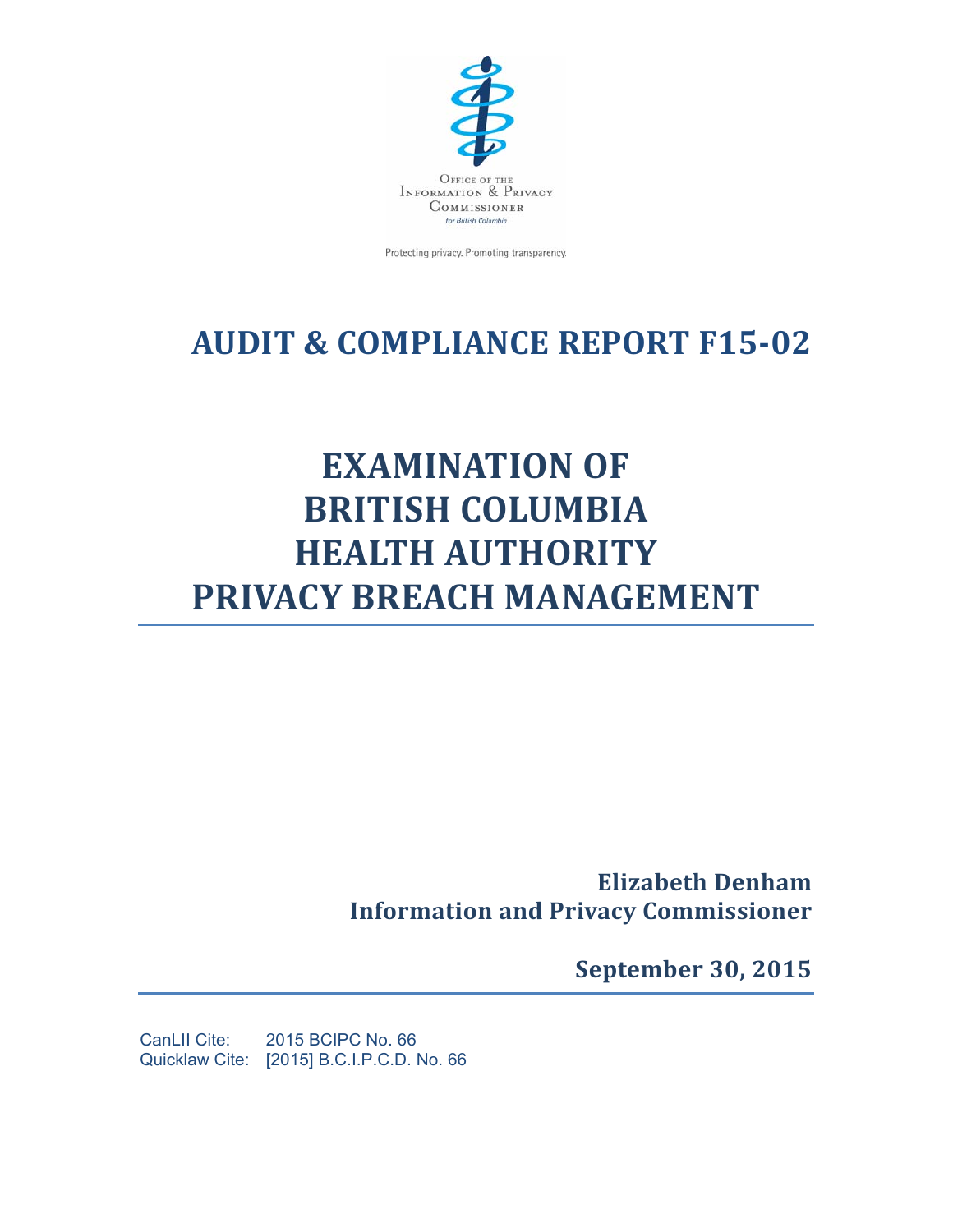

Protecting privacy. Promoting transparency.

## **AUDIT & COMPLIANCE REPORT F15‐02**

# **EXAMINATION OF BRITISH COLUMBIA HEALTH AUTHORITY PRIVACY BREACH MANAGEMENT**

**Elizabeth Denham Information and Privacy Commissioner**

**September 30, 2015**

CanLII Cite: 2015 BCIPC No. 66 Quicklaw Cite: [2015] B.C.I.P.C.D. No. 66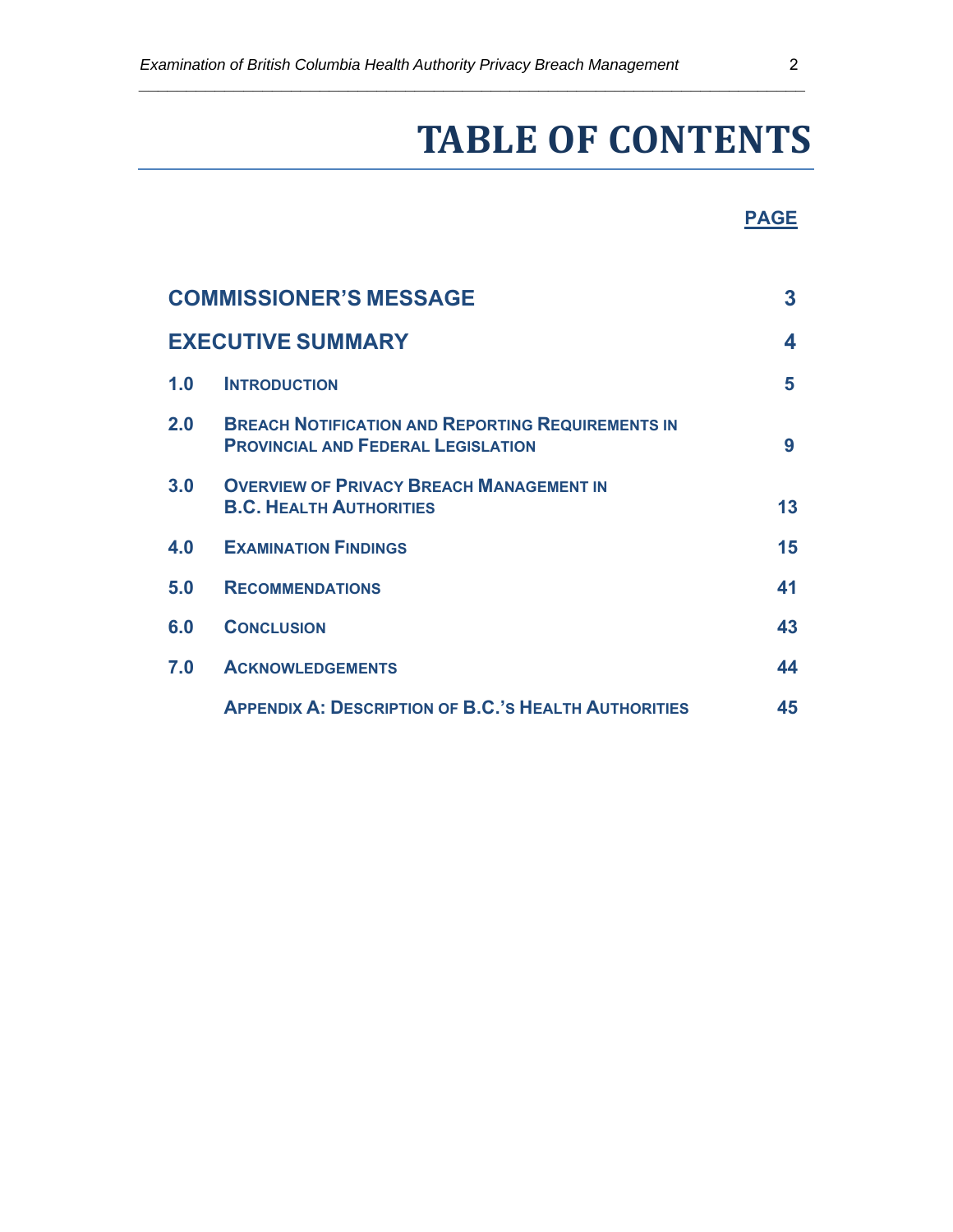*\_\_\_\_\_\_\_\_\_\_\_\_\_\_\_\_\_\_\_\_\_\_\_\_\_\_\_\_\_\_\_\_\_\_\_\_\_\_\_\_\_\_\_\_\_\_\_\_\_\_\_\_\_\_\_\_\_\_\_\_\_\_\_\_\_\_\_\_\_\_* 

# **TABLE OF CONTENTS**

#### **PAGE**

|                          | <b>COMMISSIONER'S MESSAGE</b>                                                                         | 3  |
|--------------------------|-------------------------------------------------------------------------------------------------------|----|
| <b>EXECUTIVE SUMMARY</b> |                                                                                                       |    |
| 1.0                      | <b>INTRODUCTION</b>                                                                                   | 5  |
| 2.0                      | <b>BREACH NOTIFICATION AND REPORTING REQUIREMENTS IN</b><br><b>PROVINCIAL AND FEDERAL LEGISLATION</b> | 9  |
| 3.0                      | <b>OVERVIEW OF PRIVACY BREACH MANAGEMENT IN</b><br><b>B.C. HEALTH AUTHORITIES</b>                     | 13 |
| 4.0                      | <b>EXAMINATION FINDINGS</b>                                                                           | 15 |
| 5.0                      | <b>RECOMMENDATIONS</b>                                                                                | 41 |
| 6.0                      | <b>CONCLUSION</b>                                                                                     | 43 |
| 7.0                      | <b>ACKNOWLEDGEMENTS</b>                                                                               | 44 |
|                          | <b>APPENDIX A: DESCRIPTION OF B.C.'S HEALTH AUTHORITIES</b>                                           | 45 |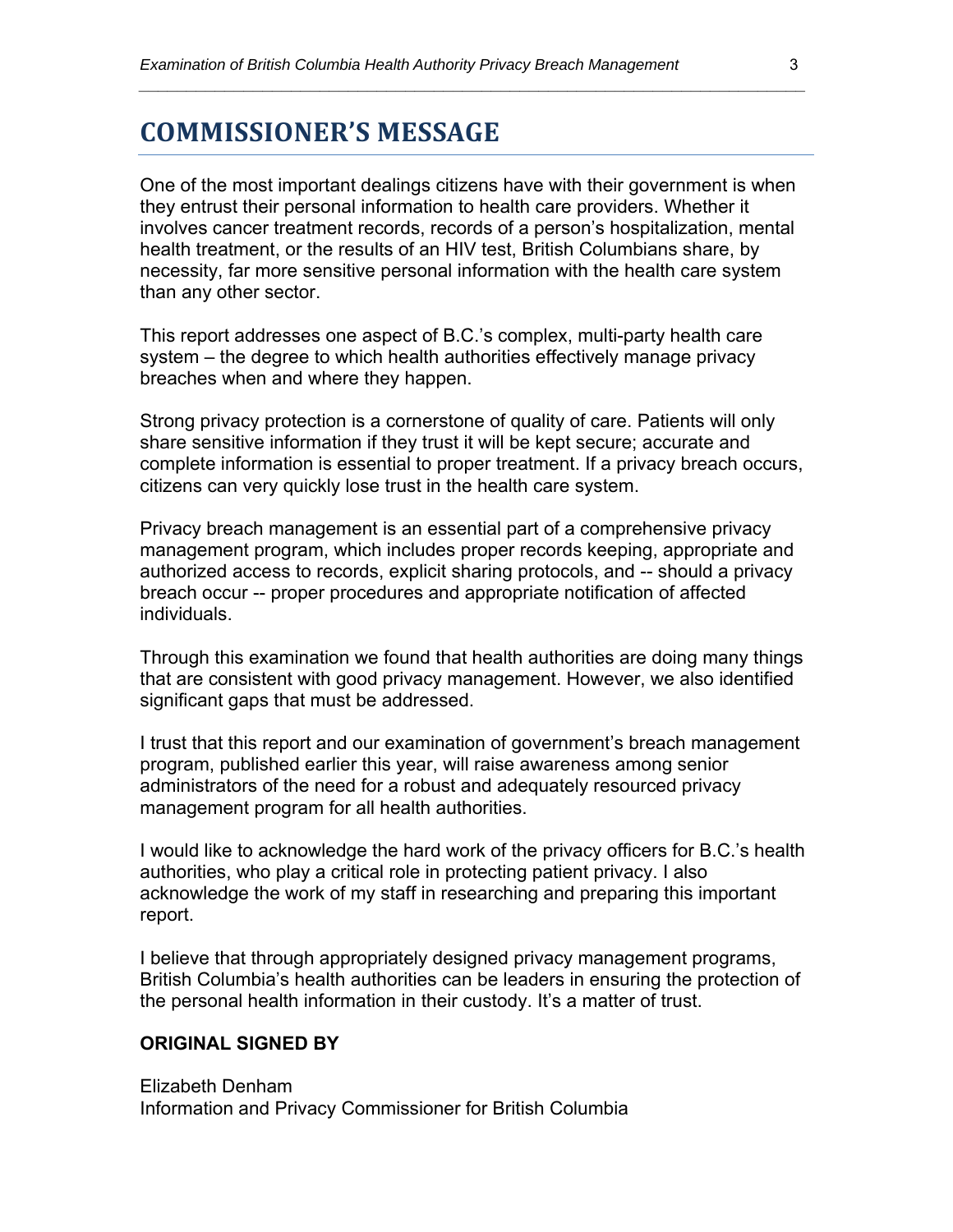### **COMMISSIONER'S MESSAGE**

One of the most important dealings citizens have with their government is when they entrust their personal information to health care providers. Whether it involves cancer treatment records, records of a person's hospitalization, mental health treatment, or the results of an HIV test, British Columbians share, by necessity, far more sensitive personal information with the health care system than any other sector.

*\_\_\_\_\_\_\_\_\_\_\_\_\_\_\_\_\_\_\_\_\_\_\_\_\_\_\_\_\_\_\_\_\_\_\_\_\_\_\_\_\_\_\_\_\_\_\_\_\_\_\_\_\_\_\_\_\_\_\_\_\_\_\_\_\_\_\_\_\_\_* 

This report addresses one aspect of B.C.'s complex, multi-party health care system – the degree to which health authorities effectively manage privacy breaches when and where they happen.

Strong privacy protection is a cornerstone of quality of care. Patients will only share sensitive information if they trust it will be kept secure; accurate and complete information is essential to proper treatment. If a privacy breach occurs, citizens can very quickly lose trust in the health care system.

Privacy breach management is an essential part of a comprehensive privacy management program, which includes proper records keeping, appropriate and authorized access to records, explicit sharing protocols, and -- should a privacy breach occur -- proper procedures and appropriate notification of affected individuals.

Through this examination we found that health authorities are doing many things that are consistent with good privacy management. However, we also identified significant gaps that must be addressed.

I trust that this report and our examination of government's breach management program, published earlier this year, will raise awareness among senior administrators of the need for a robust and adequately resourced privacy management program for all health authorities.

I would like to acknowledge the hard work of the privacy officers for B.C.'s health authorities, who play a critical role in protecting patient privacy. I also acknowledge the work of my staff in researching and preparing this important report.

I believe that through appropriately designed privacy management programs, British Columbia's health authorities can be leaders in ensuring the protection of the personal health information in their custody. It's a matter of trust.

#### **ORIGINAL SIGNED BY**

Elizabeth Denham Information and Privacy Commissioner for British Columbia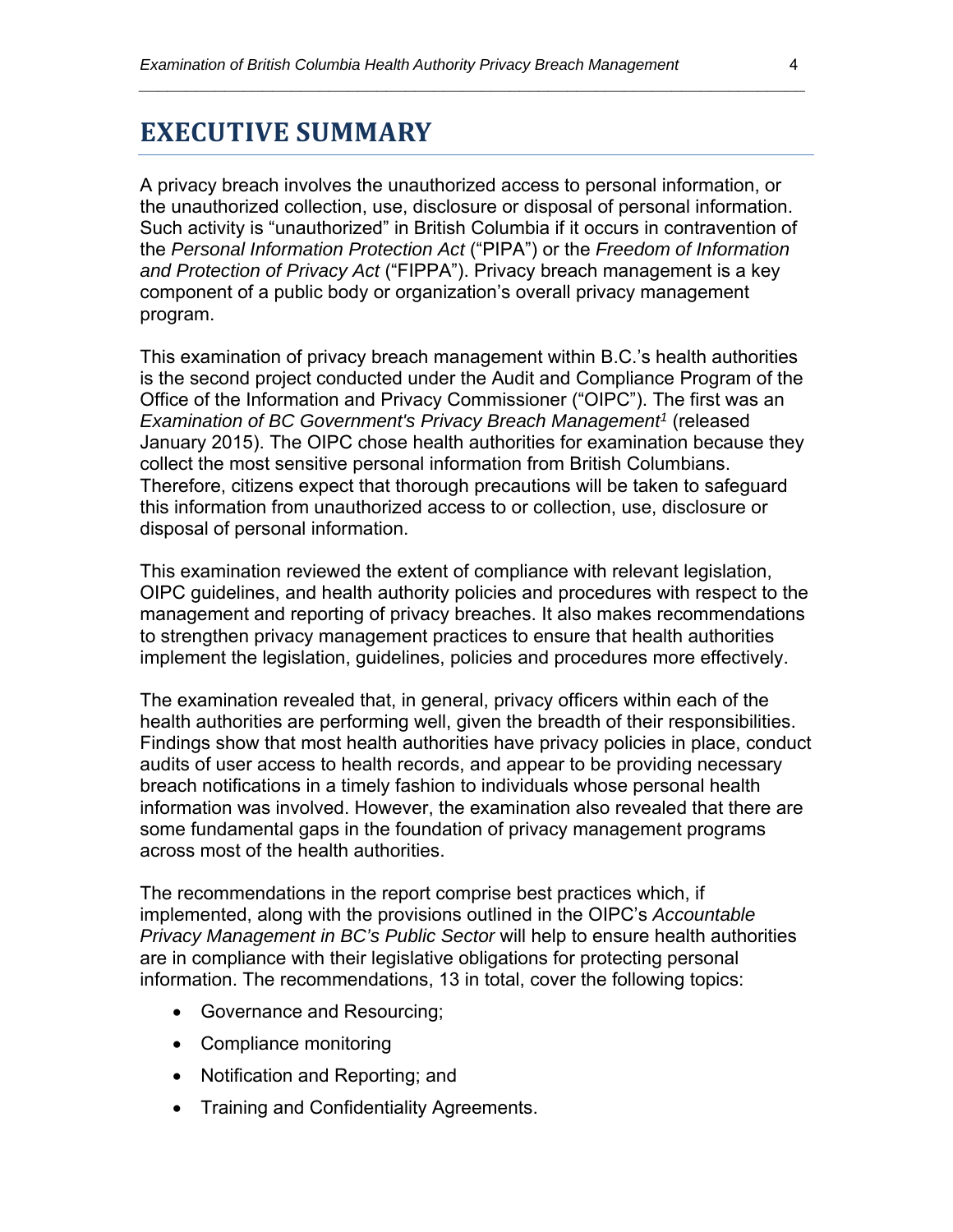### **EXECUTIVE SUMMARY**

A privacy breach involves the unauthorized access to personal information, or the unauthorized collection, use, disclosure or disposal of personal information. Such activity is "unauthorized" in British Columbia if it occurs in contravention of the *Personal Information Protection Act* ("PIPA") or the *Freedom of Information and Protection of Privacy Act* ("FIPPA"). Privacy breach management is a key component of a public body or organization's overall privacy management program.

*\_\_\_\_\_\_\_\_\_\_\_\_\_\_\_\_\_\_\_\_\_\_\_\_\_\_\_\_\_\_\_\_\_\_\_\_\_\_\_\_\_\_\_\_\_\_\_\_\_\_\_\_\_\_\_\_\_\_\_\_\_\_\_\_\_\_\_\_\_\_* 

This examination of privacy breach management within B.C.'s health authorities is the second project conducted under the Audit and Compliance Program of the Office of the Information and Privacy Commissioner ("OIPC"). The first was an *Examination of BC Government's Privacy Breach Management<sup>1</sup> (released* January 2015). The OIPC chose health authorities for examination because they collect the most sensitive personal information from British Columbians. Therefore, citizens expect that thorough precautions will be taken to safeguard this information from unauthorized access to or collection, use, disclosure or disposal of personal information.

This examination reviewed the extent of compliance with relevant legislation, OIPC guidelines, and health authority policies and procedures with respect to the management and reporting of privacy breaches. It also makes recommendations to strengthen privacy management practices to ensure that health authorities implement the legislation, guidelines, policies and procedures more effectively.

The examination revealed that, in general, privacy officers within each of the health authorities are performing well, given the breadth of their responsibilities. Findings show that most health authorities have privacy policies in place, conduct audits of user access to health records, and appear to be providing necessary breach notifications in a timely fashion to individuals whose personal health information was involved. However, the examination also revealed that there are some fundamental gaps in the foundation of privacy management programs across most of the health authorities.

The recommendations in the report comprise best practices which, if implemented, along with the provisions outlined in the OIPC's *Accountable Privacy Management in BC's Public Sector* will help to ensure health authorities are in compliance with their legislative obligations for protecting personal information. The recommendations, 13 in total, cover the following topics:

- Governance and Resourcing;
- Compliance monitoring
- Notification and Reporting; and
- Training and Confidentiality Agreements.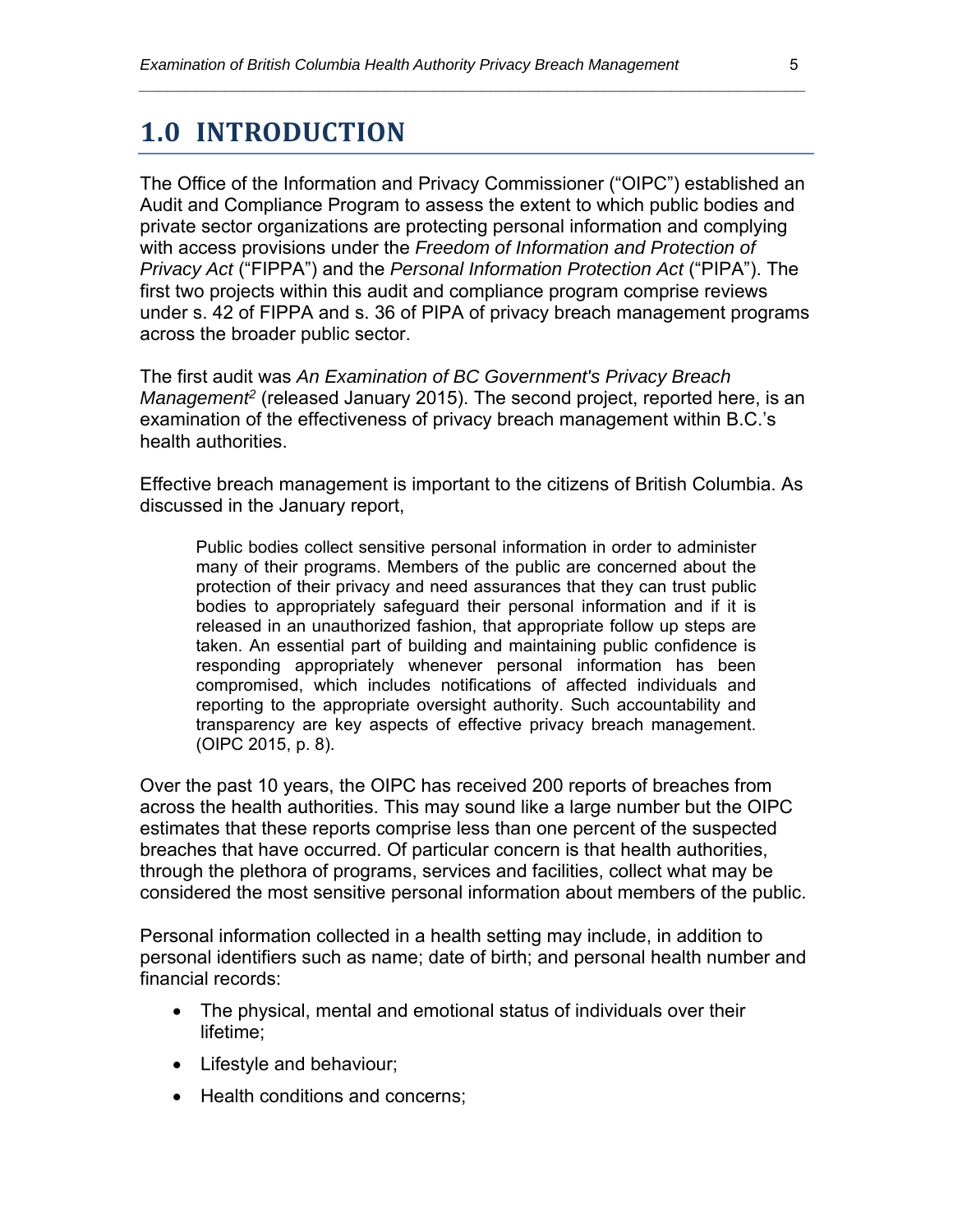### **1.0 INTRODUCTION**

The Office of the Information and Privacy Commissioner ("OIPC") established an Audit and Compliance Program to assess the extent to which public bodies and private sector organizations are protecting personal information and complying with access provisions under the *Freedom of Information and Protection of Privacy Act* ("FIPPA") and the *Personal Information Protection Act* ("PIPA"). The first two projects within this audit and compliance program comprise reviews under s. 42 of FIPPA and s. 36 of PIPA of privacy breach management programs across the broader public sector.

*\_\_\_\_\_\_\_\_\_\_\_\_\_\_\_\_\_\_\_\_\_\_\_\_\_\_\_\_\_\_\_\_\_\_\_\_\_\_\_\_\_\_\_\_\_\_\_\_\_\_\_\_\_\_\_\_\_\_\_\_\_\_\_\_\_\_\_\_\_\_* 

The first audit was *An Examination of BC Government's Privacy Breach Management2* (released January 2015). The second project, reported here, is an examination of the effectiveness of privacy breach management within B.C.'s health authorities.

Effective breach management is important to the citizens of British Columbia. As discussed in the January report,

Public bodies collect sensitive personal information in order to administer many of their programs. Members of the public are concerned about the protection of their privacy and need assurances that they can trust public bodies to appropriately safeguard their personal information and if it is released in an unauthorized fashion, that appropriate follow up steps are taken. An essential part of building and maintaining public confidence is responding appropriately whenever personal information has been compromised, which includes notifications of affected individuals and reporting to the appropriate oversight authority. Such accountability and transparency are key aspects of effective privacy breach management. (OIPC 2015, p. 8).

Over the past 10 years, the OIPC has received 200 reports of breaches from across the health authorities. This may sound like a large number but the OIPC estimates that these reports comprise less than one percent of the suspected breaches that have occurred. Of particular concern is that health authorities, through the plethora of programs, services and facilities, collect what may be considered the most sensitive personal information about members of the public.

Personal information collected in a health setting may include, in addition to personal identifiers such as name; date of birth; and personal health number and financial records:

- The physical, mental and emotional status of individuals over their lifetime;
- Lifestyle and behaviour;
- Health conditions and concerns;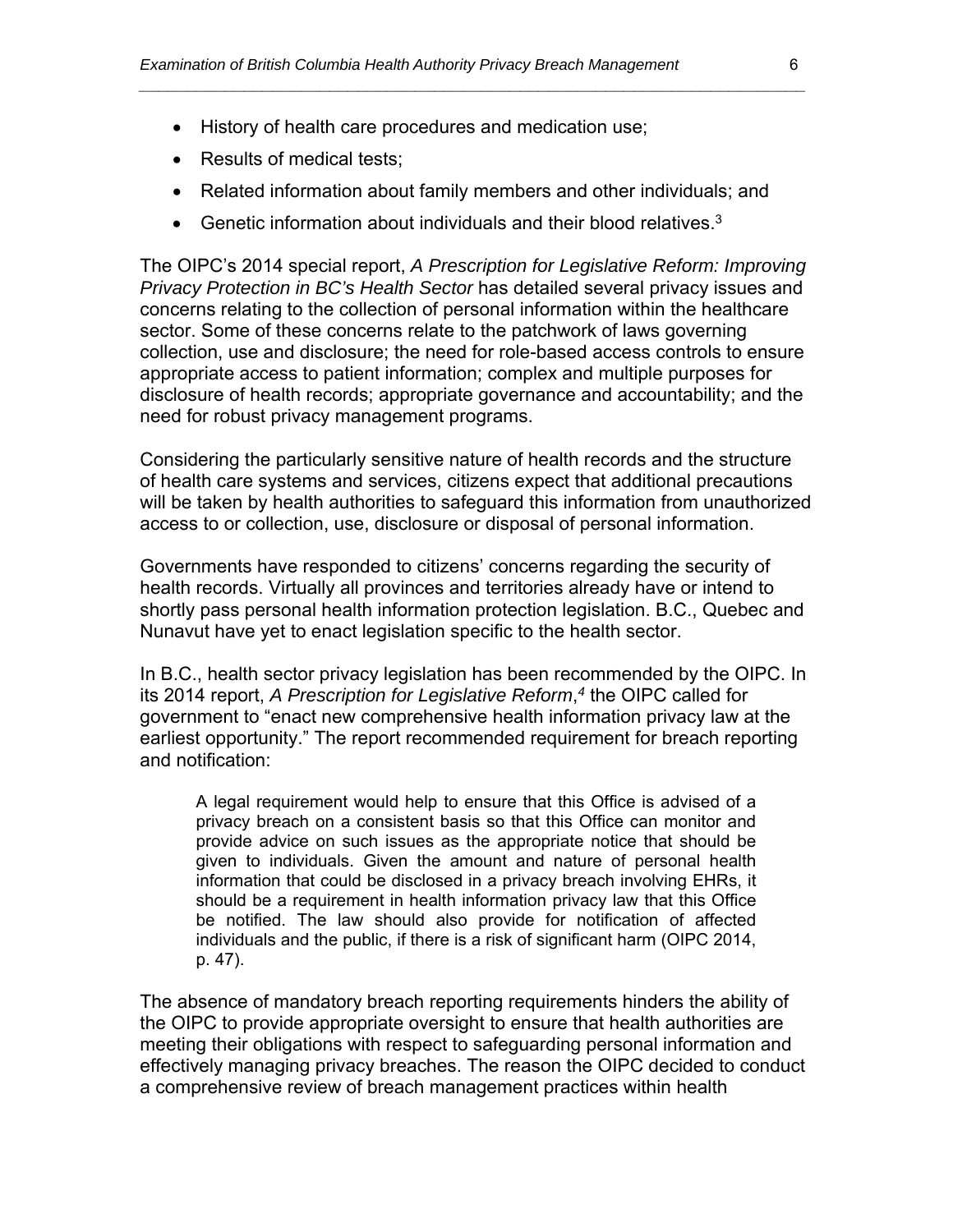- History of health care procedures and medication use;
- Results of medical tests;
- Related information about family members and other individuals; and

*\_\_\_\_\_\_\_\_\_\_\_\_\_\_\_\_\_\_\_\_\_\_\_\_\_\_\_\_\_\_\_\_\_\_\_\_\_\_\_\_\_\_\_\_\_\_\_\_\_\_\_\_\_\_\_\_\_\_\_\_\_\_\_\_\_\_\_\_\_\_* 

Genetic information about individuals and their blood relatives.<sup>3</sup>

The OIPC's 2014 special report, *A Prescription for Legislative Reform: Improving Privacy Protection in BC's Health Sector* has detailed several privacy issues and concerns relating to the collection of personal information within the healthcare sector. Some of these concerns relate to the patchwork of laws governing collection, use and disclosure; the need for role-based access controls to ensure appropriate access to patient information; complex and multiple purposes for disclosure of health records; appropriate governance and accountability; and the need for robust privacy management programs.

Considering the particularly sensitive nature of health records and the structure of health care systems and services, citizens expect that additional precautions will be taken by health authorities to safeguard this information from unauthorized access to or collection, use, disclosure or disposal of personal information.

Governments have responded to citizens' concerns regarding the security of health records. Virtually all provinces and territories already have or intend to shortly pass personal health information protection legislation. B.C., Quebec and Nunavut have yet to enact legislation specific to the health sector.

In B.C., health sector privacy legislation has been recommended by the OIPC. In its 2014 report, *A Prescription for Legislative Reform*, *<sup>4</sup>* the OIPC called for government to "enact new comprehensive health information privacy law at the earliest opportunity." The report recommended requirement for breach reporting and notification:

A legal requirement would help to ensure that this Office is advised of a privacy breach on a consistent basis so that this Office can monitor and provide advice on such issues as the appropriate notice that should be given to individuals. Given the amount and nature of personal health information that could be disclosed in a privacy breach involving EHRs, it should be a requirement in health information privacy law that this Office be notified. The law should also provide for notification of affected individuals and the public, if there is a risk of significant harm (OIPC 2014, p. 47).

The absence of mandatory breach reporting requirements hinders the ability of the OIPC to provide appropriate oversight to ensure that health authorities are meeting their obligations with respect to safeguarding personal information and effectively managing privacy breaches. The reason the OIPC decided to conduct a comprehensive review of breach management practices within health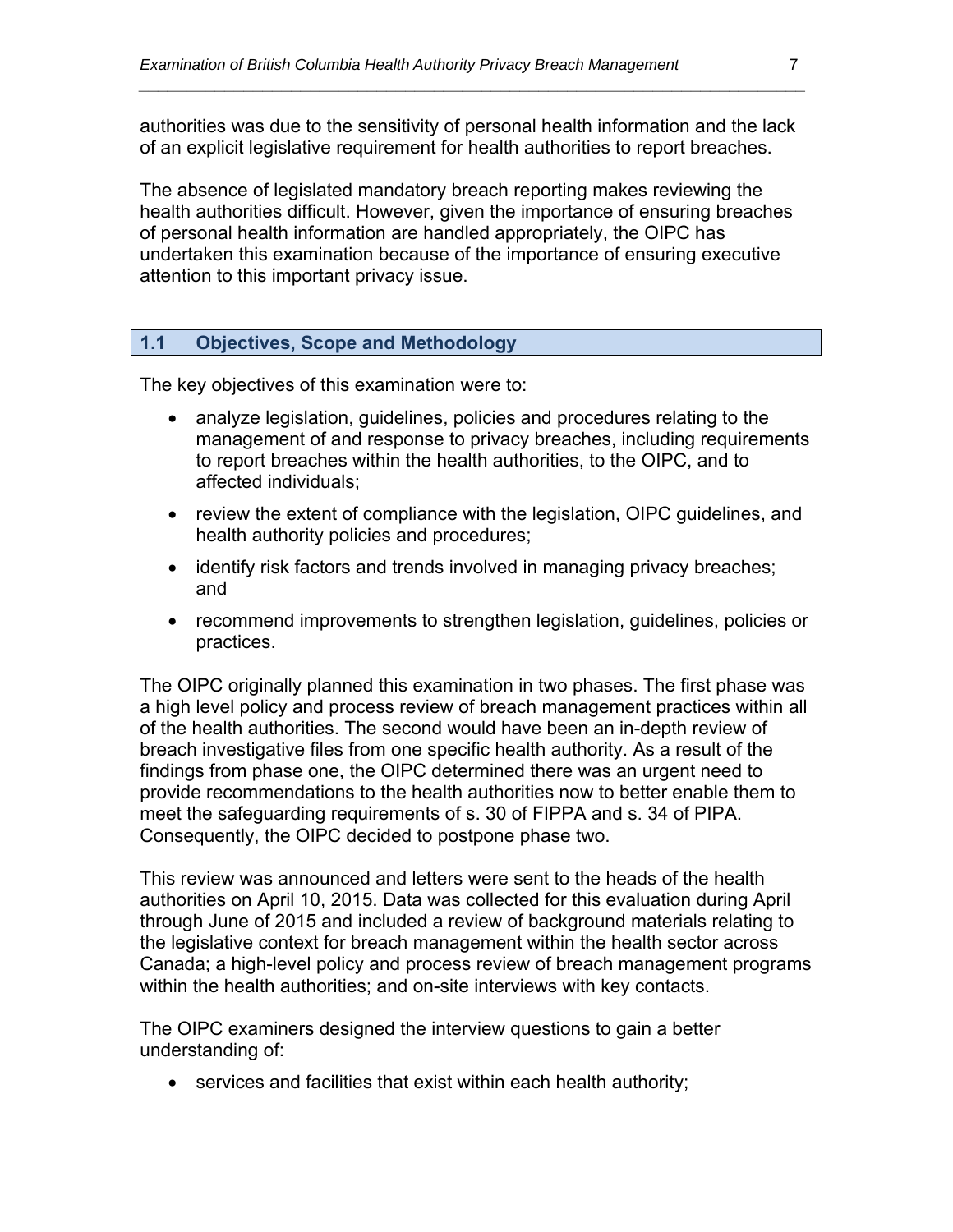authorities was due to the sensitivity of personal health information and the lack of an explicit legislative requirement for health authorities to report breaches.

*\_\_\_\_\_\_\_\_\_\_\_\_\_\_\_\_\_\_\_\_\_\_\_\_\_\_\_\_\_\_\_\_\_\_\_\_\_\_\_\_\_\_\_\_\_\_\_\_\_\_\_\_\_\_\_\_\_\_\_\_\_\_\_\_\_\_\_\_\_\_* 

The absence of legislated mandatory breach reporting makes reviewing the health authorities difficult. However, given the importance of ensuring breaches of personal health information are handled appropriately, the OIPC has undertaken this examination because of the importance of ensuring executive attention to this important privacy issue.

#### **1.1 Objectives, Scope and Methodology**

The key objectives of this examination were to:

- analyze legislation, guidelines, policies and procedures relating to the management of and response to privacy breaches, including requirements to report breaches within the health authorities, to the OIPC, and to affected individuals;
- review the extent of compliance with the legislation, OIPC guidelines, and health authority policies and procedures;
- identify risk factors and trends involved in managing privacy breaches; and
- recommend improvements to strengthen legislation, guidelines, policies or practices.

The OIPC originally planned this examination in two phases. The first phase was a high level policy and process review of breach management practices within all of the health authorities. The second would have been an in-depth review of breach investigative files from one specific health authority. As a result of the findings from phase one, the OIPC determined there was an urgent need to provide recommendations to the health authorities now to better enable them to meet the safeguarding requirements of s. 30 of FIPPA and s. 34 of PIPA. Consequently, the OIPC decided to postpone phase two.

This review was announced and letters were sent to the heads of the health authorities on April 10, 2015. Data was collected for this evaluation during April through June of 2015 and included a review of background materials relating to the legislative context for breach management within the health sector across Canada; a high-level policy and process review of breach management programs within the health authorities; and on-site interviews with key contacts.

The OIPC examiners designed the interview questions to gain a better understanding of:

services and facilities that exist within each health authority;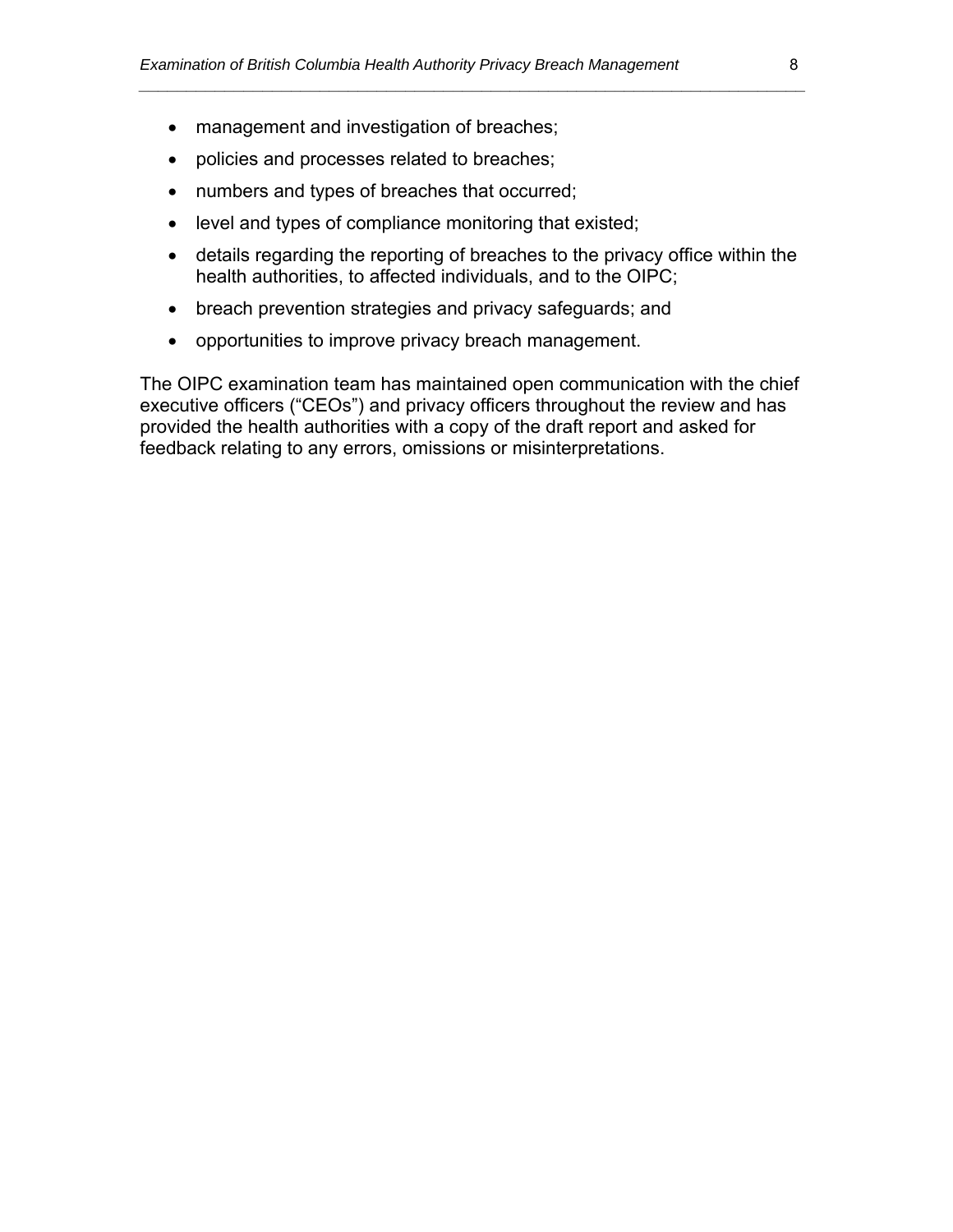- management and investigation of breaches;
- policies and processes related to breaches;
- numbers and types of breaches that occurred;
- level and types of compliance monitoring that existed;
- details regarding the reporting of breaches to the privacy office within the health authorities, to affected individuals, and to the OIPC;

*\_\_\_\_\_\_\_\_\_\_\_\_\_\_\_\_\_\_\_\_\_\_\_\_\_\_\_\_\_\_\_\_\_\_\_\_\_\_\_\_\_\_\_\_\_\_\_\_\_\_\_\_\_\_\_\_\_\_\_\_\_\_\_\_\_\_\_\_\_\_* 

- breach prevention strategies and privacy safeguards; and
- opportunities to improve privacy breach management.

The OIPC examination team has maintained open communication with the chief executive officers ("CEOs") and privacy officers throughout the review and has provided the health authorities with a copy of the draft report and asked for feedback relating to any errors, omissions or misinterpretations.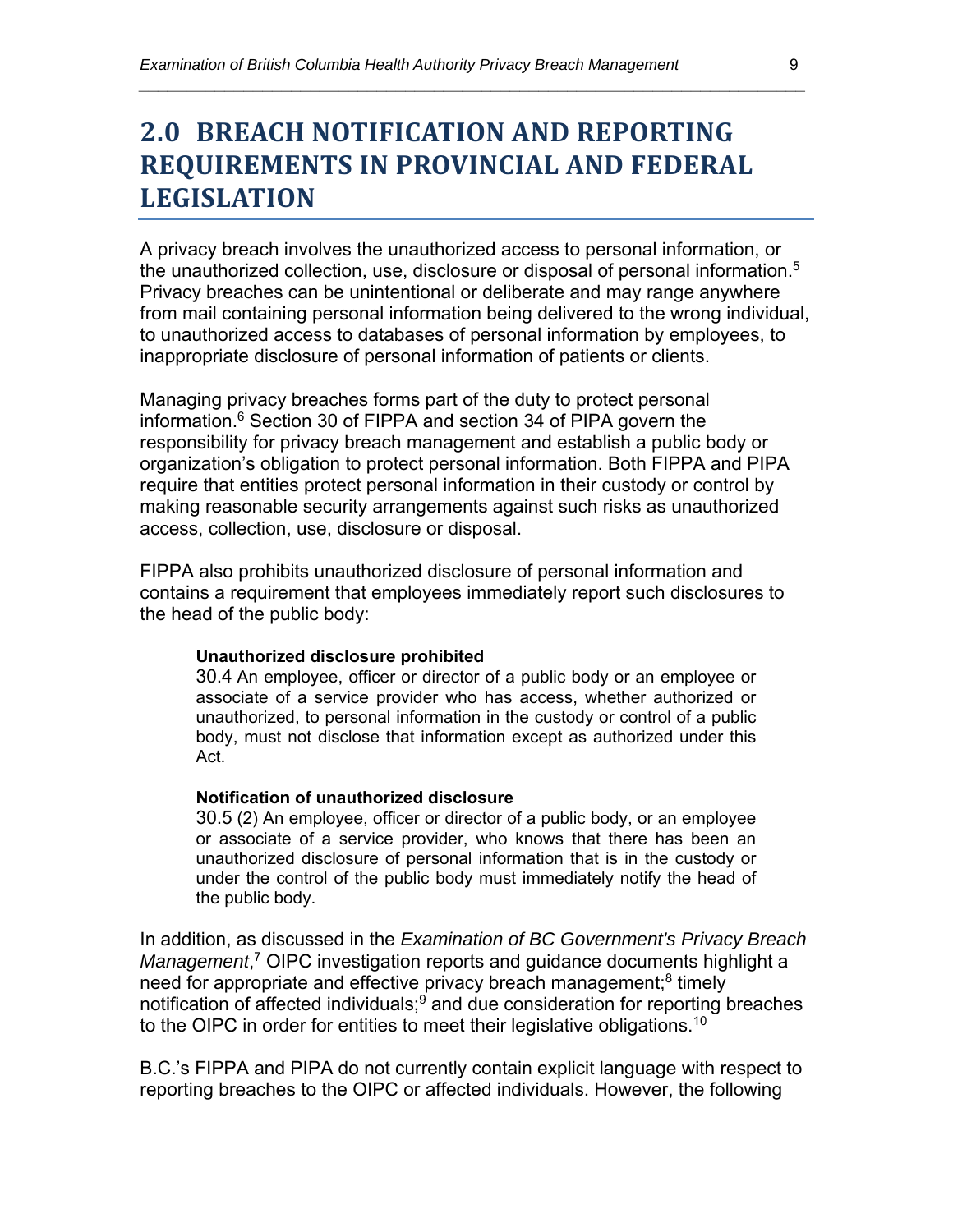### **2.0 BREACH NOTIFICATION AND REPORTING REQUIREMENTS IN PROVINCIAL AND FEDERAL LEGISLATION**

*\_\_\_\_\_\_\_\_\_\_\_\_\_\_\_\_\_\_\_\_\_\_\_\_\_\_\_\_\_\_\_\_\_\_\_\_\_\_\_\_\_\_\_\_\_\_\_\_\_\_\_\_\_\_\_\_\_\_\_\_\_\_\_\_\_\_\_\_\_\_* 

A privacy breach involves the unauthorized access to personal information, or the unauthorized collection, use, disclosure or disposal of personal information.<sup>5</sup> Privacy breaches can be unintentional or deliberate and may range anywhere from mail containing personal information being delivered to the wrong individual, to unauthorized access to databases of personal information by employees, to inappropriate disclosure of personal information of patients or clients.

Managing privacy breaches forms part of the duty to protect personal information.<sup>6</sup> Section 30 of FIPPA and section 34 of PIPA govern the responsibility for privacy breach management and establish a public body or organization's obligation to protect personal information. Both FIPPA and PIPA require that entities protect personal information in their custody or control by making reasonable security arrangements against such risks as unauthorized access, collection, use, disclosure or disposal.

FIPPA also prohibits unauthorized disclosure of personal information and contains a requirement that employees immediately report such disclosures to the head of the public body:

#### **Unauthorized disclosure prohibited**

30.4 An employee, officer or director of a public body or an employee or associate of a service provider who has access, whether authorized or unauthorized, to personal information in the custody or control of a public body, must not disclose that information except as authorized under this Act.

#### **Notification of unauthorized disclosure**

30.5 (2) An employee, officer or director of a public body, or an employee or associate of a service provider, who knows that there has been an unauthorized disclosure of personal information that is in the custody or under the control of the public body must immediately notify the head of the public body.

In addition, as discussed in the *Examination of BC Government's Privacy Breach Management*, 7 OIPC investigation reports and guidance documents highlight a need for appropriate and effective privacy breach management;<sup>8</sup> timely notification of affected individuals;<sup>9</sup> and due consideration for reporting breaches to the OIPC in order for entities to meet their legislative obligations.<sup>10</sup>

B.C.'s FIPPA and PIPA do not currently contain explicit language with respect to reporting breaches to the OIPC or affected individuals. However, the following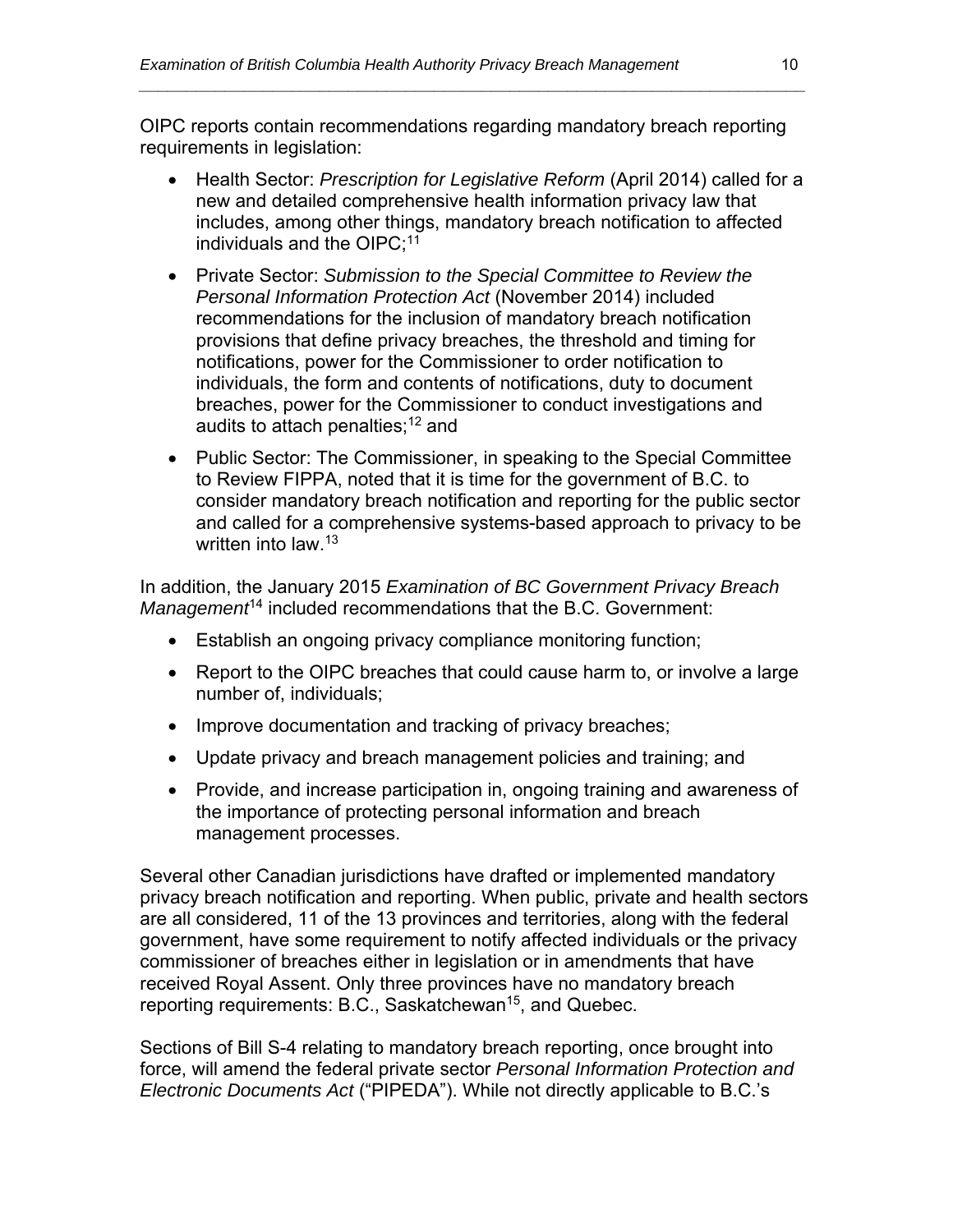OIPC reports contain recommendations regarding mandatory breach reporting requirements in legislation:

*\_\_\_\_\_\_\_\_\_\_\_\_\_\_\_\_\_\_\_\_\_\_\_\_\_\_\_\_\_\_\_\_\_\_\_\_\_\_\_\_\_\_\_\_\_\_\_\_\_\_\_\_\_\_\_\_\_\_\_\_\_\_\_\_\_\_\_\_\_\_* 

- Health Sector: *Prescription for Legislative Reform* (April 2014) called for a new and detailed comprehensive health information privacy law that includes, among other things, mandatory breach notification to affected individuals and the OIPC; $11$
- Private Sector: *Submission to the Special Committee to Review the Personal Information Protection Act* (November 2014) included recommendations for the inclusion of mandatory breach notification provisions that define privacy breaches, the threshold and timing for notifications, power for the Commissioner to order notification to individuals, the form and contents of notifications, duty to document breaches, power for the Commissioner to conduct investigations and audits to attach penalties;<sup>12</sup> and
- Public Sector: The Commissioner, in speaking to the Special Committee to Review FIPPA, noted that it is time for the government of B.C. to consider mandatory breach notification and reporting for the public sector and called for a comprehensive systems-based approach to privacy to be written into law.<sup>13</sup>

In addition, the January 2015 *Examination of BC Government Privacy Breach Management*14 included recommendations that the B.C. Government:

- Establish an ongoing privacy compliance monitoring function;
- Report to the OIPC breaches that could cause harm to, or involve a large number of, individuals;
- Improve documentation and tracking of privacy breaches;
- Update privacy and breach management policies and training; and
- Provide, and increase participation in, ongoing training and awareness of the importance of protecting personal information and breach management processes.

Several other Canadian jurisdictions have drafted or implemented mandatory privacy breach notification and reporting. When public, private and health sectors are all considered, 11 of the 13 provinces and territories, along with the federal government, have some requirement to notify affected individuals or the privacy commissioner of breaches either in legislation or in amendments that have received Royal Assent. Only three provinces have no mandatory breach reporting requirements: B.C., Saskatchewan<sup>15</sup>, and Quebec.

Sections of Bill S-4 relating to mandatory breach reporting, once brought into force, will amend the federal private sector *Personal Information Protection and Electronic Documents Act* ("PIPEDA"). While not directly applicable to B.C.'s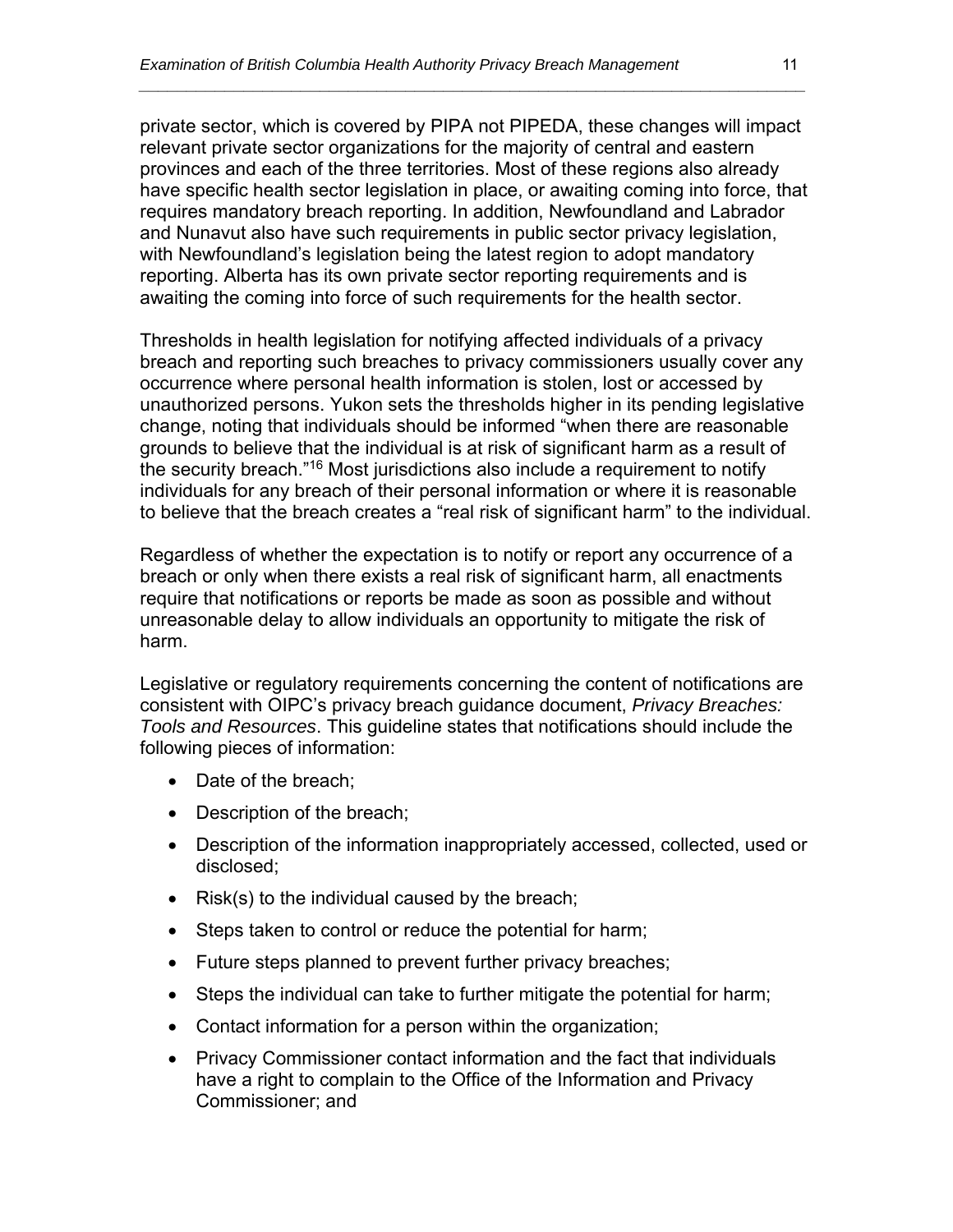private sector, which is covered by PIPA not PIPEDA, these changes will impact relevant private sector organizations for the majority of central and eastern provinces and each of the three territories. Most of these regions also already have specific health sector legislation in place, or awaiting coming into force, that requires mandatory breach reporting. In addition, Newfoundland and Labrador and Nunavut also have such requirements in public sector privacy legislation, with Newfoundland's legislation being the latest region to adopt mandatory reporting. Alberta has its own private sector reporting requirements and is awaiting the coming into force of such requirements for the health sector.

*\_\_\_\_\_\_\_\_\_\_\_\_\_\_\_\_\_\_\_\_\_\_\_\_\_\_\_\_\_\_\_\_\_\_\_\_\_\_\_\_\_\_\_\_\_\_\_\_\_\_\_\_\_\_\_\_\_\_\_\_\_\_\_\_\_\_\_\_\_\_* 

Thresholds in health legislation for notifying affected individuals of a privacy breach and reporting such breaches to privacy commissioners usually cover any occurrence where personal health information is stolen, lost or accessed by unauthorized persons. Yukon sets the thresholds higher in its pending legislative change, noting that individuals should be informed "when there are reasonable grounds to believe that the individual is at risk of significant harm as a result of the security breach."16 Most jurisdictions also include a requirement to notify individuals for any breach of their personal information or where it is reasonable to believe that the breach creates a "real risk of significant harm" to the individual.

Regardless of whether the expectation is to notify or report any occurrence of a breach or only when there exists a real risk of significant harm, all enactments require that notifications or reports be made as soon as possible and without unreasonable delay to allow individuals an opportunity to mitigate the risk of harm.

Legislative or regulatory requirements concerning the content of notifications are consistent with OIPC's privacy breach guidance document, *Privacy Breaches: Tools and Resources*. This guideline states that notifications should include the following pieces of information:

- Date of the breach:
- Description of the breach;
- Description of the information inappropriately accessed, collected, used or disclosed;
- Risk(s) to the individual caused by the breach;
- Steps taken to control or reduce the potential for harm;
- Future steps planned to prevent further privacy breaches;
- Steps the individual can take to further mitigate the potential for harm;
- Contact information for a person within the organization;
- Privacy Commissioner contact information and the fact that individuals have a right to complain to the Office of the Information and Privacy Commissioner; and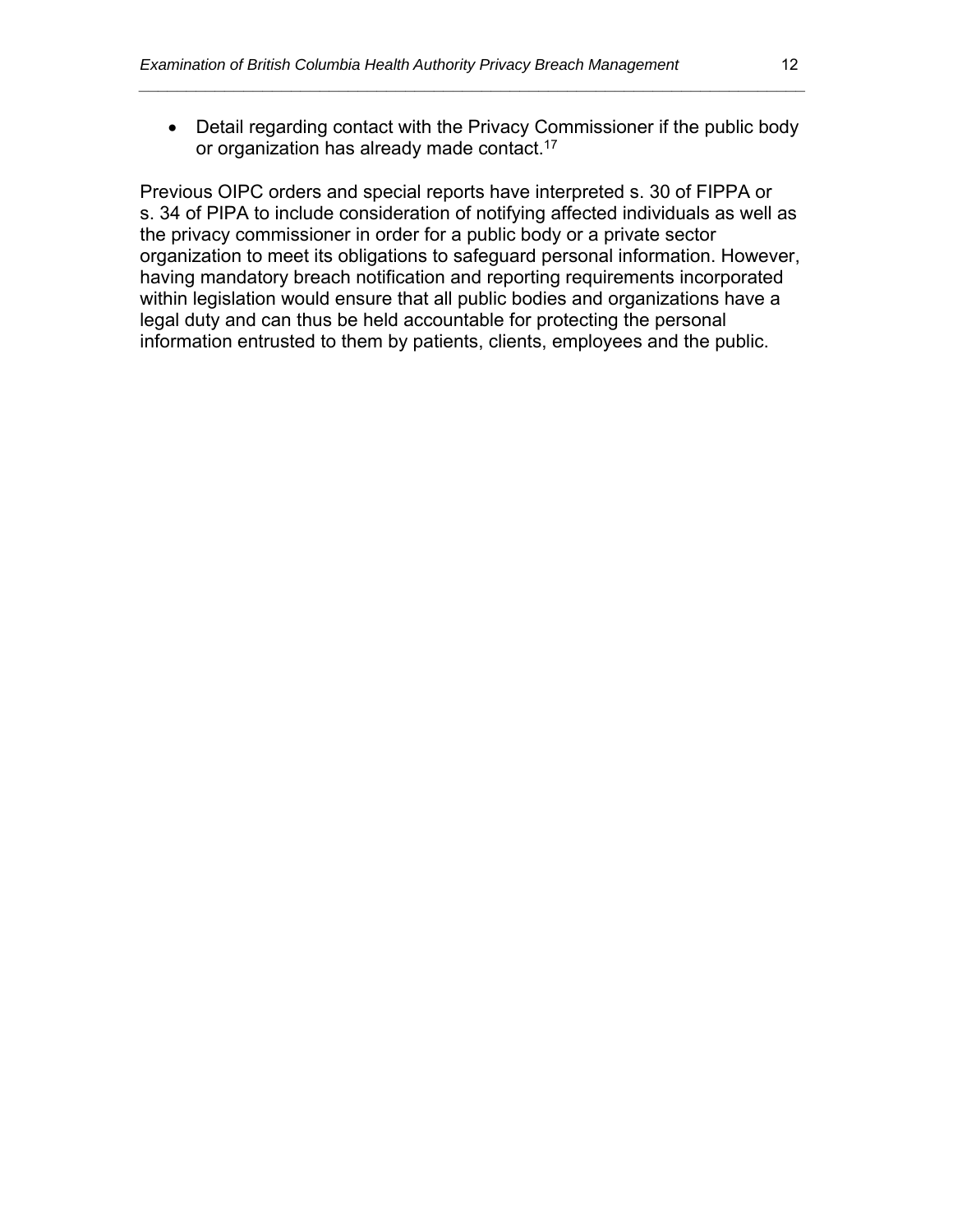Detail regarding contact with the Privacy Commissioner if the public body or organization has already made contact.17

*\_\_\_\_\_\_\_\_\_\_\_\_\_\_\_\_\_\_\_\_\_\_\_\_\_\_\_\_\_\_\_\_\_\_\_\_\_\_\_\_\_\_\_\_\_\_\_\_\_\_\_\_\_\_\_\_\_\_\_\_\_\_\_\_\_\_\_\_\_\_* 

Previous OIPC orders and special reports have interpreted s. 30 of FIPPA or s. 34 of PIPA to include consideration of notifying affected individuals as well as the privacy commissioner in order for a public body or a private sector organization to meet its obligations to safeguard personal information. However, having mandatory breach notification and reporting requirements incorporated within legislation would ensure that all public bodies and organizations have a legal duty and can thus be held accountable for protecting the personal information entrusted to them by patients, clients, employees and the public.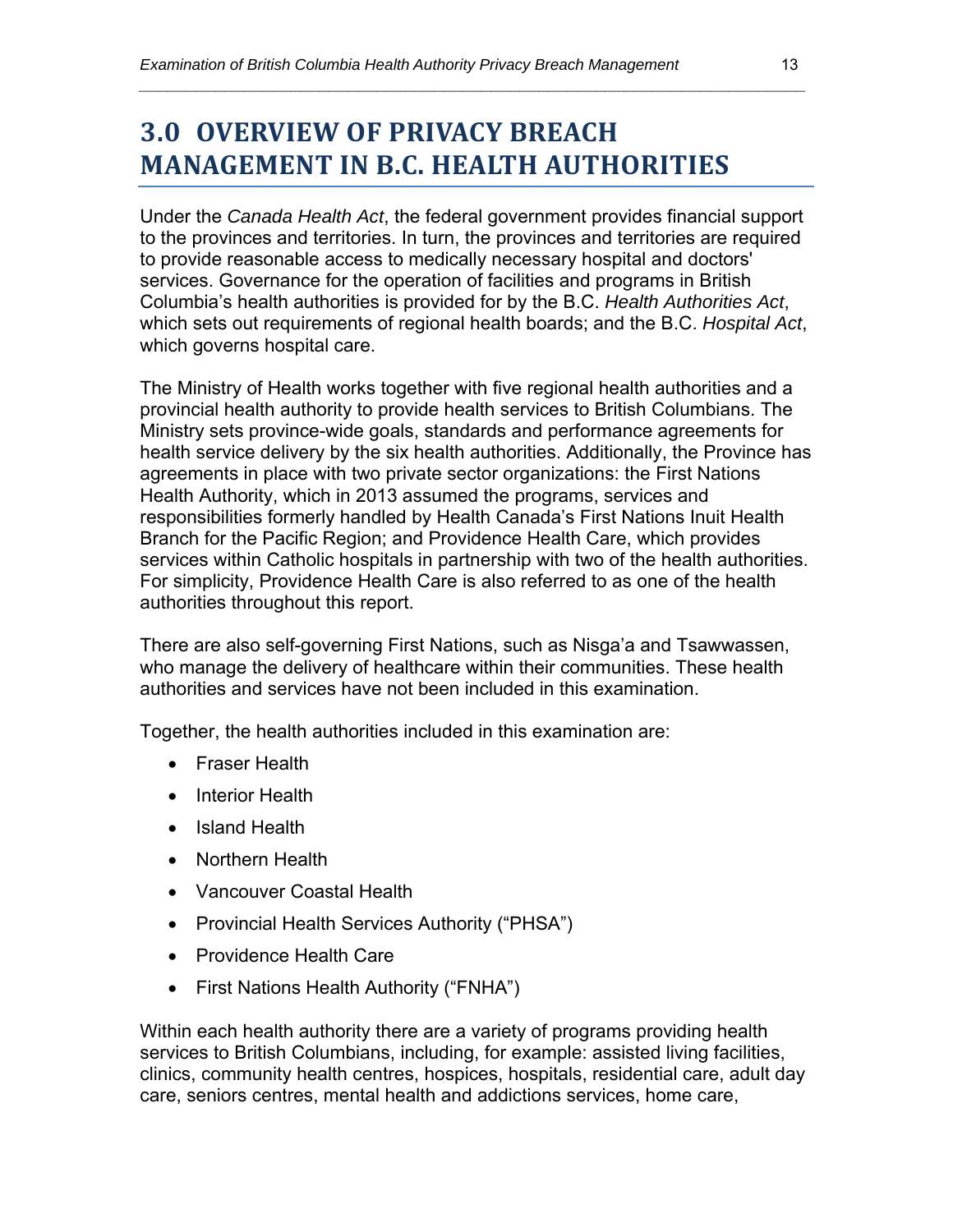## **3.0 OVERVIEW OF PRIVACY BREACH MANAGEMENT IN B.C. HEALTH AUTHORITIES**

Under the *Canada Health Act*, the federal government provides financial support to the provinces and territories. In turn, the provinces and territories are required to provide reasonable access to medically necessary hospital and doctors' services. Governance for the operation of facilities and programs in British Columbia's health authorities is provided for by the B.C. *Health Authorities Act*, which sets out requirements of regional health boards; and the B.C. *Hospital Act*, which governs hospital care.

*\_\_\_\_\_\_\_\_\_\_\_\_\_\_\_\_\_\_\_\_\_\_\_\_\_\_\_\_\_\_\_\_\_\_\_\_\_\_\_\_\_\_\_\_\_\_\_\_\_\_\_\_\_\_\_\_\_\_\_\_\_\_\_\_\_\_\_\_\_\_* 

The Ministry of Health works together with five regional health authorities and a provincial health authority to provide health services to British Columbians. The Ministry sets province-wide goals, standards and performance agreements for health service delivery by the six health authorities. Additionally, the Province has agreements in place with two private sector organizations: the First Nations Health Authority, which in 2013 assumed the programs, services and responsibilities formerly handled by Health Canada's First Nations Inuit Health Branch for the Pacific Region; and Providence Health Care, which provides services within Catholic hospitals in partnership with two of the health authorities. For simplicity, Providence Health Care is also referred to as one of the health authorities throughout this report.

There are also self-governing First Nations, such as Nisga'a and Tsawwassen, who manage the delivery of healthcare within their communities. These health authorities and services have not been included in this examination.

Together, the health authorities included in this examination are:

- Fraser Health
- Interior Health
- Island Health
- Northern Health
- Vancouver Coastal Health
- Provincial Health Services Authority ("PHSA")
- Providence Health Care
- First Nations Health Authority ("FNHA")

Within each health authority there are a variety of programs providing health services to British Columbians, including, for example: assisted living facilities, clinics, community health centres, hospices, hospitals, residential care, adult day care, seniors centres, mental health and addictions services, home care,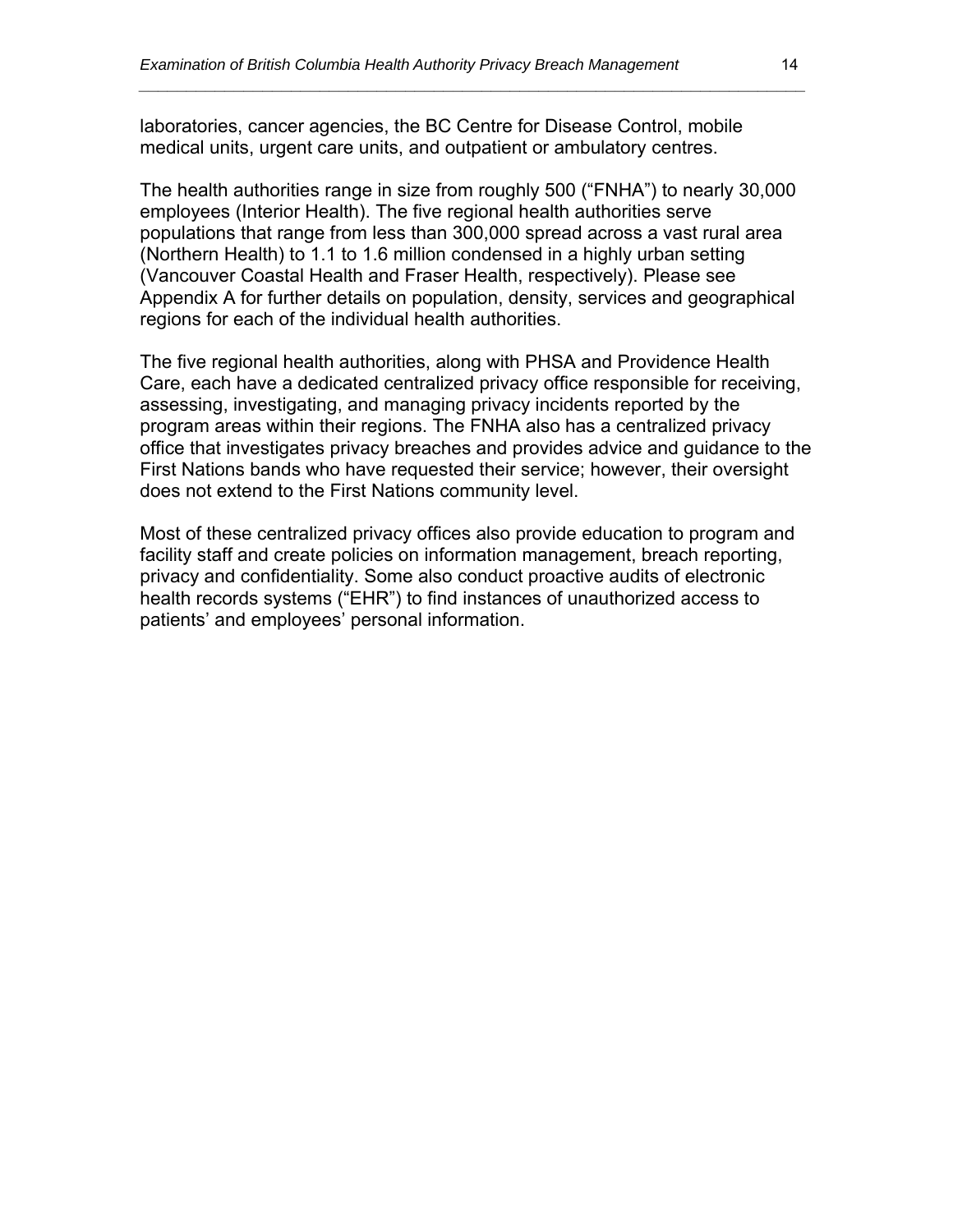laboratories, cancer agencies, the BC Centre for Disease Control, mobile medical units, urgent care units, and outpatient or ambulatory centres.

The health authorities range in size from roughly 500 ("FNHA") to nearly 30,000 employees (Interior Health). The five regional health authorities serve populations that range from less than 300,000 spread across a vast rural area (Northern Health) to 1.1 to 1.6 million condensed in a highly urban setting (Vancouver Coastal Health and Fraser Health, respectively). Please see Appendix A for further details on population, density, services and geographical regions for each of the individual health authorities.

*\_\_\_\_\_\_\_\_\_\_\_\_\_\_\_\_\_\_\_\_\_\_\_\_\_\_\_\_\_\_\_\_\_\_\_\_\_\_\_\_\_\_\_\_\_\_\_\_\_\_\_\_\_\_\_\_\_\_\_\_\_\_\_\_\_\_\_\_\_\_* 

The five regional health authorities, along with PHSA and Providence Health Care, each have a dedicated centralized privacy office responsible for receiving, assessing, investigating, and managing privacy incidents reported by the program areas within their regions. The FNHA also has a centralized privacy office that investigates privacy breaches and provides advice and guidance to the First Nations bands who have requested their service; however, their oversight does not extend to the First Nations community level.

Most of these centralized privacy offices also provide education to program and facility staff and create policies on information management, breach reporting, privacy and confidentiality. Some also conduct proactive audits of electronic health records systems ("EHR") to find instances of unauthorized access to patients' and employees' personal information.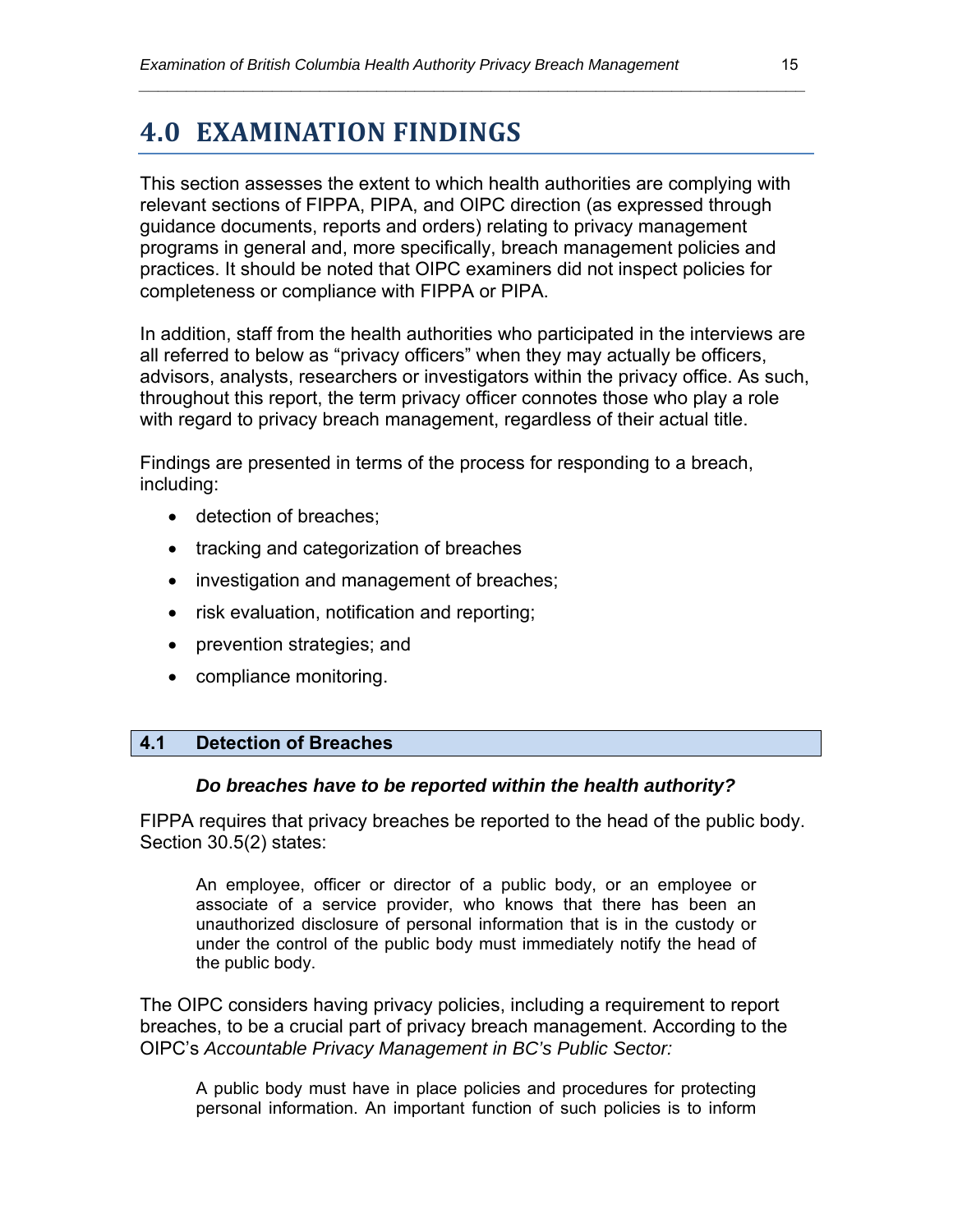### **4.0 EXAMINATION FINDINGS**

This section assesses the extent to which health authorities are complying with relevant sections of FIPPA, PIPA, and OIPC direction (as expressed through guidance documents, reports and orders) relating to privacy management programs in general and, more specifically, breach management policies and practices. It should be noted that OIPC examiners did not inspect policies for completeness or compliance with FIPPA or PIPA.

*\_\_\_\_\_\_\_\_\_\_\_\_\_\_\_\_\_\_\_\_\_\_\_\_\_\_\_\_\_\_\_\_\_\_\_\_\_\_\_\_\_\_\_\_\_\_\_\_\_\_\_\_\_\_\_\_\_\_\_\_\_\_\_\_\_\_\_\_\_\_* 

In addition, staff from the health authorities who participated in the interviews are all referred to below as "privacy officers" when they may actually be officers, advisors, analysts, researchers or investigators within the privacy office. As such, throughout this report, the term privacy officer connotes those who play a role with regard to privacy breach management, regardless of their actual title.

Findings are presented in terms of the process for responding to a breach, including:

- **•** detection of breaches;
- tracking and categorization of breaches
- investigation and management of breaches;
- risk evaluation, notification and reporting;
- prevention strategies; and
- compliance monitoring.

#### **4.1 Detection of Breaches**

#### *Do breaches have to be reported within the health authority?*

FIPPA requires that privacy breaches be reported to the head of the public body. Section 30.5(2) states:

An employee, officer or director of a public body, or an employee or associate of a service provider, who knows that there has been an unauthorized disclosure of personal information that is in the custody or under the control of the public body must immediately notify the head of the public body.

The OIPC considers having privacy policies, including a requirement to report breaches, to be a crucial part of privacy breach management. According to the OIPC's *Accountable Privacy Management in BC's Public Sector:* 

A public body must have in place policies and procedures for protecting personal information. An important function of such policies is to inform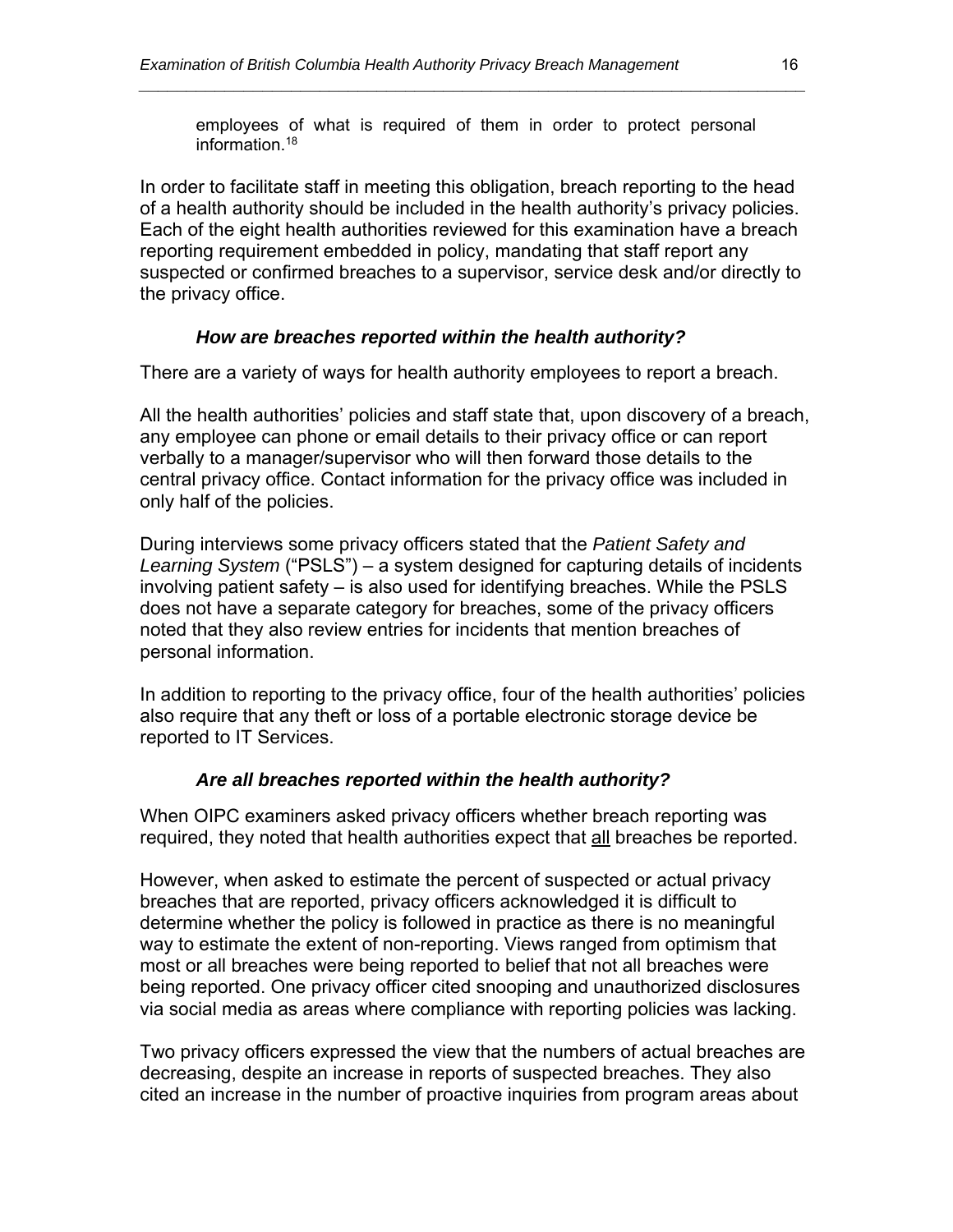employees of what is required of them in order to protect personal information.18

*\_\_\_\_\_\_\_\_\_\_\_\_\_\_\_\_\_\_\_\_\_\_\_\_\_\_\_\_\_\_\_\_\_\_\_\_\_\_\_\_\_\_\_\_\_\_\_\_\_\_\_\_\_\_\_\_\_\_\_\_\_\_\_\_\_\_\_\_\_\_* 

In order to facilitate staff in meeting this obligation, breach reporting to the head of a health authority should be included in the health authority's privacy policies. Each of the eight health authorities reviewed for this examination have a breach reporting requirement embedded in policy, mandating that staff report any suspected or confirmed breaches to a supervisor, service desk and/or directly to the privacy office.

#### *How are breaches reported within the health authority?*

There are a variety of ways for health authority employees to report a breach.

All the health authorities' policies and staff state that, upon discovery of a breach, any employee can phone or email details to their privacy office or can report verbally to a manager/supervisor who will then forward those details to the central privacy office. Contact information for the privacy office was included in only half of the policies.

During interviews some privacy officers stated that the *Patient Safety and Learning System* ("PSLS") – a system designed for capturing details of incidents involving patient safety – is also used for identifying breaches. While the PSLS does not have a separate category for breaches, some of the privacy officers noted that they also review entries for incidents that mention breaches of personal information.

In addition to reporting to the privacy office, four of the health authorities' policies also require that any theft or loss of a portable electronic storage device be reported to IT Services.

#### *Are all breaches reported within the health authority?*

When OIPC examiners asked privacy officers whether breach reporting was required, they noted that health authorities expect that all breaches be reported.

However, when asked to estimate the percent of suspected or actual privacy breaches that are reported, privacy officers acknowledged it is difficult to determine whether the policy is followed in practice as there is no meaningful way to estimate the extent of non-reporting. Views ranged from optimism that most or all breaches were being reported to belief that not all breaches were being reported. One privacy officer cited snooping and unauthorized disclosures via social media as areas where compliance with reporting policies was lacking.

Two privacy officers expressed the view that the numbers of actual breaches are decreasing, despite an increase in reports of suspected breaches. They also cited an increase in the number of proactive inquiries from program areas about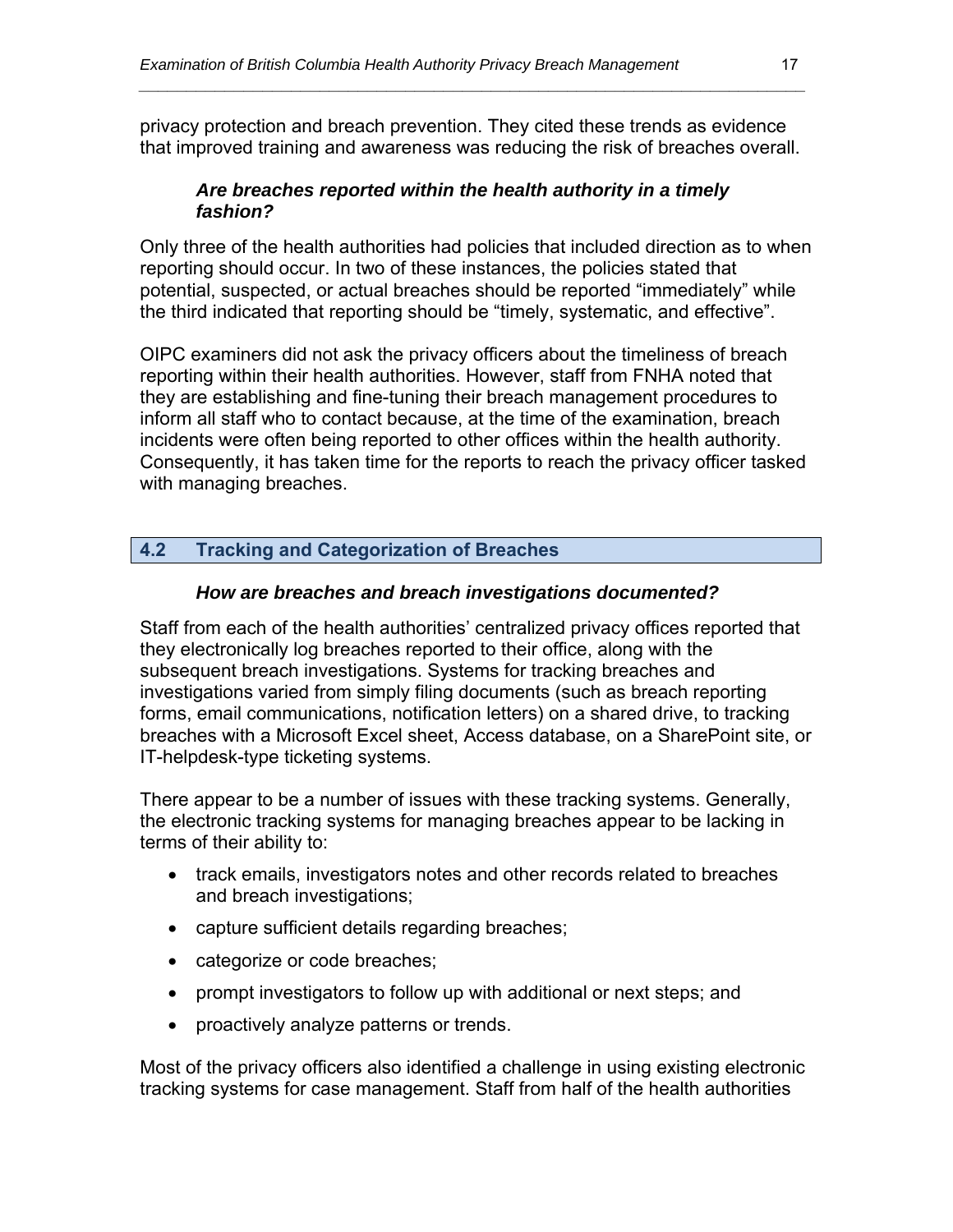privacy protection and breach prevention. They cited these trends as evidence that improved training and awareness was reducing the risk of breaches overall.

*\_\_\_\_\_\_\_\_\_\_\_\_\_\_\_\_\_\_\_\_\_\_\_\_\_\_\_\_\_\_\_\_\_\_\_\_\_\_\_\_\_\_\_\_\_\_\_\_\_\_\_\_\_\_\_\_\_\_\_\_\_\_\_\_\_\_\_\_\_\_* 

#### *Are breaches reported within the health authority in a timely fashion?*

Only three of the health authorities had policies that included direction as to when reporting should occur. In two of these instances, the policies stated that potential, suspected, or actual breaches should be reported "immediately" while the third indicated that reporting should be "timely, systematic, and effective".

OIPC examiners did not ask the privacy officers about the timeliness of breach reporting within their health authorities. However, staff from FNHA noted that they are establishing and fine-tuning their breach management procedures to inform all staff who to contact because, at the time of the examination, breach incidents were often being reported to other offices within the health authority. Consequently, it has taken time for the reports to reach the privacy officer tasked with managing breaches.

#### **4.2 Tracking and Categorization of Breaches**

#### *How are breaches and breach investigations documented?*

Staff from each of the health authorities' centralized privacy offices reported that they electronically log breaches reported to their office, along with the subsequent breach investigations. Systems for tracking breaches and investigations varied from simply filing documents (such as breach reporting forms, email communications, notification letters) on a shared drive, to tracking breaches with a Microsoft Excel sheet, Access database, on a SharePoint site, or IT-helpdesk-type ticketing systems.

There appear to be a number of issues with these tracking systems. Generally, the electronic tracking systems for managing breaches appear to be lacking in terms of their ability to:

- track emails, investigators notes and other records related to breaches and breach investigations;
- capture sufficient details regarding breaches;
- categorize or code breaches;
- prompt investigators to follow up with additional or next steps; and
- proactively analyze patterns or trends.

Most of the privacy officers also identified a challenge in using existing electronic tracking systems for case management. Staff from half of the health authorities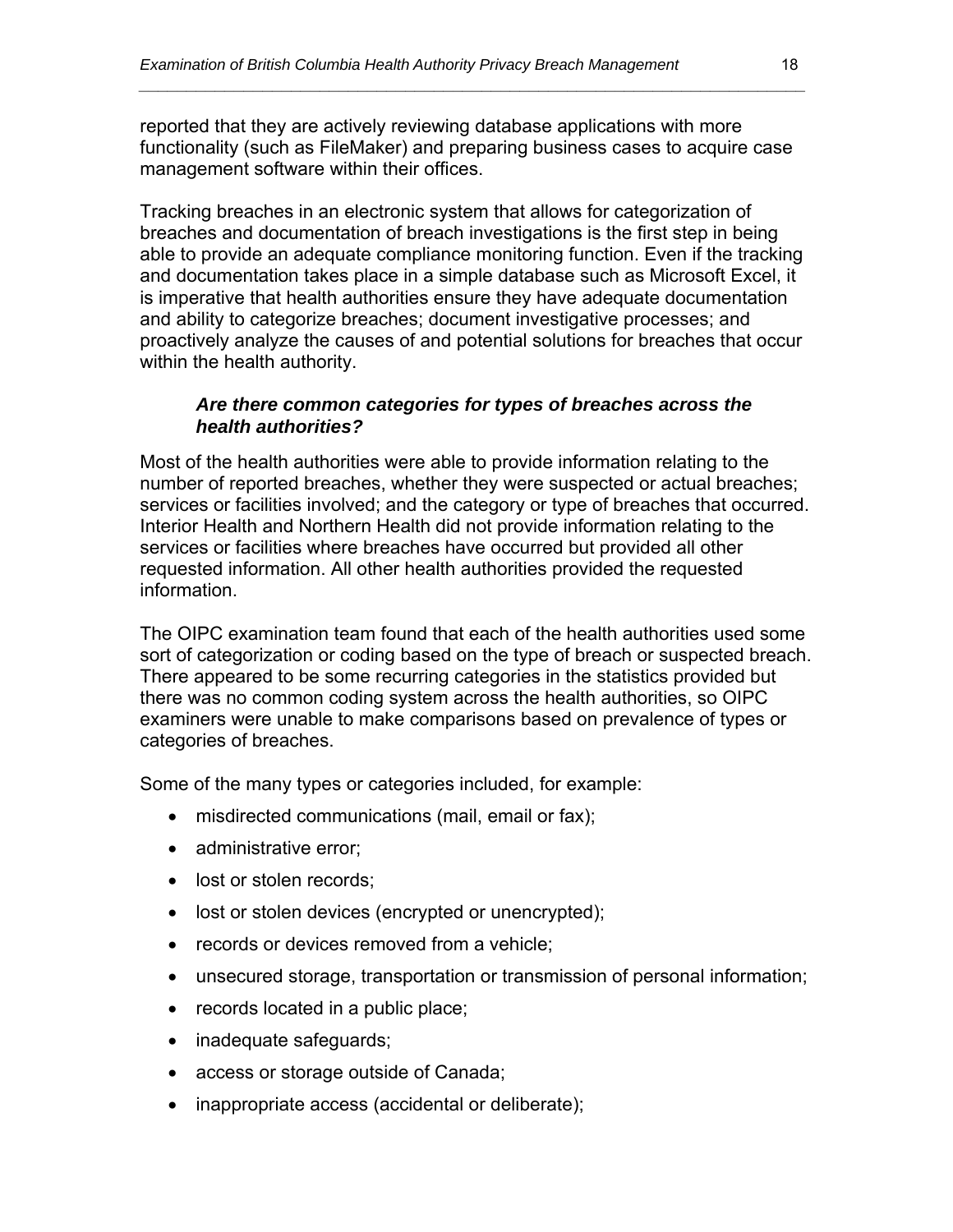reported that they are actively reviewing database applications with more functionality (such as FileMaker) and preparing business cases to acquire case management software within their offices.

*\_\_\_\_\_\_\_\_\_\_\_\_\_\_\_\_\_\_\_\_\_\_\_\_\_\_\_\_\_\_\_\_\_\_\_\_\_\_\_\_\_\_\_\_\_\_\_\_\_\_\_\_\_\_\_\_\_\_\_\_\_\_\_\_\_\_\_\_\_\_* 

Tracking breaches in an electronic system that allows for categorization of breaches and documentation of breach investigations is the first step in being able to provide an adequate compliance monitoring function. Even if the tracking and documentation takes place in a simple database such as Microsoft Excel, it is imperative that health authorities ensure they have adequate documentation and ability to categorize breaches; document investigative processes; and proactively analyze the causes of and potential solutions for breaches that occur within the health authority.

#### *Are there common categories for types of breaches across the health authorities?*

Most of the health authorities were able to provide information relating to the number of reported breaches, whether they were suspected or actual breaches; services or facilities involved; and the category or type of breaches that occurred. Interior Health and Northern Health did not provide information relating to the services or facilities where breaches have occurred but provided all other requested information. All other health authorities provided the requested information.

The OIPC examination team found that each of the health authorities used some sort of categorization or coding based on the type of breach or suspected breach. There appeared to be some recurring categories in the statistics provided but there was no common coding system across the health authorities, so OIPC examiners were unable to make comparisons based on prevalence of types or categories of breaches.

Some of the many types or categories included, for example:

- misdirected communications (mail, email or fax);
- administrative error;
- lost or stolen records;
- lost or stolen devices (encrypted or unencrypted);
- records or devices removed from a vehicle:
- unsecured storage, transportation or transmission of personal information;
- records located in a public place;
- inadequate safeguards;
- access or storage outside of Canada;
- inappropriate access (accidental or deliberate);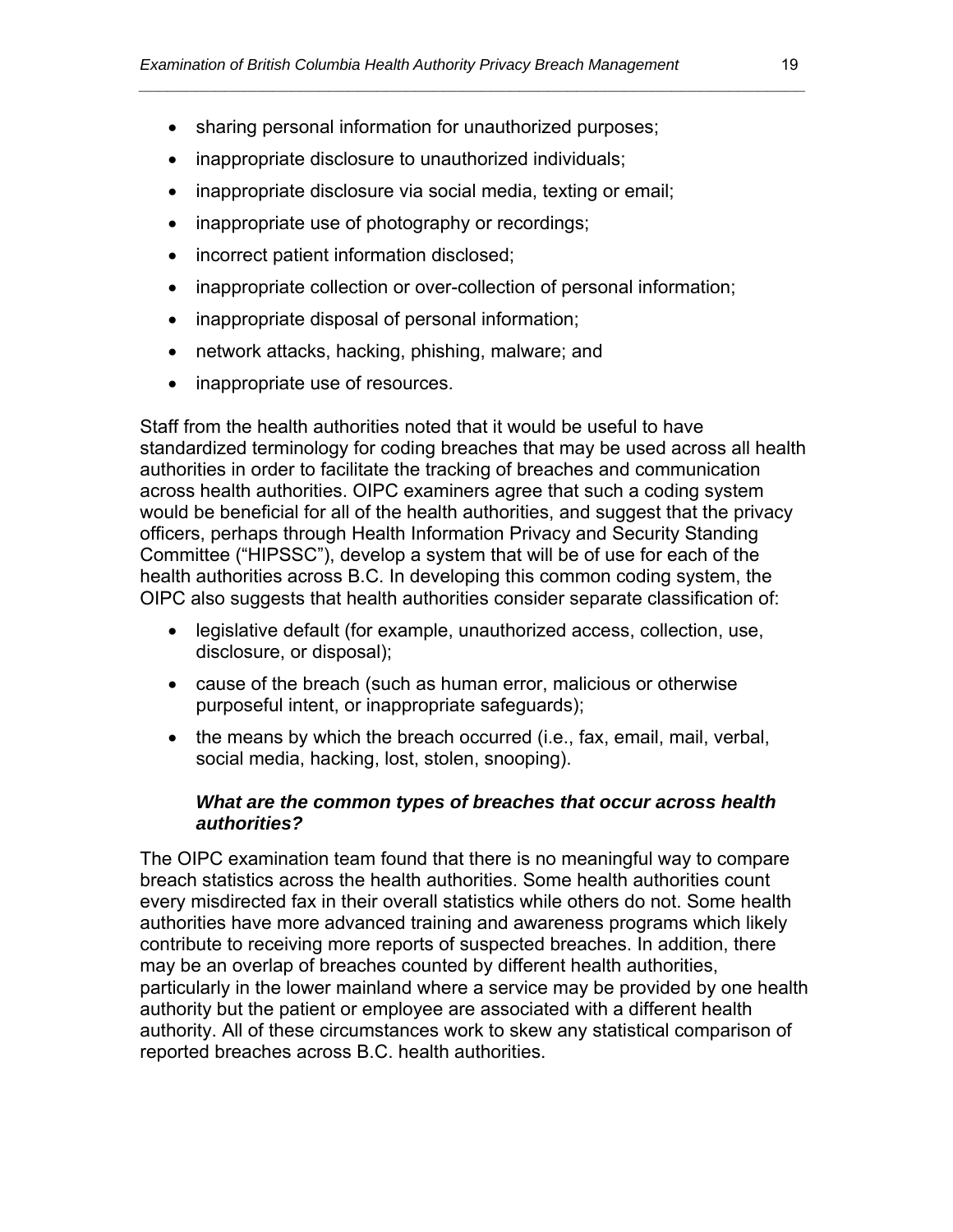- sharing personal information for unauthorized purposes;
- inappropriate disclosure to unauthorized individuals;
- inappropriate disclosure via social media, texting or email;
- inappropriate use of photography or recordings;
- incorrect patient information disclosed;
- inappropriate collection or over-collection of personal information;

*\_\_\_\_\_\_\_\_\_\_\_\_\_\_\_\_\_\_\_\_\_\_\_\_\_\_\_\_\_\_\_\_\_\_\_\_\_\_\_\_\_\_\_\_\_\_\_\_\_\_\_\_\_\_\_\_\_\_\_\_\_\_\_\_\_\_\_\_\_\_* 

- inappropriate disposal of personal information;
- network attacks, hacking, phishing, malware; and
- inappropriate use of resources.

Staff from the health authorities noted that it would be useful to have standardized terminology for coding breaches that may be used across all health authorities in order to facilitate the tracking of breaches and communication across health authorities. OIPC examiners agree that such a coding system would be beneficial for all of the health authorities, and suggest that the privacy officers, perhaps through Health Information Privacy and Security Standing Committee ("HIPSSC"), develop a system that will be of use for each of the health authorities across B.C. In developing this common coding system, the OIPC also suggests that health authorities consider separate classification of:

- legislative default (for example, unauthorized access, collection, use, disclosure, or disposal);
- cause of the breach (such as human error, malicious or otherwise purposeful intent, or inappropriate safeguards);
- the means by which the breach occurred (i.e., fax, email, mail, verbal, social media, hacking, lost, stolen, snooping).

#### *What are the common types of breaches that occur across health authorities?*

The OIPC examination team found that there is no meaningful way to compare breach statistics across the health authorities. Some health authorities count every misdirected fax in their overall statistics while others do not. Some health authorities have more advanced training and awareness programs which likely contribute to receiving more reports of suspected breaches. In addition, there may be an overlap of breaches counted by different health authorities, particularly in the lower mainland where a service may be provided by one health authority but the patient or employee are associated with a different health authority. All of these circumstances work to skew any statistical comparison of reported breaches across B.C. health authorities.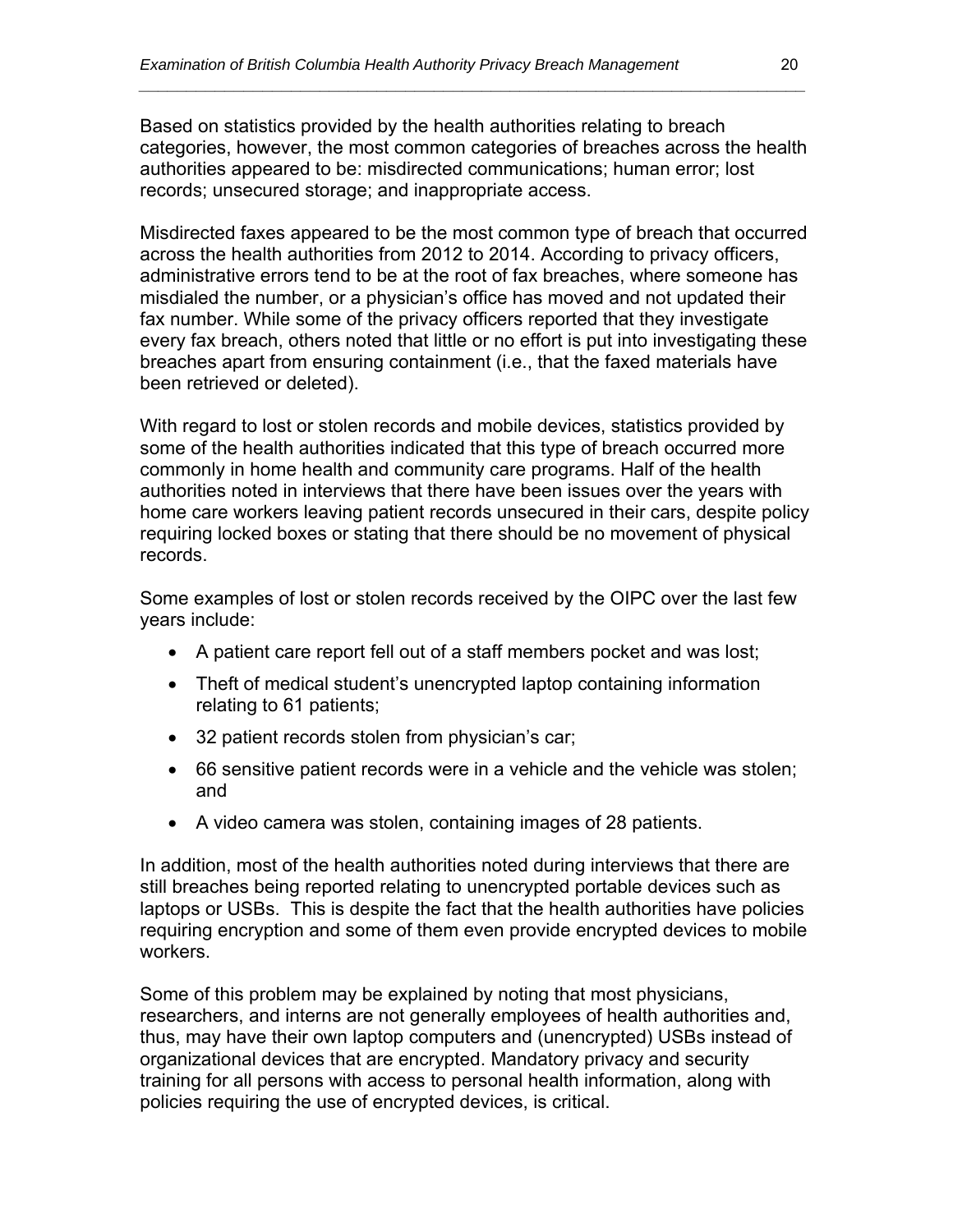Based on statistics provided by the health authorities relating to breach categories, however, the most common categories of breaches across the health authorities appeared to be: misdirected communications; human error; lost records; unsecured storage; and inappropriate access.

*\_\_\_\_\_\_\_\_\_\_\_\_\_\_\_\_\_\_\_\_\_\_\_\_\_\_\_\_\_\_\_\_\_\_\_\_\_\_\_\_\_\_\_\_\_\_\_\_\_\_\_\_\_\_\_\_\_\_\_\_\_\_\_\_\_\_\_\_\_\_* 

Misdirected faxes appeared to be the most common type of breach that occurred across the health authorities from 2012 to 2014. According to privacy officers, administrative errors tend to be at the root of fax breaches, where someone has misdialed the number, or a physician's office has moved and not updated their fax number. While some of the privacy officers reported that they investigate every fax breach, others noted that little or no effort is put into investigating these breaches apart from ensuring containment (i.e., that the faxed materials have been retrieved or deleted).

With regard to lost or stolen records and mobile devices, statistics provided by some of the health authorities indicated that this type of breach occurred more commonly in home health and community care programs. Half of the health authorities noted in interviews that there have been issues over the years with home care workers leaving patient records unsecured in their cars, despite policy requiring locked boxes or stating that there should be no movement of physical records.

Some examples of lost or stolen records received by the OIPC over the last few years include:

- A patient care report fell out of a staff members pocket and was lost;
- Theft of medical student's unencrypted laptop containing information relating to 61 patients;
- 32 patient records stolen from physician's car;
- 66 sensitive patient records were in a vehicle and the vehicle was stolen; and
- A video camera was stolen, containing images of 28 patients.

In addition, most of the health authorities noted during interviews that there are still breaches being reported relating to unencrypted portable devices such as laptops or USBs. This is despite the fact that the health authorities have policies requiring encryption and some of them even provide encrypted devices to mobile workers.

Some of this problem may be explained by noting that most physicians, researchers, and interns are not generally employees of health authorities and, thus, may have their own laptop computers and (unencrypted) USBs instead of organizational devices that are encrypted. Mandatory privacy and security training for all persons with access to personal health information, along with policies requiring the use of encrypted devices, is critical.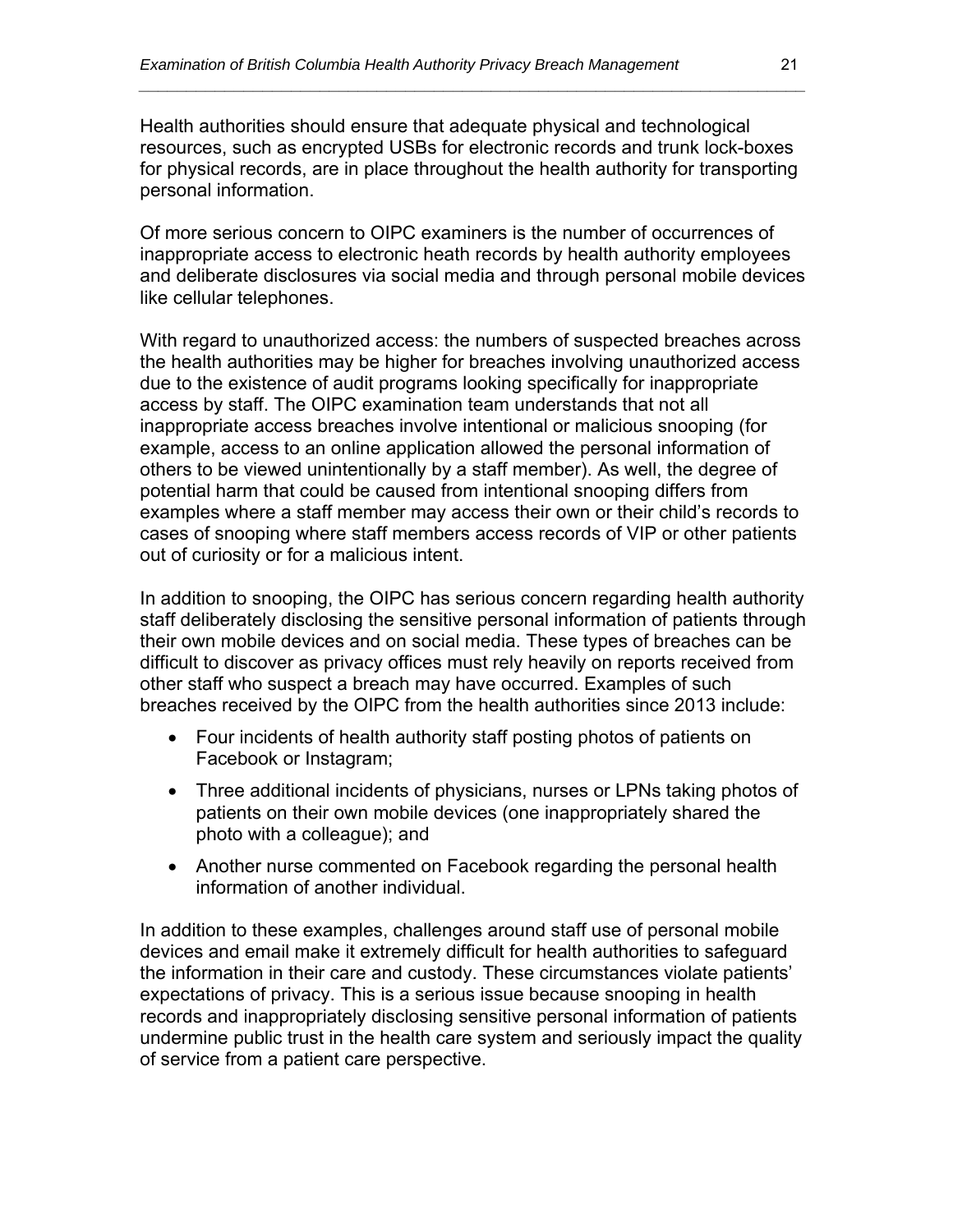Health authorities should ensure that adequate physical and technological resources, such as encrypted USBs for electronic records and trunk lock-boxes for physical records, are in place throughout the health authority for transporting personal information.

*\_\_\_\_\_\_\_\_\_\_\_\_\_\_\_\_\_\_\_\_\_\_\_\_\_\_\_\_\_\_\_\_\_\_\_\_\_\_\_\_\_\_\_\_\_\_\_\_\_\_\_\_\_\_\_\_\_\_\_\_\_\_\_\_\_\_\_\_\_\_* 

Of more serious concern to OIPC examiners is the number of occurrences of inappropriate access to electronic heath records by health authority employees and deliberate disclosures via social media and through personal mobile devices like cellular telephones.

With regard to unauthorized access: the numbers of suspected breaches across the health authorities may be higher for breaches involving unauthorized access due to the existence of audit programs looking specifically for inappropriate access by staff. The OIPC examination team understands that not all inappropriate access breaches involve intentional or malicious snooping (for example, access to an online application allowed the personal information of others to be viewed unintentionally by a staff member). As well, the degree of potential harm that could be caused from intentional snooping differs from examples where a staff member may access their own or their child's records to cases of snooping where staff members access records of VIP or other patients out of curiosity or for a malicious intent.

In addition to snooping, the OIPC has serious concern regarding health authority staff deliberately disclosing the sensitive personal information of patients through their own mobile devices and on social media. These types of breaches can be difficult to discover as privacy offices must rely heavily on reports received from other staff who suspect a breach may have occurred. Examples of such breaches received by the OIPC from the health authorities since 2013 include:

- Four incidents of health authority staff posting photos of patients on Facebook or Instagram;
- Three additional incidents of physicians, nurses or LPNs taking photos of patients on their own mobile devices (one inappropriately shared the photo with a colleague); and
- Another nurse commented on Facebook regarding the personal health information of another individual.

In addition to these examples, challenges around staff use of personal mobile devices and email make it extremely difficult for health authorities to safeguard the information in their care and custody. These circumstances violate patients' expectations of privacy. This is a serious issue because snooping in health records and inappropriately disclosing sensitive personal information of patients undermine public trust in the health care system and seriously impact the quality of service from a patient care perspective.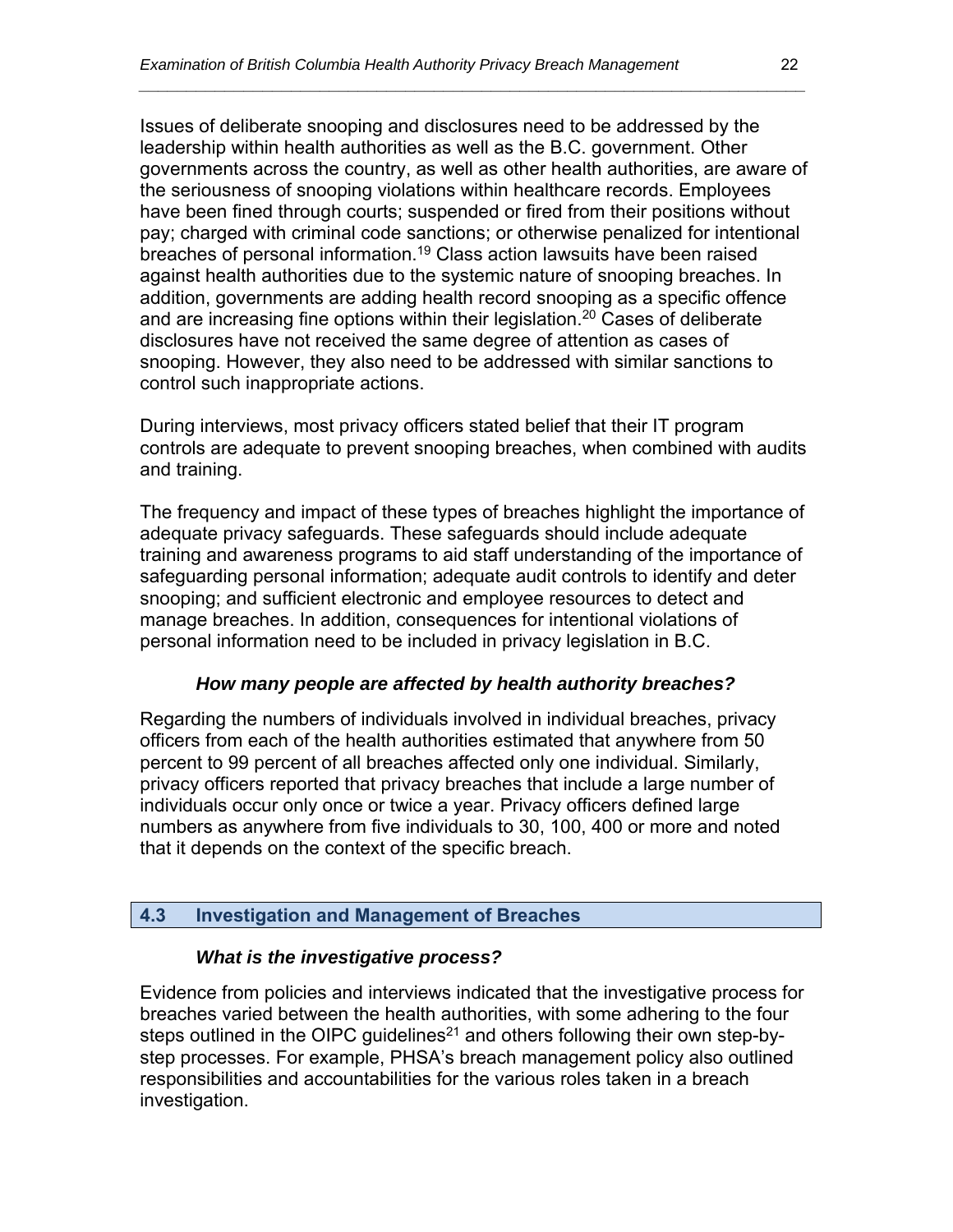Issues of deliberate snooping and disclosures need to be addressed by the leadership within health authorities as well as the B.C. government. Other governments across the country, as well as other health authorities, are aware of the seriousness of snooping violations within healthcare records. Employees have been fined through courts; suspended or fired from their positions without pay; charged with criminal code sanctions; or otherwise penalized for intentional breaches of personal information.<sup>19</sup> Class action lawsuits have been raised against health authorities due to the systemic nature of snooping breaches. In addition, governments are adding health record snooping as a specific offence and are increasing fine options within their legislation.<sup>20</sup> Cases of deliberate disclosures have not received the same degree of attention as cases of snooping. However, they also need to be addressed with similar sanctions to control such inappropriate actions.

*\_\_\_\_\_\_\_\_\_\_\_\_\_\_\_\_\_\_\_\_\_\_\_\_\_\_\_\_\_\_\_\_\_\_\_\_\_\_\_\_\_\_\_\_\_\_\_\_\_\_\_\_\_\_\_\_\_\_\_\_\_\_\_\_\_\_\_\_\_\_* 

During interviews, most privacy officers stated belief that their IT program controls are adequate to prevent snooping breaches, when combined with audits and training.

The frequency and impact of these types of breaches highlight the importance of adequate privacy safeguards. These safeguards should include adequate training and awareness programs to aid staff understanding of the importance of safeguarding personal information; adequate audit controls to identify and deter snooping; and sufficient electronic and employee resources to detect and manage breaches. In addition, consequences for intentional violations of personal information need to be included in privacy legislation in B.C.

#### *How many people are affected by health authority breaches?*

Regarding the numbers of individuals involved in individual breaches, privacy officers from each of the health authorities estimated that anywhere from 50 percent to 99 percent of all breaches affected only one individual. Similarly, privacy officers reported that privacy breaches that include a large number of individuals occur only once or twice a year. Privacy officers defined large numbers as anywhere from five individuals to 30, 100, 400 or more and noted that it depends on the context of the specific breach.

#### **4.3 Investigation and Management of Breaches**

#### *What is the investigative process?*

Evidence from policies and interviews indicated that the investigative process for breaches varied between the health authorities, with some adhering to the four steps outlined in the OIPC quidelines<sup>21</sup> and others following their own step-bystep processes. For example, PHSA's breach management policy also outlined responsibilities and accountabilities for the various roles taken in a breach investigation.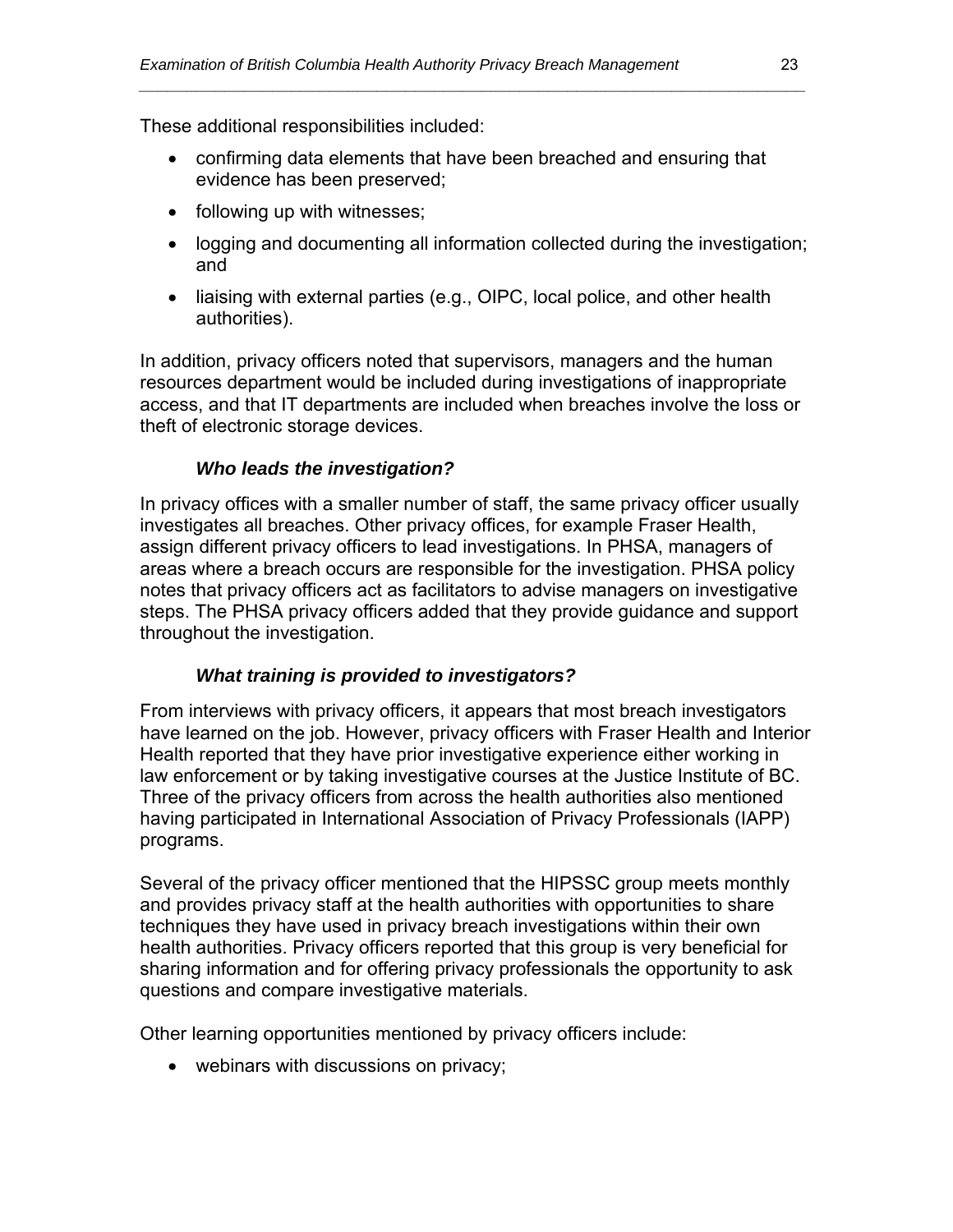These additional responsibilities included:

 confirming data elements that have been breached and ensuring that evidence has been preserved;

*\_\_\_\_\_\_\_\_\_\_\_\_\_\_\_\_\_\_\_\_\_\_\_\_\_\_\_\_\_\_\_\_\_\_\_\_\_\_\_\_\_\_\_\_\_\_\_\_\_\_\_\_\_\_\_\_\_\_\_\_\_\_\_\_\_\_\_\_\_\_* 

- following up with witnesses;
- logging and documenting all information collected during the investigation; and
- liaising with external parties (e.g., OIPC, local police, and other health authorities).

In addition, privacy officers noted that supervisors, managers and the human resources department would be included during investigations of inappropriate access, and that IT departments are included when breaches involve the loss or theft of electronic storage devices.

#### *Who leads the investigation?*

In privacy offices with a smaller number of staff, the same privacy officer usually investigates all breaches. Other privacy offices, for example Fraser Health, assign different privacy officers to lead investigations. In PHSA, managers of areas where a breach occurs are responsible for the investigation. PHSA policy notes that privacy officers act as facilitators to advise managers on investigative steps. The PHSA privacy officers added that they provide guidance and support throughout the investigation.

#### *What training is provided to investigators?*

From interviews with privacy officers, it appears that most breach investigators have learned on the job. However, privacy officers with Fraser Health and Interior Health reported that they have prior investigative experience either working in law enforcement or by taking investigative courses at the Justice Institute of BC. Three of the privacy officers from across the health authorities also mentioned having participated in International Association of Privacy Professionals (IAPP) programs.

Several of the privacy officer mentioned that the HIPSSC group meets monthly and provides privacy staff at the health authorities with opportunities to share techniques they have used in privacy breach investigations within their own health authorities. Privacy officers reported that this group is very beneficial for sharing information and for offering privacy professionals the opportunity to ask questions and compare investigative materials.

Other learning opportunities mentioned by privacy officers include:

• webinars with discussions on privacy;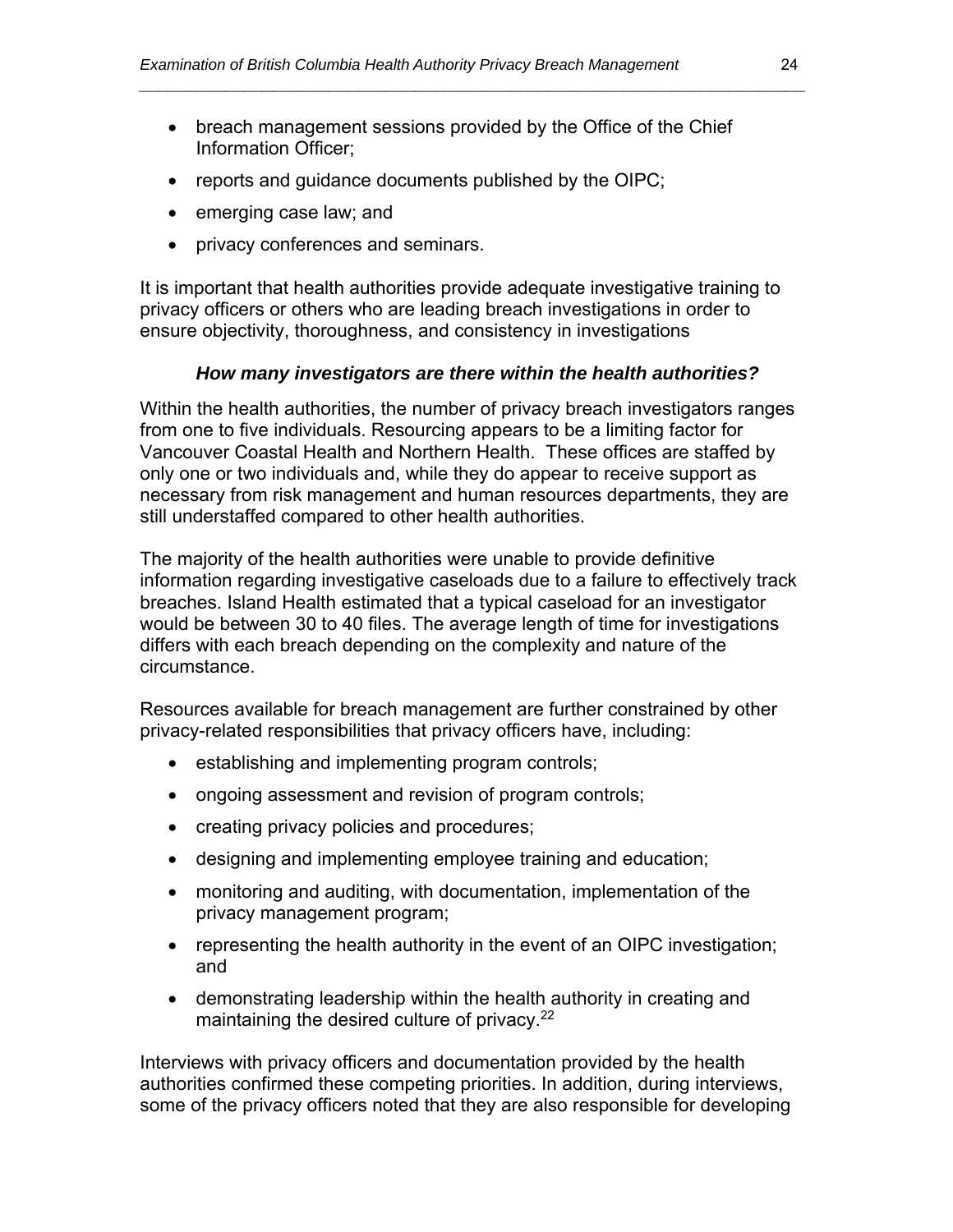• breach management sessions provided by the Office of the Chief Information Officer;

*\_\_\_\_\_\_\_\_\_\_\_\_\_\_\_\_\_\_\_\_\_\_\_\_\_\_\_\_\_\_\_\_\_\_\_\_\_\_\_\_\_\_\_\_\_\_\_\_\_\_\_\_\_\_\_\_\_\_\_\_\_\_\_\_\_\_\_\_\_\_* 

- reports and quidance documents published by the OIPC;
- emerging case law; and
- privacy conferences and seminars.

It is important that health authorities provide adequate investigative training to privacy officers or others who are leading breach investigations in order to ensure objectivity, thoroughness, and consistency in investigations

#### *How many investigators are there within the health authorities?*

Within the health authorities, the number of privacy breach investigators ranges from one to five individuals. Resourcing appears to be a limiting factor for Vancouver Coastal Health and Northern Health. These offices are staffed by only one or two individuals and, while they do appear to receive support as necessary from risk management and human resources departments, they are still understaffed compared to other health authorities.

The majority of the health authorities were unable to provide definitive information regarding investigative caseloads due to a failure to effectively track breaches. Island Health estimated that a typical caseload for an investigator would be between 30 to 40 files. The average length of time for investigations differs with each breach depending on the complexity and nature of the circumstance.

Resources available for breach management are further constrained by other privacy-related responsibilities that privacy officers have, including:

- establishing and implementing program controls;
- ongoing assessment and revision of program controls;
- creating privacy policies and procedures;
- designing and implementing employee training and education;
- monitoring and auditing, with documentation, implementation of the privacy management program;
- representing the health authority in the event of an OIPC investigation; and
- demonstrating leadership within the health authority in creating and maintaining the desired culture of privacy.<sup>22</sup>

Interviews with privacy officers and documentation provided by the health authorities confirmed these competing priorities. In addition, during interviews, some of the privacy officers noted that they are also responsible for developing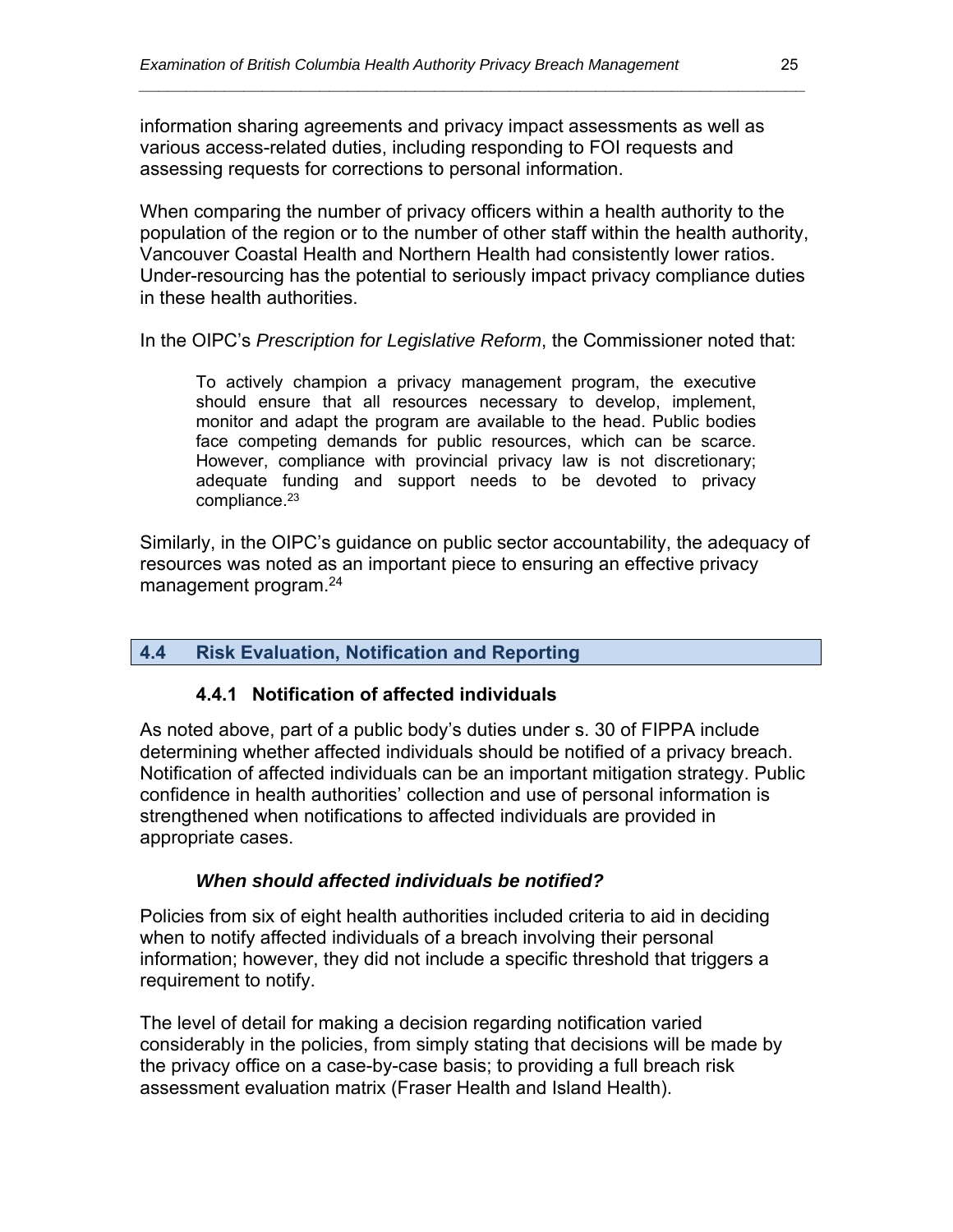information sharing agreements and privacy impact assessments as well as various access-related duties, including responding to FOI requests and assessing requests for corrections to personal information.

When comparing the number of privacy officers within a health authority to the population of the region or to the number of other staff within the health authority, Vancouver Coastal Health and Northern Health had consistently lower ratios. Under-resourcing has the potential to seriously impact privacy compliance duties in these health authorities.

*\_\_\_\_\_\_\_\_\_\_\_\_\_\_\_\_\_\_\_\_\_\_\_\_\_\_\_\_\_\_\_\_\_\_\_\_\_\_\_\_\_\_\_\_\_\_\_\_\_\_\_\_\_\_\_\_\_\_\_\_\_\_\_\_\_\_\_\_\_\_* 

In the OIPC's *Prescription for Legislative Reform*, the Commissioner noted that:

To actively champion a privacy management program, the executive should ensure that all resources necessary to develop, implement, monitor and adapt the program are available to the head. Public bodies face competing demands for public resources, which can be scarce. However, compliance with provincial privacy law is not discretionary; adequate funding and support needs to be devoted to privacy compliance.<sup>23</sup>

Similarly, in the OIPC's guidance on public sector accountability, the adequacy of resources was noted as an important piece to ensuring an effective privacy management program.24

#### **4.4 Risk Evaluation, Notification and Reporting**

#### **4.4.1 Notification of affected individuals**

As noted above, part of a public body's duties under s. 30 of FIPPA include determining whether affected individuals should be notified of a privacy breach. Notification of affected individuals can be an important mitigation strategy. Public confidence in health authorities' collection and use of personal information is strengthened when notifications to affected individuals are provided in appropriate cases.

#### *When should affected individuals be notified?*

Policies from six of eight health authorities included criteria to aid in deciding when to notify affected individuals of a breach involving their personal information; however, they did not include a specific threshold that triggers a requirement to notify.

The level of detail for making a decision regarding notification varied considerably in the policies, from simply stating that decisions will be made by the privacy office on a case-by-case basis; to providing a full breach risk assessment evaluation matrix (Fraser Health and Island Health).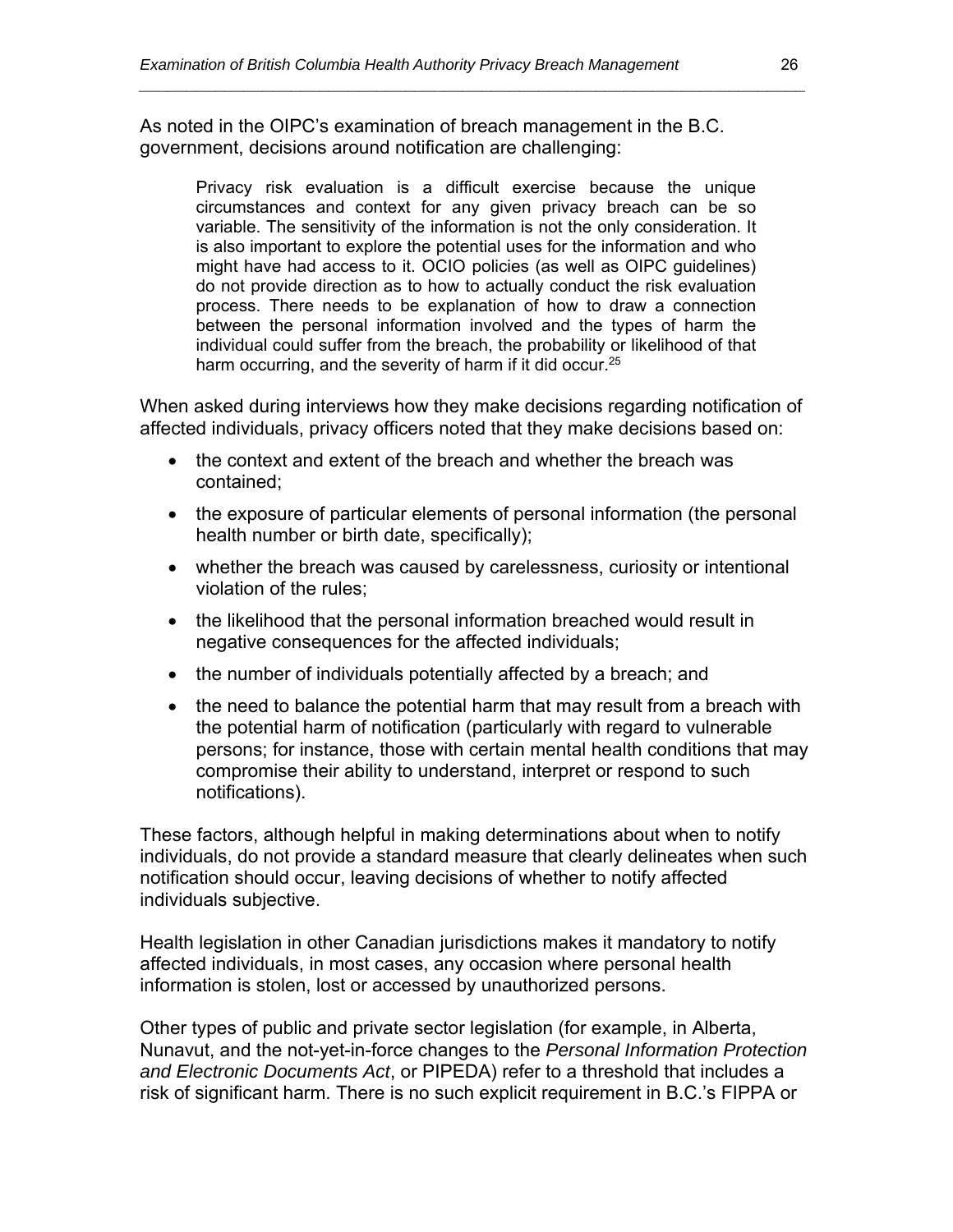As noted in the OIPC's examination of breach management in the B.C. government, decisions around notification are challenging:

Privacy risk evaluation is a difficult exercise because the unique circumstances and context for any given privacy breach can be so variable. The sensitivity of the information is not the only consideration. It is also important to explore the potential uses for the information and who might have had access to it. OCIO policies (as well as OIPC guidelines) do not provide direction as to how to actually conduct the risk evaluation process. There needs to be explanation of how to draw a connection between the personal information involved and the types of harm the individual could suffer from the breach, the probability or likelihood of that harm occurring, and the severity of harm if it did occur.<sup>25</sup>

*\_\_\_\_\_\_\_\_\_\_\_\_\_\_\_\_\_\_\_\_\_\_\_\_\_\_\_\_\_\_\_\_\_\_\_\_\_\_\_\_\_\_\_\_\_\_\_\_\_\_\_\_\_\_\_\_\_\_\_\_\_\_\_\_\_\_\_\_\_\_* 

When asked during interviews how they make decisions regarding notification of affected individuals, privacy officers noted that they make decisions based on:

- the context and extent of the breach and whether the breach was contained;
- the exposure of particular elements of personal information (the personal health number or birth date, specifically);
- whether the breach was caused by carelessness, curiosity or intentional violation of the rules;
- the likelihood that the personal information breached would result in negative consequences for the affected individuals;
- the number of individuals potentially affected by a breach; and
- the need to balance the potential harm that may result from a breach with the potential harm of notification (particularly with regard to vulnerable persons; for instance, those with certain mental health conditions that may compromise their ability to understand, interpret or respond to such notifications).

These factors, although helpful in making determinations about when to notify individuals, do not provide a standard measure that clearly delineates when such notification should occur, leaving decisions of whether to notify affected individuals subjective.

Health legislation in other Canadian jurisdictions makes it mandatory to notify affected individuals, in most cases, any occasion where personal health information is stolen, lost or accessed by unauthorized persons.

Other types of public and private sector legislation (for example, in Alberta, Nunavut, and the not-yet-in-force changes to the *Personal Information Protection and Electronic Documents Act*, or PIPEDA) refer to a threshold that includes a risk of significant harm. There is no such explicit requirement in B.C.'s FIPPA or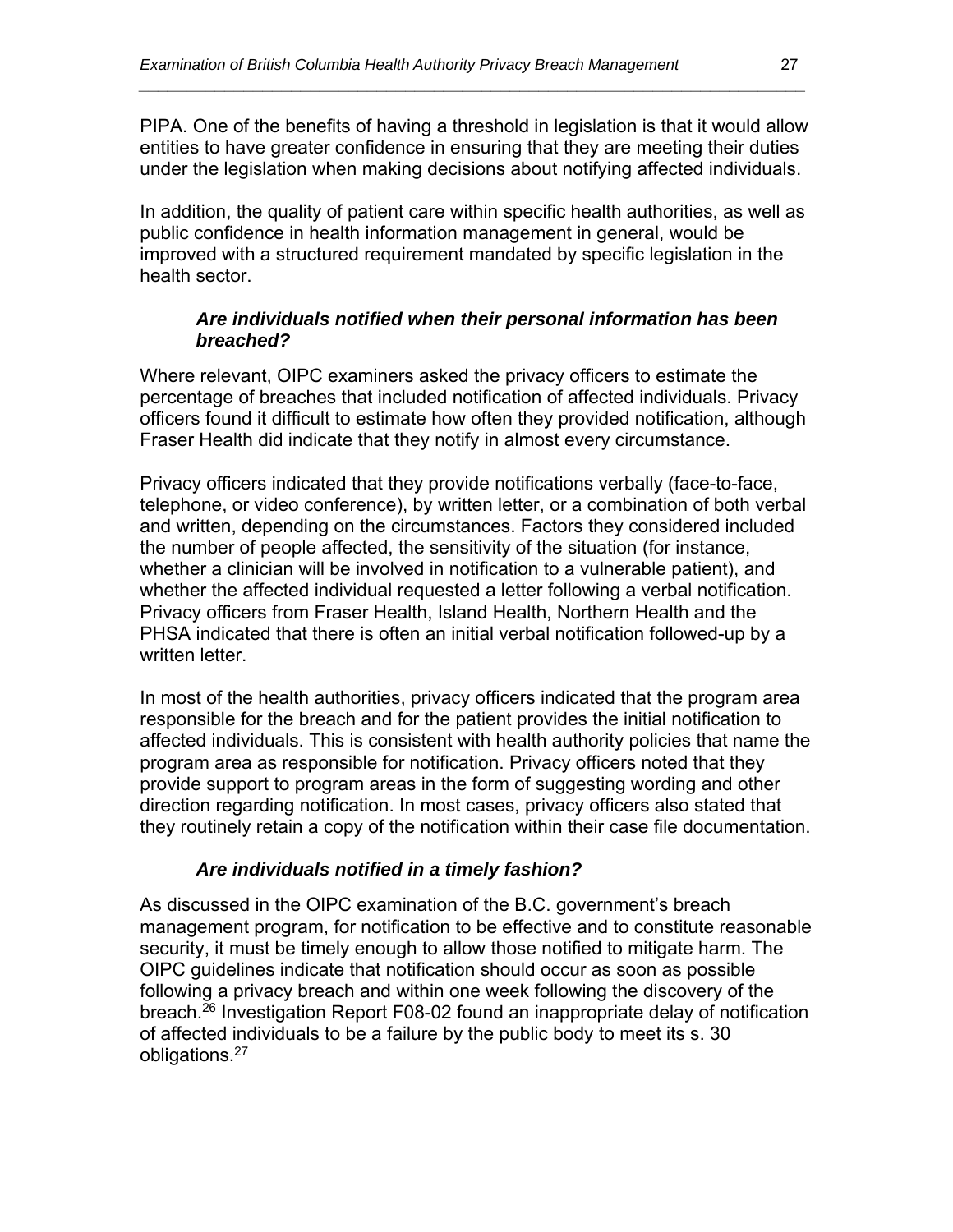PIPA. One of the benefits of having a threshold in legislation is that it would allow entities to have greater confidence in ensuring that they are meeting their duties under the legislation when making decisions about notifying affected individuals.

*\_\_\_\_\_\_\_\_\_\_\_\_\_\_\_\_\_\_\_\_\_\_\_\_\_\_\_\_\_\_\_\_\_\_\_\_\_\_\_\_\_\_\_\_\_\_\_\_\_\_\_\_\_\_\_\_\_\_\_\_\_\_\_\_\_\_\_\_\_\_* 

In addition, the quality of patient care within specific health authorities, as well as public confidence in health information management in general, would be improved with a structured requirement mandated by specific legislation in the health sector.

#### *Are individuals notified when their personal information has been breached?*

Where relevant, OIPC examiners asked the privacy officers to estimate the percentage of breaches that included notification of affected individuals. Privacy officers found it difficult to estimate how often they provided notification, although Fraser Health did indicate that they notify in almost every circumstance.

Privacy officers indicated that they provide notifications verbally (face-to-face, telephone, or video conference), by written letter, or a combination of both verbal and written, depending on the circumstances. Factors they considered included the number of people affected, the sensitivity of the situation (for instance, whether a clinician will be involved in notification to a vulnerable patient), and whether the affected individual requested a letter following a verbal notification. Privacy officers from Fraser Health, Island Health, Northern Health and the PHSA indicated that there is often an initial verbal notification followed-up by a written letter.

In most of the health authorities, privacy officers indicated that the program area responsible for the breach and for the patient provides the initial notification to affected individuals. This is consistent with health authority policies that name the program area as responsible for notification. Privacy officers noted that they provide support to program areas in the form of suggesting wording and other direction regarding notification. In most cases, privacy officers also stated that they routinely retain a copy of the notification within their case file documentation.

#### *Are individuals notified in a timely fashion?*

As discussed in the OIPC examination of the B.C. government's breach management program, for notification to be effective and to constitute reasonable security, it must be timely enough to allow those notified to mitigate harm. The OIPC guidelines indicate that notification should occur as soon as possible following a privacy breach and within one week following the discovery of the breach.<sup>26</sup> Investigation Report F08-02 found an inappropriate delay of notification of affected individuals to be a failure by the public body to meet its s. 30 obligations.27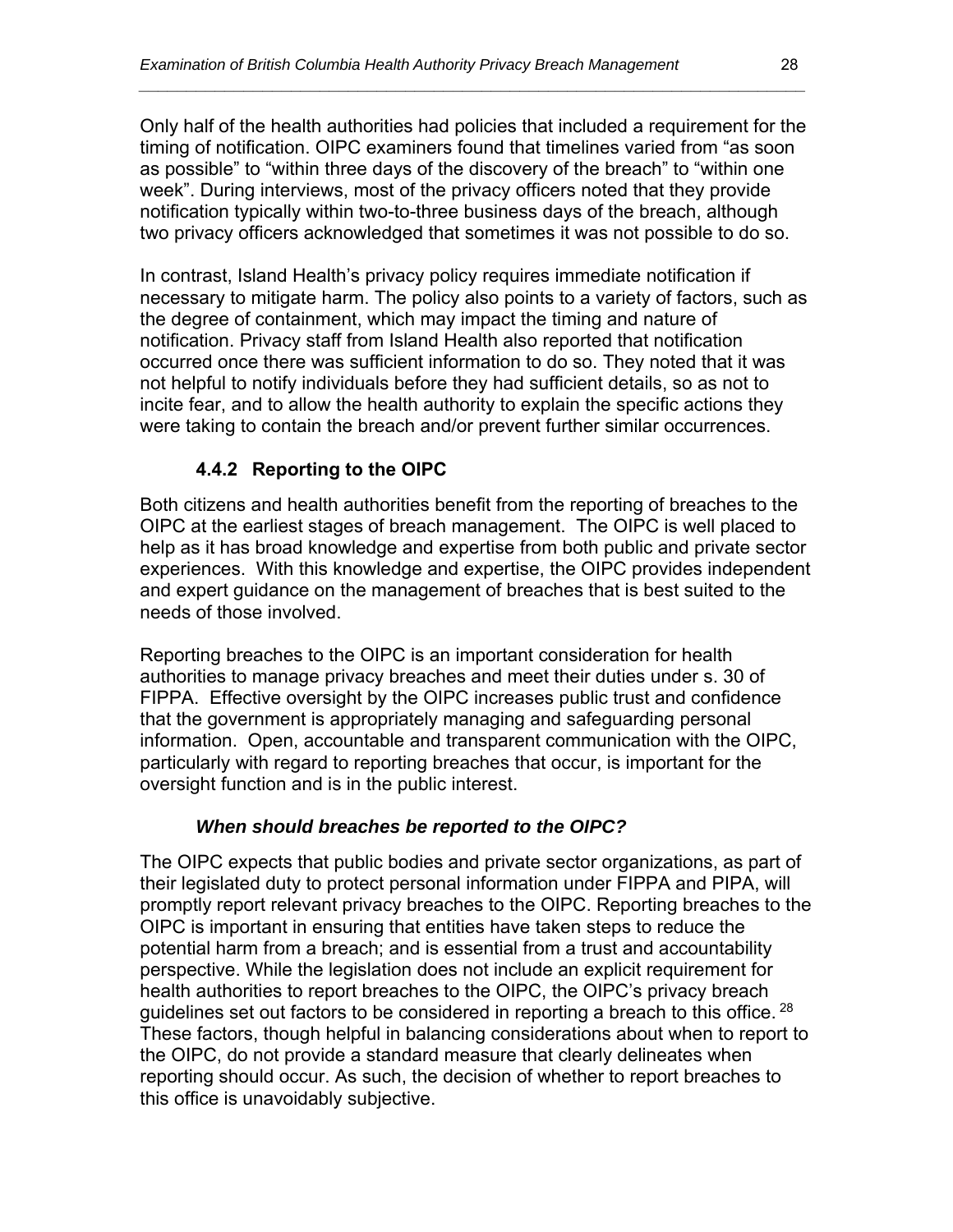Only half of the health authorities had policies that included a requirement for the timing of notification. OIPC examiners found that timelines varied from "as soon as possible" to "within three days of the discovery of the breach" to "within one week". During interviews, most of the privacy officers noted that they provide notification typically within two-to-three business days of the breach, although two privacy officers acknowledged that sometimes it was not possible to do so.

*\_\_\_\_\_\_\_\_\_\_\_\_\_\_\_\_\_\_\_\_\_\_\_\_\_\_\_\_\_\_\_\_\_\_\_\_\_\_\_\_\_\_\_\_\_\_\_\_\_\_\_\_\_\_\_\_\_\_\_\_\_\_\_\_\_\_\_\_\_\_* 

In contrast, Island Health's privacy policy requires immediate notification if necessary to mitigate harm. The policy also points to a variety of factors, such as the degree of containment, which may impact the timing and nature of notification. Privacy staff from Island Health also reported that notification occurred once there was sufficient information to do so. They noted that it was not helpful to notify individuals before they had sufficient details, so as not to incite fear, and to allow the health authority to explain the specific actions they were taking to contain the breach and/or prevent further similar occurrences.

#### **4.4.2 Reporting to the OIPC**

Both citizens and health authorities benefit from the reporting of breaches to the OIPC at the earliest stages of breach management. The OIPC is well placed to help as it has broad knowledge and expertise from both public and private sector experiences. With this knowledge and expertise, the OIPC provides independent and expert guidance on the management of breaches that is best suited to the needs of those involved.

Reporting breaches to the OIPC is an important consideration for health authorities to manage privacy breaches and meet their duties under s. 30 of FIPPA. Effective oversight by the OIPC increases public trust and confidence that the government is appropriately managing and safeguarding personal information. Open, accountable and transparent communication with the OIPC, particularly with regard to reporting breaches that occur, is important for the oversight function and is in the public interest.

#### *When should breaches be reported to the OIPC?*

The OIPC expects that public bodies and private sector organizations, as part of their legislated duty to protect personal information under FIPPA and PIPA, will promptly report relevant privacy breaches to the OIPC. Reporting breaches to the OIPC is important in ensuring that entities have taken steps to reduce the potential harm from a breach; and is essential from a trust and accountability perspective. While the legislation does not include an explicit requirement for health authorities to report breaches to the OIPC, the OIPC's privacy breach guidelines set out factors to be considered in reporting a breach to this office. <sup>28</sup> These factors, though helpful in balancing considerations about when to report to the OIPC, do not provide a standard measure that clearly delineates when reporting should occur. As such, the decision of whether to report breaches to this office is unavoidably subjective.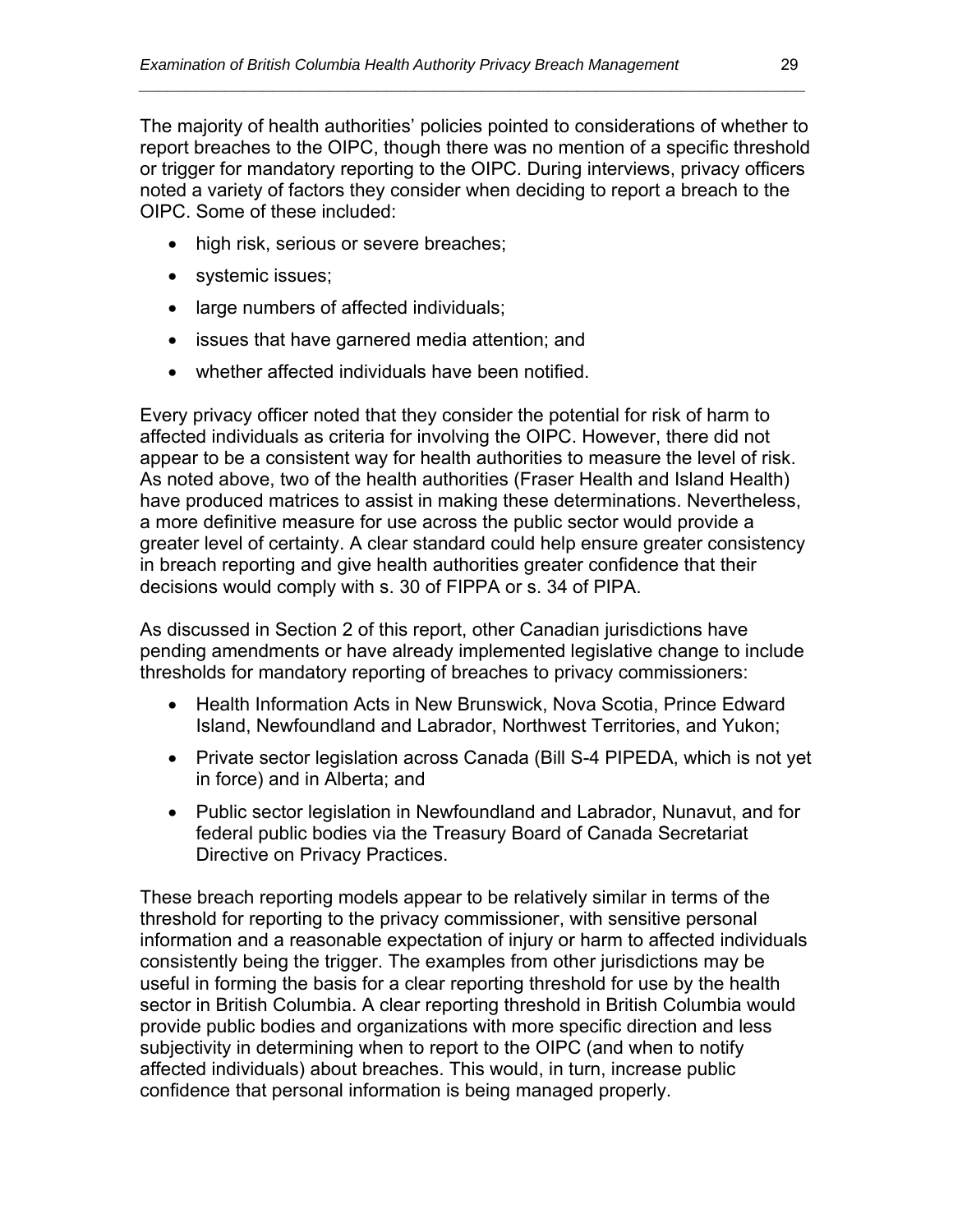The majority of health authorities' policies pointed to considerations of whether to report breaches to the OIPC, though there was no mention of a specific threshold or trigger for mandatory reporting to the OIPC. During interviews, privacy officers noted a variety of factors they consider when deciding to report a breach to the OIPC. Some of these included:

*\_\_\_\_\_\_\_\_\_\_\_\_\_\_\_\_\_\_\_\_\_\_\_\_\_\_\_\_\_\_\_\_\_\_\_\_\_\_\_\_\_\_\_\_\_\_\_\_\_\_\_\_\_\_\_\_\_\_\_\_\_\_\_\_\_\_\_\_\_\_* 

- high risk, serious or severe breaches;
- systemic issues;
- large numbers of affected individuals;
- issues that have garnered media attention; and
- whether affected individuals have been notified.

Every privacy officer noted that they consider the potential for risk of harm to affected individuals as criteria for involving the OIPC. However, there did not appear to be a consistent way for health authorities to measure the level of risk. As noted above, two of the health authorities (Fraser Health and Island Health) have produced matrices to assist in making these determinations. Nevertheless, a more definitive measure for use across the public sector would provide a greater level of certainty. A clear standard could help ensure greater consistency in breach reporting and give health authorities greater confidence that their decisions would comply with s. 30 of FIPPA or s. 34 of PIPA.

As discussed in Section 2 of this report, other Canadian jurisdictions have pending amendments or have already implemented legislative change to include thresholds for mandatory reporting of breaches to privacy commissioners:

- Health Information Acts in New Brunswick, Nova Scotia, Prince Edward Island, Newfoundland and Labrador, Northwest Territories, and Yukon;
- Private sector legislation across Canada (Bill S-4 PIPEDA, which is not yet in force) and in Alberta; and
- Public sector legislation in Newfoundland and Labrador, Nunavut, and for federal public bodies via the Treasury Board of Canada Secretariat Directive on Privacy Practices.

These breach reporting models appear to be relatively similar in terms of the threshold for reporting to the privacy commissioner, with sensitive personal information and a reasonable expectation of injury or harm to affected individuals consistently being the trigger. The examples from other jurisdictions may be useful in forming the basis for a clear reporting threshold for use by the health sector in British Columbia. A clear reporting threshold in British Columbia would provide public bodies and organizations with more specific direction and less subjectivity in determining when to report to the OIPC (and when to notify affected individuals) about breaches. This would, in turn, increase public confidence that personal information is being managed properly.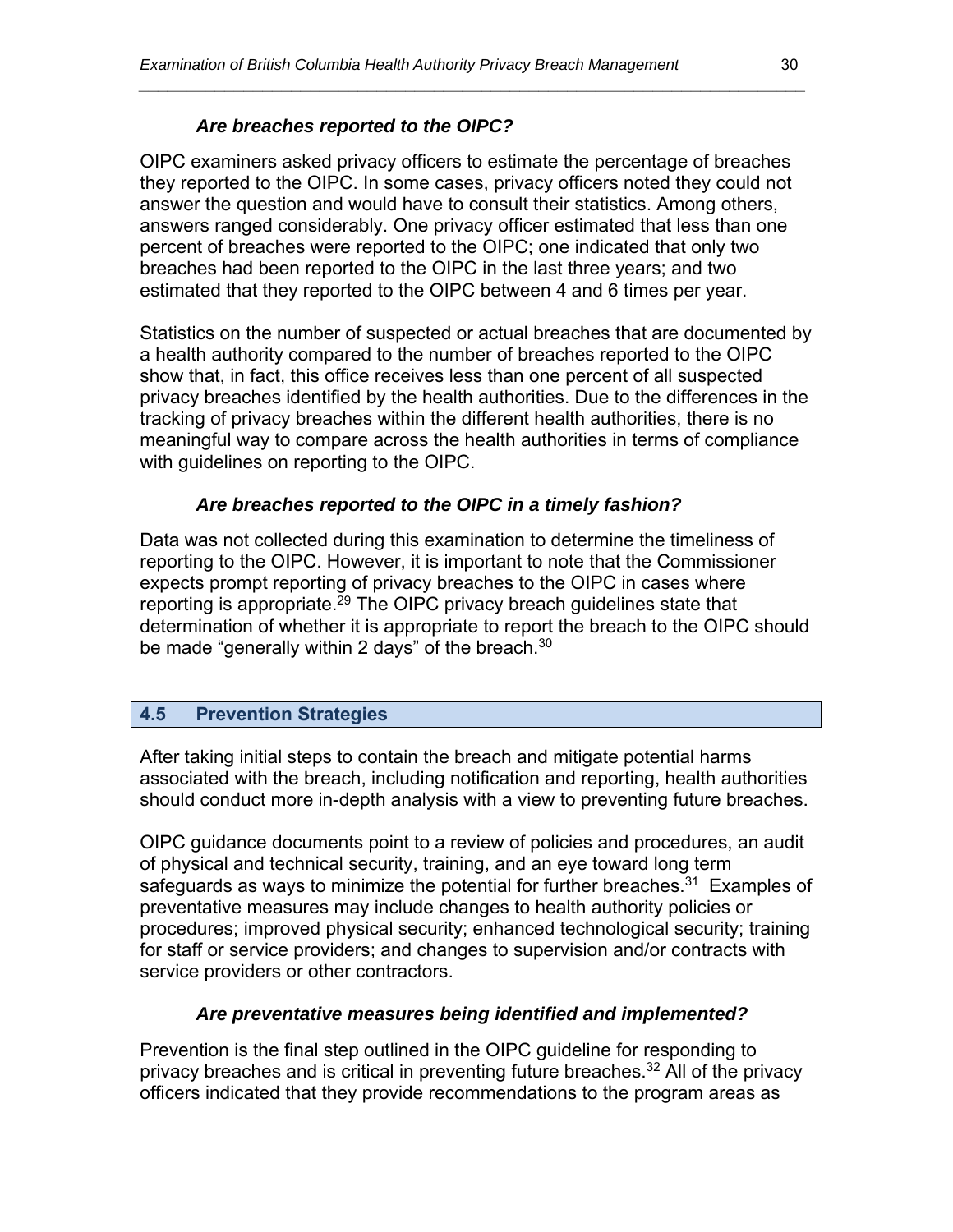#### *Are breaches reported to the OIPC?*

OIPC examiners asked privacy officers to estimate the percentage of breaches they reported to the OIPC. In some cases, privacy officers noted they could not answer the question and would have to consult their statistics. Among others, answers ranged considerably. One privacy officer estimated that less than one percent of breaches were reported to the OIPC; one indicated that only two breaches had been reported to the OIPC in the last three years; and two estimated that they reported to the OIPC between 4 and 6 times per year.

*\_\_\_\_\_\_\_\_\_\_\_\_\_\_\_\_\_\_\_\_\_\_\_\_\_\_\_\_\_\_\_\_\_\_\_\_\_\_\_\_\_\_\_\_\_\_\_\_\_\_\_\_\_\_\_\_\_\_\_\_\_\_\_\_\_\_\_\_\_\_* 

Statistics on the number of suspected or actual breaches that are documented by a health authority compared to the number of breaches reported to the OIPC show that, in fact, this office receives less than one percent of all suspected privacy breaches identified by the health authorities. Due to the differences in the tracking of privacy breaches within the different health authorities, there is no meaningful way to compare across the health authorities in terms of compliance with guidelines on reporting to the OIPC.

#### *Are breaches reported to the OIPC in a timely fashion?*

Data was not collected during this examination to determine the timeliness of reporting to the OIPC. However, it is important to note that the Commissioner expects prompt reporting of privacy breaches to the OIPC in cases where reporting is appropriate.<sup>29</sup> The OIPC privacy breach guidelines state that determination of whether it is appropriate to report the breach to the OIPC should be made "generally within 2 days" of the breach. $30$ 

#### **4.5 Prevention Strategies**

After taking initial steps to contain the breach and mitigate potential harms associated with the breach, including notification and reporting, health authorities should conduct more in-depth analysis with a view to preventing future breaches.

OIPC guidance documents point to a review of policies and procedures, an audit of physical and technical security, training, and an eye toward long term safeguards as ways to minimize the potential for further breaches.<sup>31</sup> Examples of preventative measures may include changes to health authority policies or procedures; improved physical security; enhanced technological security; training for staff or service providers; and changes to supervision and/or contracts with service providers or other contractors.

#### *Are preventative measures being identified and implemented?*

Prevention is the final step outlined in the OIPC guideline for responding to privacy breaches and is critical in preventing future breaches.<sup>32</sup> All of the privacy officers indicated that they provide recommendations to the program areas as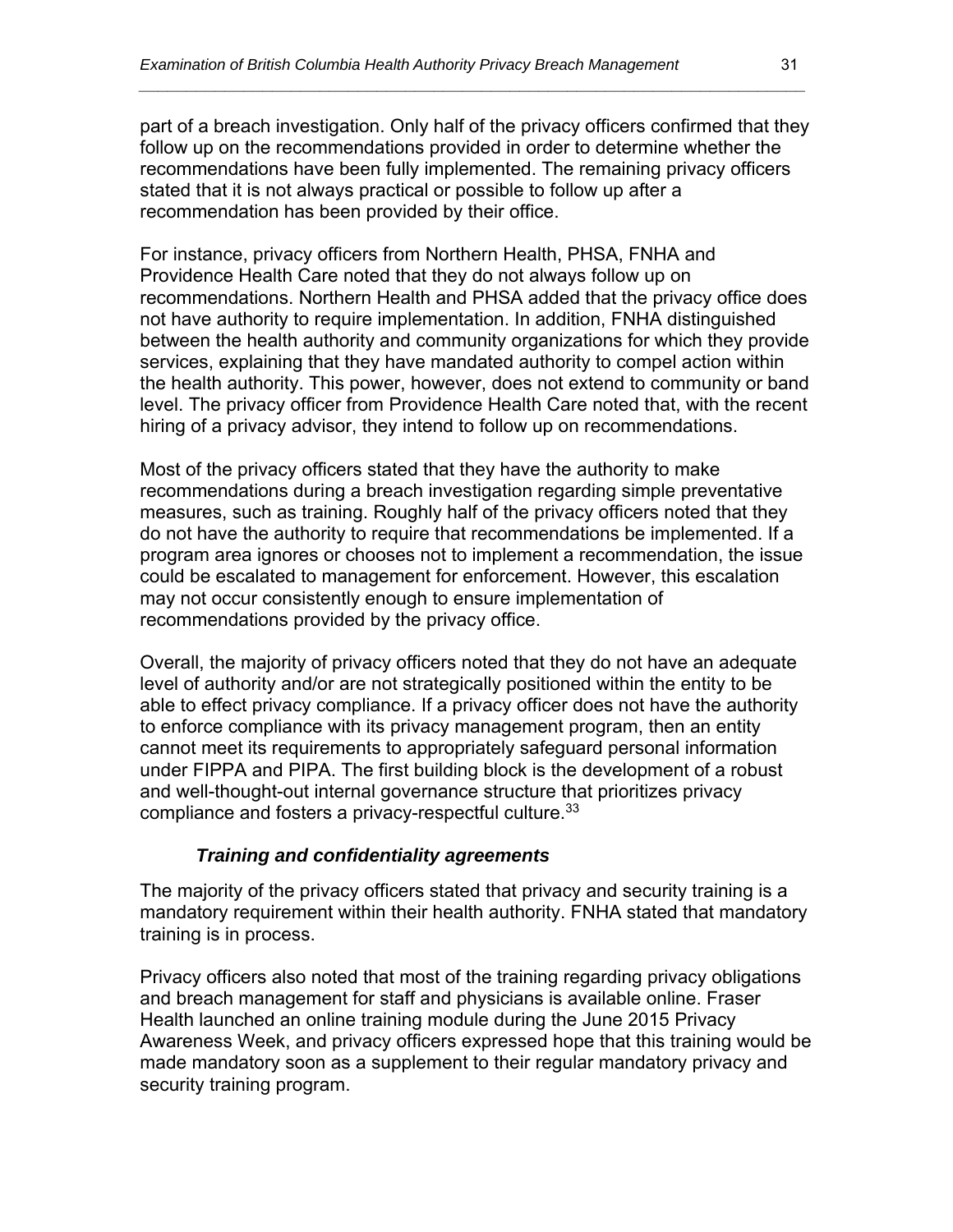part of a breach investigation. Only half of the privacy officers confirmed that they follow up on the recommendations provided in order to determine whether the recommendations have been fully implemented. The remaining privacy officers stated that it is not always practical or possible to follow up after a recommendation has been provided by their office.

*\_\_\_\_\_\_\_\_\_\_\_\_\_\_\_\_\_\_\_\_\_\_\_\_\_\_\_\_\_\_\_\_\_\_\_\_\_\_\_\_\_\_\_\_\_\_\_\_\_\_\_\_\_\_\_\_\_\_\_\_\_\_\_\_\_\_\_\_\_\_* 

For instance, privacy officers from Northern Health, PHSA, FNHA and Providence Health Care noted that they do not always follow up on recommendations. Northern Health and PHSA added that the privacy office does not have authority to require implementation. In addition, FNHA distinguished between the health authority and community organizations for which they provide services, explaining that they have mandated authority to compel action within the health authority. This power, however, does not extend to community or band level. The privacy officer from Providence Health Care noted that, with the recent hiring of a privacy advisor, they intend to follow up on recommendations.

Most of the privacy officers stated that they have the authority to make recommendations during a breach investigation regarding simple preventative measures, such as training. Roughly half of the privacy officers noted that they do not have the authority to require that recommendations be implemented. If a program area ignores or chooses not to implement a recommendation, the issue could be escalated to management for enforcement. However, this escalation may not occur consistently enough to ensure implementation of recommendations provided by the privacy office.

Overall, the majority of privacy officers noted that they do not have an adequate level of authority and/or are not strategically positioned within the entity to be able to effect privacy compliance. If a privacy officer does not have the authority to enforce compliance with its privacy management program, then an entity cannot meet its requirements to appropriately safeguard personal information under FIPPA and PIPA. The first building block is the development of a robust and well-thought-out internal governance structure that prioritizes privacy compliance and fosters a privacy-respectful culture.<sup>33</sup>

#### *Training and confidentiality agreements*

The majority of the privacy officers stated that privacy and security training is a mandatory requirement within their health authority. FNHA stated that mandatory training is in process.

Privacy officers also noted that most of the training regarding privacy obligations and breach management for staff and physicians is available online. Fraser Health launched an online training module during the June 2015 Privacy Awareness Week, and privacy officers expressed hope that this training would be made mandatory soon as a supplement to their regular mandatory privacy and security training program.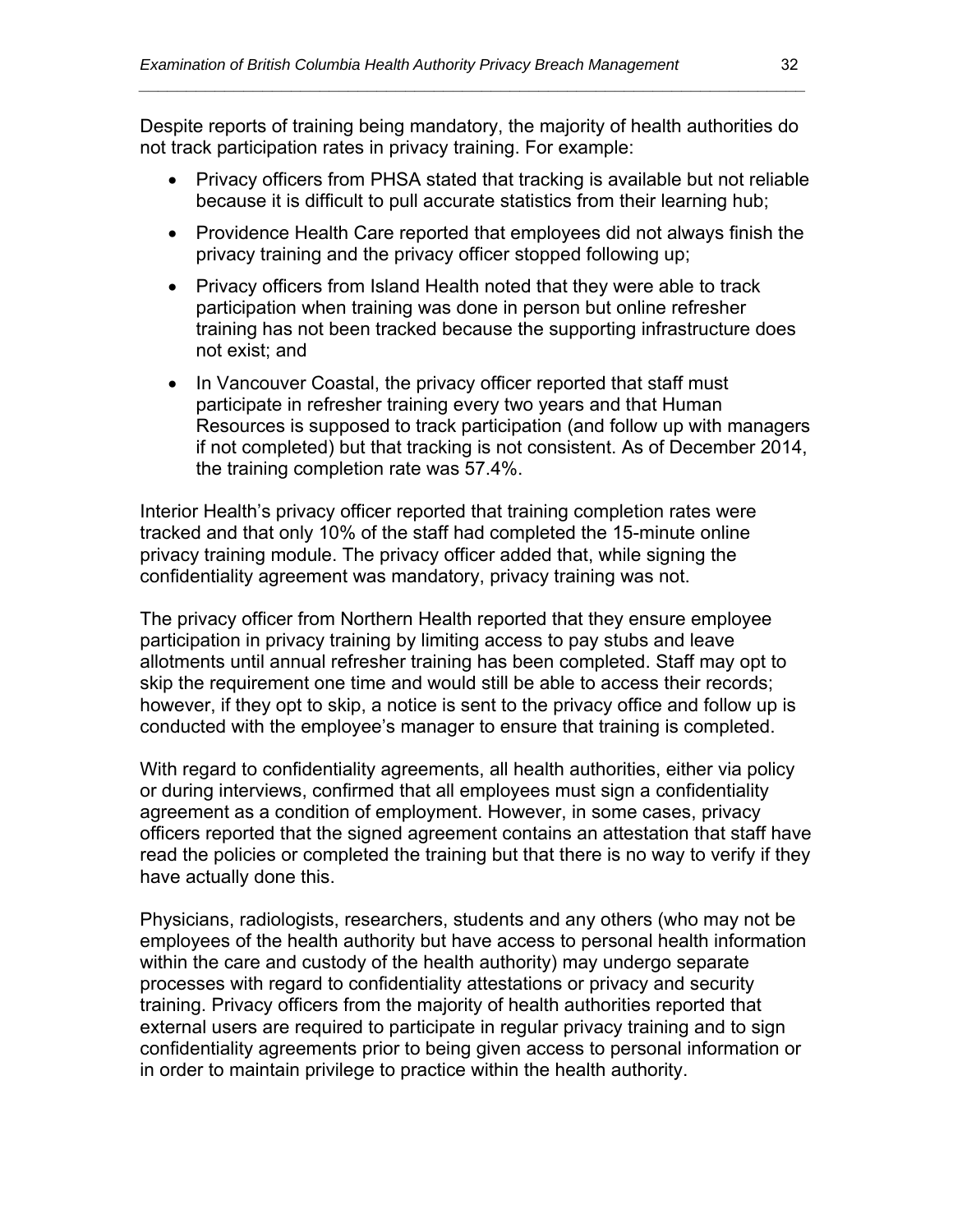Despite reports of training being mandatory, the majority of health authorities do not track participation rates in privacy training. For example:

*\_\_\_\_\_\_\_\_\_\_\_\_\_\_\_\_\_\_\_\_\_\_\_\_\_\_\_\_\_\_\_\_\_\_\_\_\_\_\_\_\_\_\_\_\_\_\_\_\_\_\_\_\_\_\_\_\_\_\_\_\_\_\_\_\_\_\_\_\_\_* 

- Privacy officers from PHSA stated that tracking is available but not reliable because it is difficult to pull accurate statistics from their learning hub;
- Providence Health Care reported that employees did not always finish the privacy training and the privacy officer stopped following up;
- Privacy officers from Island Health noted that they were able to track participation when training was done in person but online refresher training has not been tracked because the supporting infrastructure does not exist; and
- In Vancouver Coastal, the privacy officer reported that staff must participate in refresher training every two years and that Human Resources is supposed to track participation (and follow up with managers if not completed) but that tracking is not consistent. As of December 2014, the training completion rate was 57.4%.

Interior Health's privacy officer reported that training completion rates were tracked and that only 10% of the staff had completed the 15-minute online privacy training module. The privacy officer added that, while signing the confidentiality agreement was mandatory, privacy training was not.

The privacy officer from Northern Health reported that they ensure employee participation in privacy training by limiting access to pay stubs and leave allotments until annual refresher training has been completed. Staff may opt to skip the requirement one time and would still be able to access their records; however, if they opt to skip, a notice is sent to the privacy office and follow up is conducted with the employee's manager to ensure that training is completed.

With regard to confidentiality agreements, all health authorities, either via policy or during interviews, confirmed that all employees must sign a confidentiality agreement as a condition of employment. However, in some cases, privacy officers reported that the signed agreement contains an attestation that staff have read the policies or completed the training but that there is no way to verify if they have actually done this.

Physicians, radiologists, researchers, students and any others (who may not be employees of the health authority but have access to personal health information within the care and custody of the health authority) may undergo separate processes with regard to confidentiality attestations or privacy and security training. Privacy officers from the majority of health authorities reported that external users are required to participate in regular privacy training and to sign confidentiality agreements prior to being given access to personal information or in order to maintain privilege to practice within the health authority.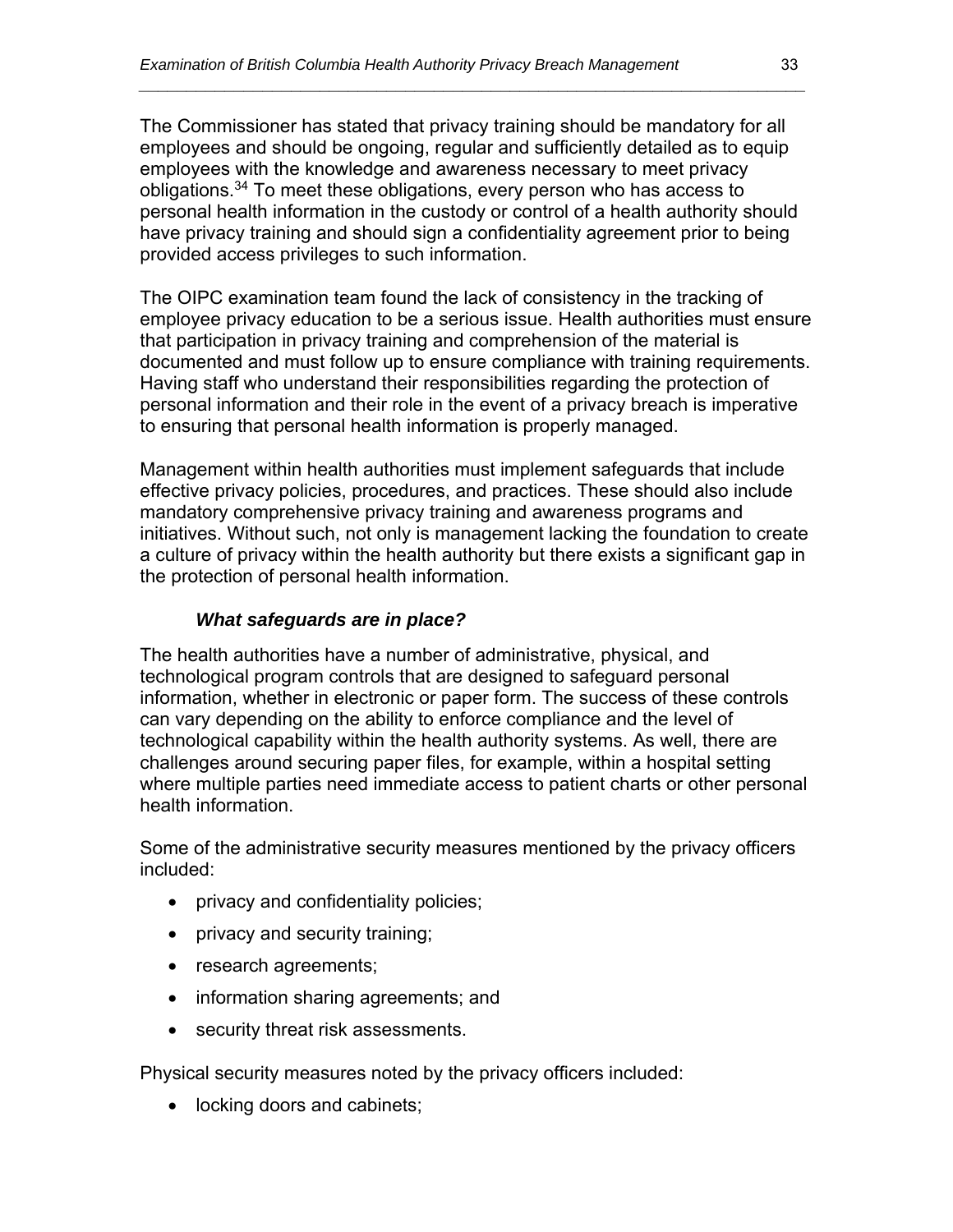The Commissioner has stated that privacy training should be mandatory for all employees and should be ongoing, regular and sufficiently detailed as to equip employees with the knowledge and awareness necessary to meet privacy obligations.34 To meet these obligations, every person who has access to personal health information in the custody or control of a health authority should have privacy training and should sign a confidentiality agreement prior to being provided access privileges to such information.

*\_\_\_\_\_\_\_\_\_\_\_\_\_\_\_\_\_\_\_\_\_\_\_\_\_\_\_\_\_\_\_\_\_\_\_\_\_\_\_\_\_\_\_\_\_\_\_\_\_\_\_\_\_\_\_\_\_\_\_\_\_\_\_\_\_\_\_\_\_\_* 

The OIPC examination team found the lack of consistency in the tracking of employee privacy education to be a serious issue. Health authorities must ensure that participation in privacy training and comprehension of the material is documented and must follow up to ensure compliance with training requirements. Having staff who understand their responsibilities regarding the protection of personal information and their role in the event of a privacy breach is imperative to ensuring that personal health information is properly managed.

Management within health authorities must implement safeguards that include effective privacy policies, procedures, and practices. These should also include mandatory comprehensive privacy training and awareness programs and initiatives. Without such, not only is management lacking the foundation to create a culture of privacy within the health authority but there exists a significant gap in the protection of personal health information.

#### *What safeguards are in place?*

The health authorities have a number of administrative, physical, and technological program controls that are designed to safeguard personal information, whether in electronic or paper form. The success of these controls can vary depending on the ability to enforce compliance and the level of technological capability within the health authority systems. As well, there are challenges around securing paper files, for example, within a hospital setting where multiple parties need immediate access to patient charts or other personal health information.

Some of the administrative security measures mentioned by the privacy officers included:

- privacy and confidentiality policies;
- privacy and security training;
- research agreements;
- information sharing agreements; and
- security threat risk assessments.

Physical security measures noted by the privacy officers included:

• locking doors and cabinets;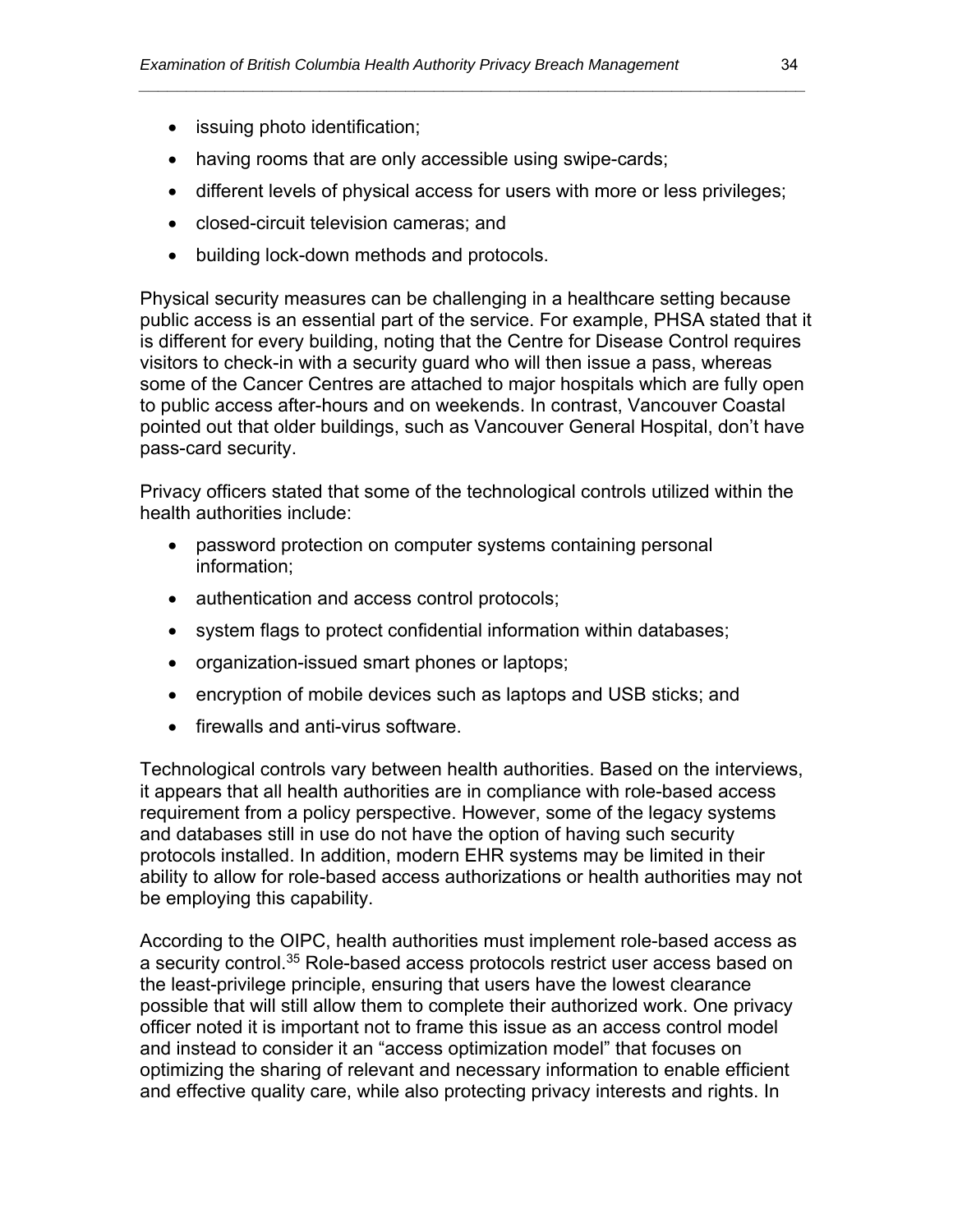- issuing photo identification;
- having rooms that are only accessible using swipe-cards;
- different levels of physical access for users with more or less privileges;

*\_\_\_\_\_\_\_\_\_\_\_\_\_\_\_\_\_\_\_\_\_\_\_\_\_\_\_\_\_\_\_\_\_\_\_\_\_\_\_\_\_\_\_\_\_\_\_\_\_\_\_\_\_\_\_\_\_\_\_\_\_\_\_\_\_\_\_\_\_\_* 

- closed-circuit television cameras; and
- building lock-down methods and protocols.

Physical security measures can be challenging in a healthcare setting because public access is an essential part of the service. For example, PHSA stated that it is different for every building, noting that the Centre for Disease Control requires visitors to check-in with a security guard who will then issue a pass, whereas some of the Cancer Centres are attached to major hospitals which are fully open to public access after-hours and on weekends. In contrast, Vancouver Coastal pointed out that older buildings, such as Vancouver General Hospital, don't have pass-card security.

Privacy officers stated that some of the technological controls utilized within the health authorities include:

- password protection on computer systems containing personal information;
- authentication and access control protocols;
- system flags to protect confidential information within databases;
- organization-issued smart phones or laptops;
- encryption of mobile devices such as laptops and USB sticks; and
- firewalls and anti-virus software.

Technological controls vary between health authorities. Based on the interviews, it appears that all health authorities are in compliance with role-based access requirement from a policy perspective. However, some of the legacy systems and databases still in use do not have the option of having such security protocols installed. In addition, modern EHR systems may be limited in their ability to allow for role-based access authorizations or health authorities may not be employing this capability.

According to the OIPC, health authorities must implement role-based access as a security control.35 Role-based access protocols restrict user access based on the least-privilege principle, ensuring that users have the lowest clearance possible that will still allow them to complete their authorized work. One privacy officer noted it is important not to frame this issue as an access control model and instead to consider it an "access optimization model" that focuses on optimizing the sharing of relevant and necessary information to enable efficient and effective quality care, while also protecting privacy interests and rights. In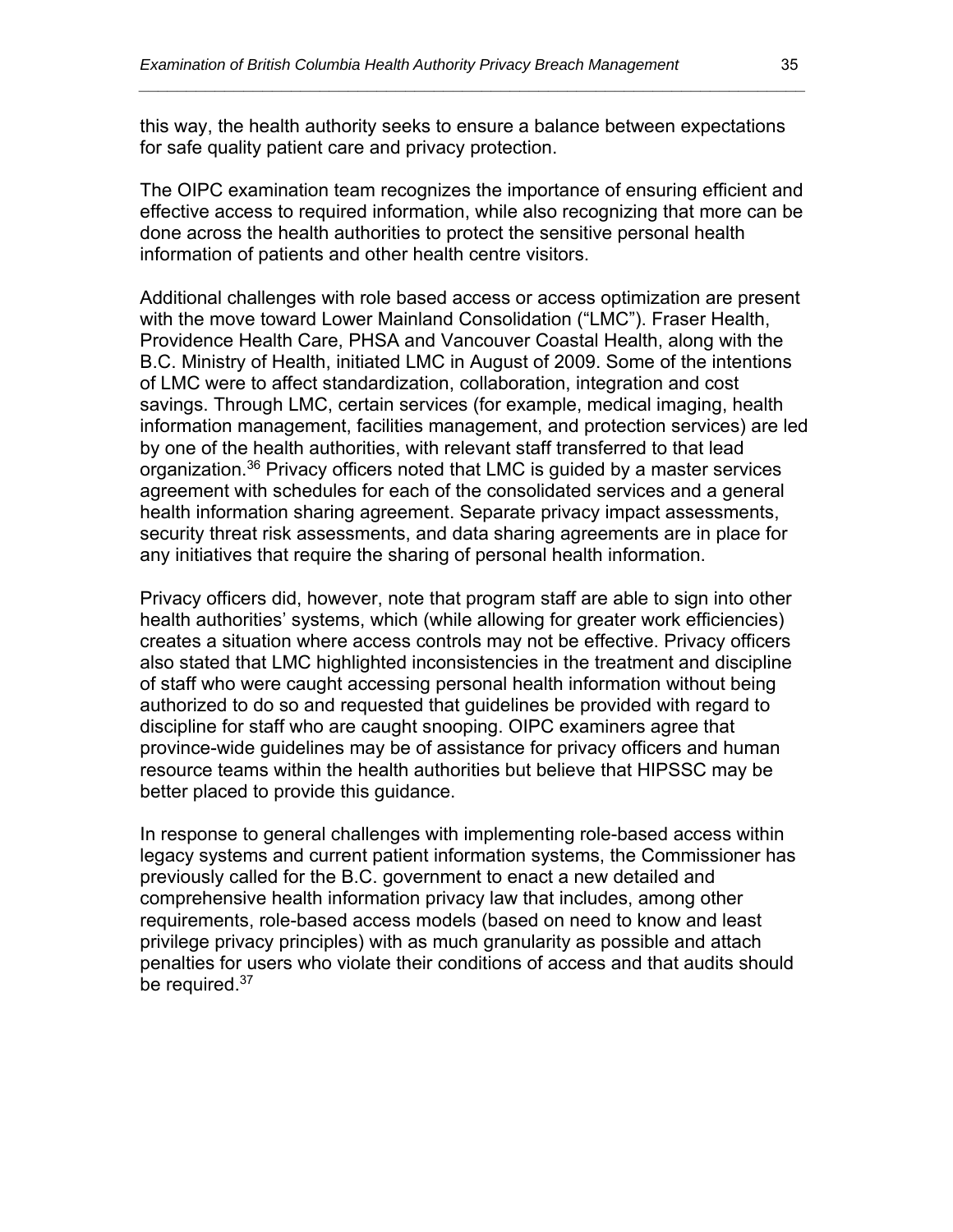this way, the health authority seeks to ensure a balance between expectations for safe quality patient care and privacy protection.

*\_\_\_\_\_\_\_\_\_\_\_\_\_\_\_\_\_\_\_\_\_\_\_\_\_\_\_\_\_\_\_\_\_\_\_\_\_\_\_\_\_\_\_\_\_\_\_\_\_\_\_\_\_\_\_\_\_\_\_\_\_\_\_\_\_\_\_\_\_\_* 

The OIPC examination team recognizes the importance of ensuring efficient and effective access to required information, while also recognizing that more can be done across the health authorities to protect the sensitive personal health information of patients and other health centre visitors.

Additional challenges with role based access or access optimization are present with the move toward Lower Mainland Consolidation ("LMC"). Fraser Health, Providence Health Care, PHSA and Vancouver Coastal Health, along with the B.C. Ministry of Health, initiated LMC in August of 2009. Some of the intentions of LMC were to affect standardization, collaboration, integration and cost savings. Through LMC, certain services (for example, medical imaging, health information management, facilities management, and protection services) are led by one of the health authorities, with relevant staff transferred to that lead organization.36 Privacy officers noted that LMC is guided by a master services agreement with schedules for each of the consolidated services and a general health information sharing agreement. Separate privacy impact assessments, security threat risk assessments, and data sharing agreements are in place for any initiatives that require the sharing of personal health information.

Privacy officers did, however, note that program staff are able to sign into other health authorities' systems, which (while allowing for greater work efficiencies) creates a situation where access controls may not be effective. Privacy officers also stated that LMC highlighted inconsistencies in the treatment and discipline of staff who were caught accessing personal health information without being authorized to do so and requested that guidelines be provided with regard to discipline for staff who are caught snooping. OIPC examiners agree that province-wide guidelines may be of assistance for privacy officers and human resource teams within the health authorities but believe that HIPSSC may be better placed to provide this guidance.

In response to general challenges with implementing role-based access within legacy systems and current patient information systems, the Commissioner has previously called for the B.C. government to enact a new detailed and comprehensive health information privacy law that includes, among other requirements, role-based access models (based on need to know and least privilege privacy principles) with as much granularity as possible and attach penalties for users who violate their conditions of access and that audits should be required.<sup>37</sup>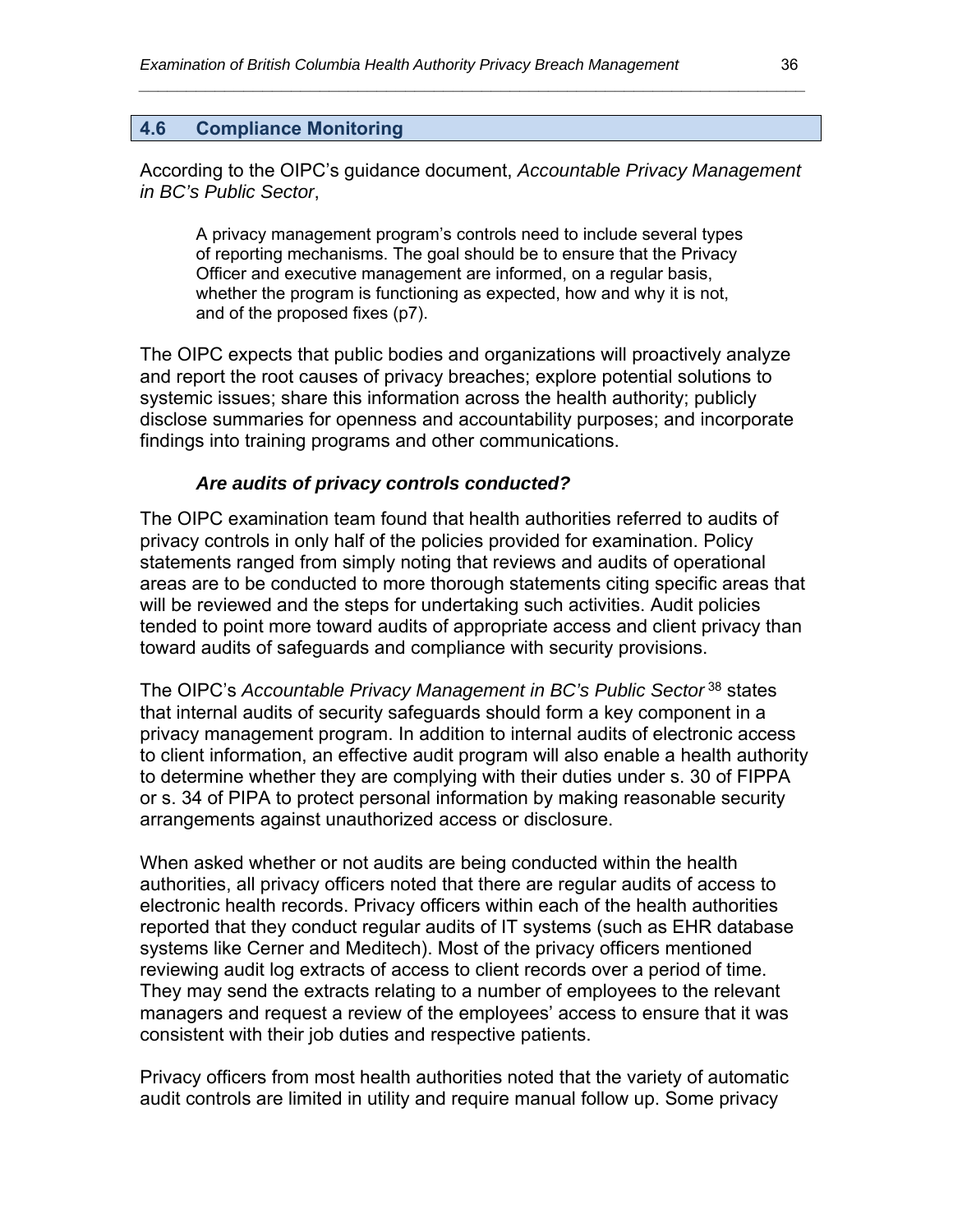#### **4.6 Compliance Monitoring**

According to the OIPC's guidance document, *Accountable Privacy Management in BC's Public Sector*,

*\_\_\_\_\_\_\_\_\_\_\_\_\_\_\_\_\_\_\_\_\_\_\_\_\_\_\_\_\_\_\_\_\_\_\_\_\_\_\_\_\_\_\_\_\_\_\_\_\_\_\_\_\_\_\_\_\_\_\_\_\_\_\_\_\_\_\_\_\_\_* 

A privacy management program's controls need to include several types of reporting mechanisms. The goal should be to ensure that the Privacy Officer and executive management are informed, on a regular basis, whether the program is functioning as expected, how and why it is not, and of the proposed fixes (p7).

The OIPC expects that public bodies and organizations will proactively analyze and report the root causes of privacy breaches; explore potential solutions to systemic issues; share this information across the health authority; publicly disclose summaries for openness and accountability purposes; and incorporate findings into training programs and other communications.

#### *Are audits of privacy controls conducted?*

The OIPC examination team found that health authorities referred to audits of privacy controls in only half of the policies provided for examination. Policy statements ranged from simply noting that reviews and audits of operational areas are to be conducted to more thorough statements citing specific areas that will be reviewed and the steps for undertaking such activities. Audit policies tended to point more toward audits of appropriate access and client privacy than toward audits of safeguards and compliance with security provisions.

The OIPC's *Accountable Privacy Management in BC's Public Sector* 38 states that internal audits of security safeguards should form a key component in a privacy management program. In addition to internal audits of electronic access to client information, an effective audit program will also enable a health authority to determine whether they are complying with their duties under s. 30 of FIPPA or s. 34 of PIPA to protect personal information by making reasonable security arrangements against unauthorized access or disclosure.

When asked whether or not audits are being conducted within the health authorities, all privacy officers noted that there are regular audits of access to electronic health records. Privacy officers within each of the health authorities reported that they conduct regular audits of IT systems (such as EHR database systems like Cerner and Meditech). Most of the privacy officers mentioned reviewing audit log extracts of access to client records over a period of time. They may send the extracts relating to a number of employees to the relevant managers and request a review of the employees' access to ensure that it was consistent with their job duties and respective patients.

Privacy officers from most health authorities noted that the variety of automatic audit controls are limited in utility and require manual follow up. Some privacy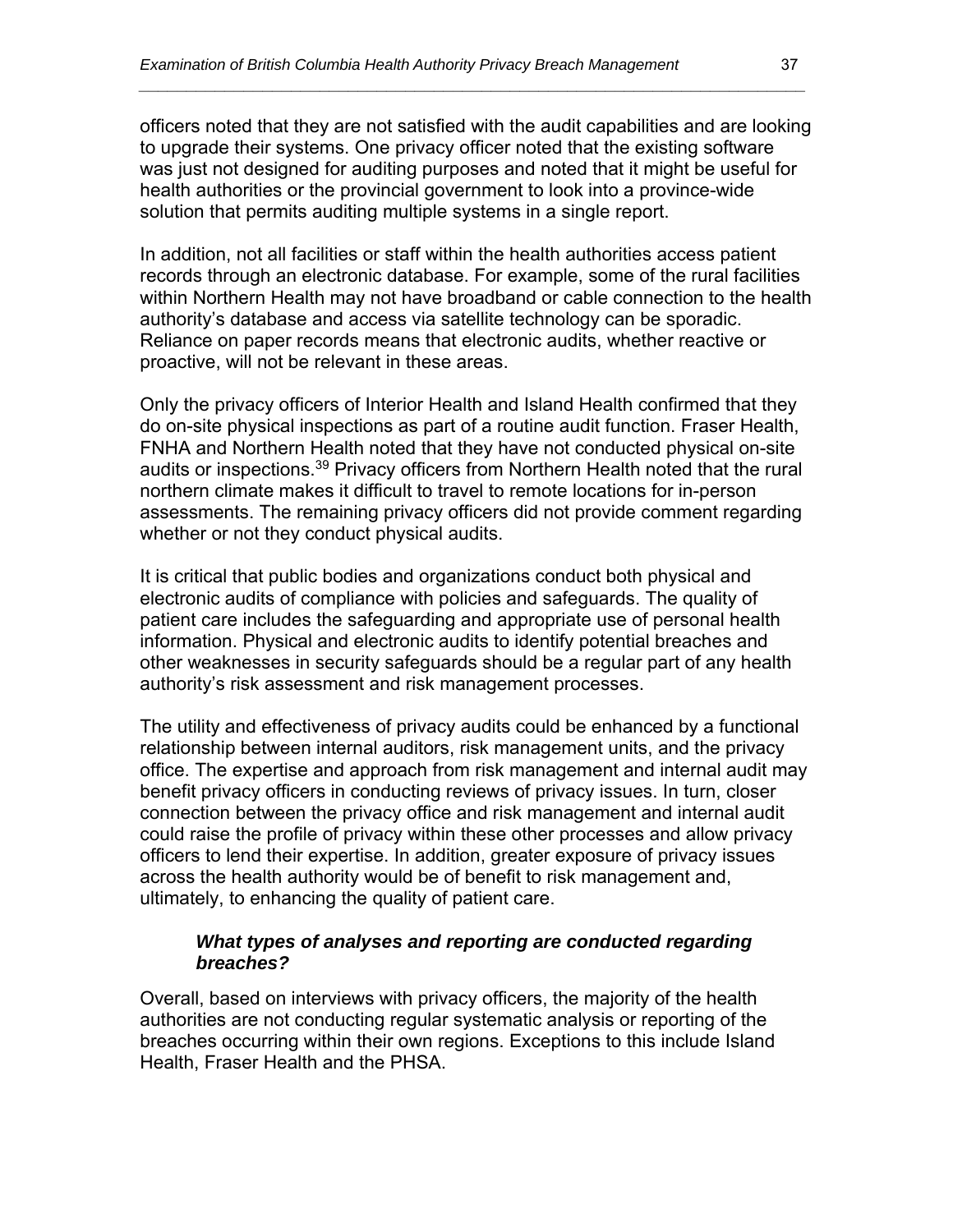officers noted that they are not satisfied with the audit capabilities and are looking to upgrade their systems. One privacy officer noted that the existing software was just not designed for auditing purposes and noted that it might be useful for health authorities or the provincial government to look into a province-wide solution that permits auditing multiple systems in a single report.

*\_\_\_\_\_\_\_\_\_\_\_\_\_\_\_\_\_\_\_\_\_\_\_\_\_\_\_\_\_\_\_\_\_\_\_\_\_\_\_\_\_\_\_\_\_\_\_\_\_\_\_\_\_\_\_\_\_\_\_\_\_\_\_\_\_\_\_\_\_\_* 

In addition, not all facilities or staff within the health authorities access patient records through an electronic database. For example, some of the rural facilities within Northern Health may not have broadband or cable connection to the health authority's database and access via satellite technology can be sporadic. Reliance on paper records means that electronic audits, whether reactive or proactive, will not be relevant in these areas.

Only the privacy officers of Interior Health and Island Health confirmed that they do on-site physical inspections as part of a routine audit function. Fraser Health, FNHA and Northern Health noted that they have not conducted physical on-site audits or inspections.39 Privacy officers from Northern Health noted that the rural northern climate makes it difficult to travel to remote locations for in-person assessments. The remaining privacy officers did not provide comment regarding whether or not they conduct physical audits.

It is critical that public bodies and organizations conduct both physical and electronic audits of compliance with policies and safeguards. The quality of patient care includes the safeguarding and appropriate use of personal health information. Physical and electronic audits to identify potential breaches and other weaknesses in security safeguards should be a regular part of any health authority's risk assessment and risk management processes.

The utility and effectiveness of privacy audits could be enhanced by a functional relationship between internal auditors, risk management units, and the privacy office. The expertise and approach from risk management and internal audit may benefit privacy officers in conducting reviews of privacy issues. In turn, closer connection between the privacy office and risk management and internal audit could raise the profile of privacy within these other processes and allow privacy officers to lend their expertise. In addition, greater exposure of privacy issues across the health authority would be of benefit to risk management and, ultimately, to enhancing the quality of patient care.

#### *What types of analyses and reporting are conducted regarding breaches?*

Overall, based on interviews with privacy officers, the majority of the health authorities are not conducting regular systematic analysis or reporting of the breaches occurring within their own regions. Exceptions to this include Island Health, Fraser Health and the PHSA.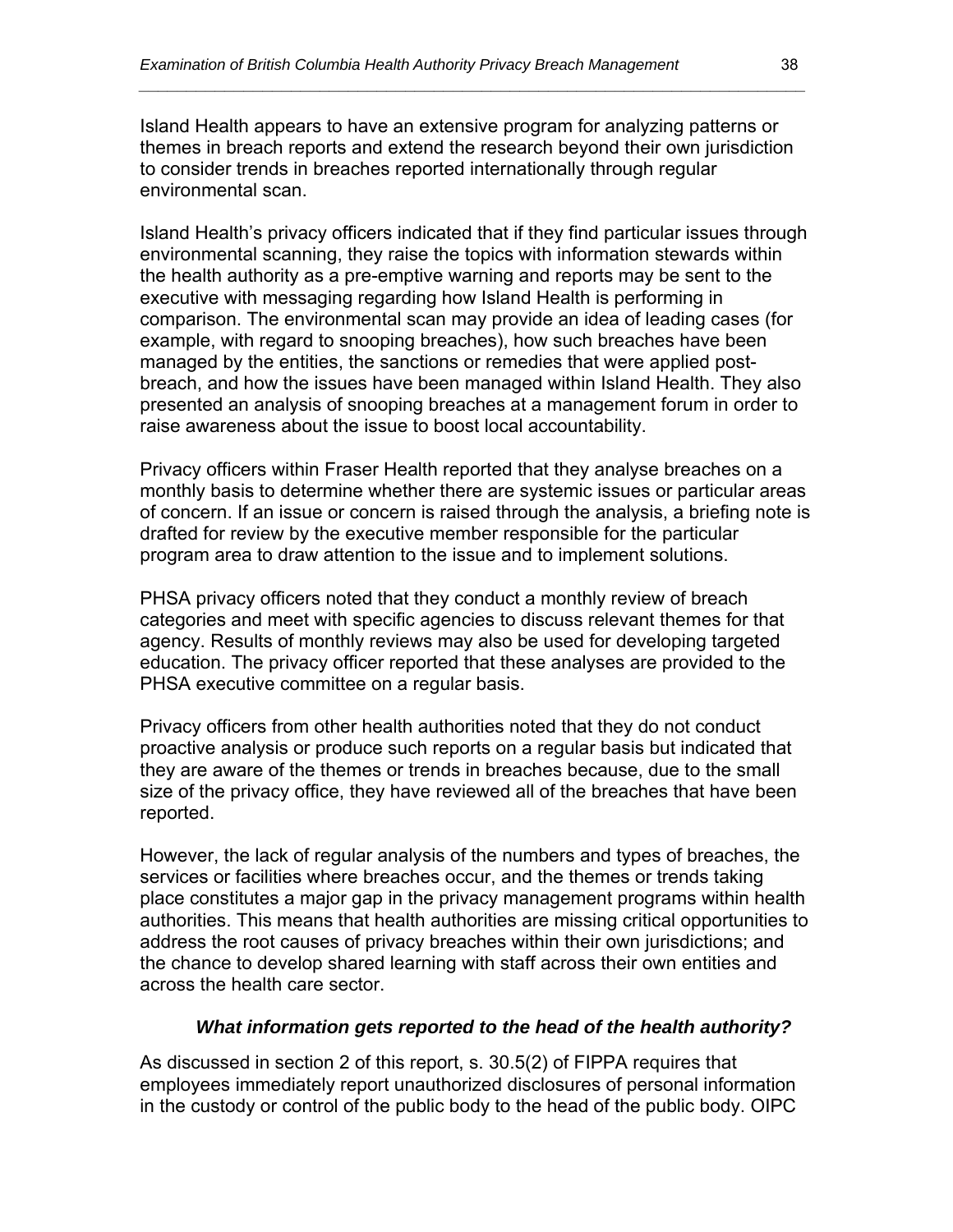Island Health appears to have an extensive program for analyzing patterns or themes in breach reports and extend the research beyond their own jurisdiction to consider trends in breaches reported internationally through regular environmental scan.

*\_\_\_\_\_\_\_\_\_\_\_\_\_\_\_\_\_\_\_\_\_\_\_\_\_\_\_\_\_\_\_\_\_\_\_\_\_\_\_\_\_\_\_\_\_\_\_\_\_\_\_\_\_\_\_\_\_\_\_\_\_\_\_\_\_\_\_\_\_\_* 

Island Health's privacy officers indicated that if they find particular issues through environmental scanning, they raise the topics with information stewards within the health authority as a pre-emptive warning and reports may be sent to the executive with messaging regarding how Island Health is performing in comparison. The environmental scan may provide an idea of leading cases (for example, with regard to snooping breaches), how such breaches have been managed by the entities, the sanctions or remedies that were applied postbreach, and how the issues have been managed within Island Health. They also presented an analysis of snooping breaches at a management forum in order to raise awareness about the issue to boost local accountability.

Privacy officers within Fraser Health reported that they analyse breaches on a monthly basis to determine whether there are systemic issues or particular areas of concern. If an issue or concern is raised through the analysis, a briefing note is drafted for review by the executive member responsible for the particular program area to draw attention to the issue and to implement solutions.

PHSA privacy officers noted that they conduct a monthly review of breach categories and meet with specific agencies to discuss relevant themes for that agency. Results of monthly reviews may also be used for developing targeted education. The privacy officer reported that these analyses are provided to the PHSA executive committee on a regular basis.

Privacy officers from other health authorities noted that they do not conduct proactive analysis or produce such reports on a regular basis but indicated that they are aware of the themes or trends in breaches because, due to the small size of the privacy office, they have reviewed all of the breaches that have been reported.

However, the lack of regular analysis of the numbers and types of breaches, the services or facilities where breaches occur, and the themes or trends taking place constitutes a major gap in the privacy management programs within health authorities. This means that health authorities are missing critical opportunities to address the root causes of privacy breaches within their own jurisdictions; and the chance to develop shared learning with staff across their own entities and across the health care sector.

#### *What information gets reported to the head of the health authority?*

As discussed in section 2 of this report, s. 30.5(2) of FIPPA requires that employees immediately report unauthorized disclosures of personal information in the custody or control of the public body to the head of the public body. OIPC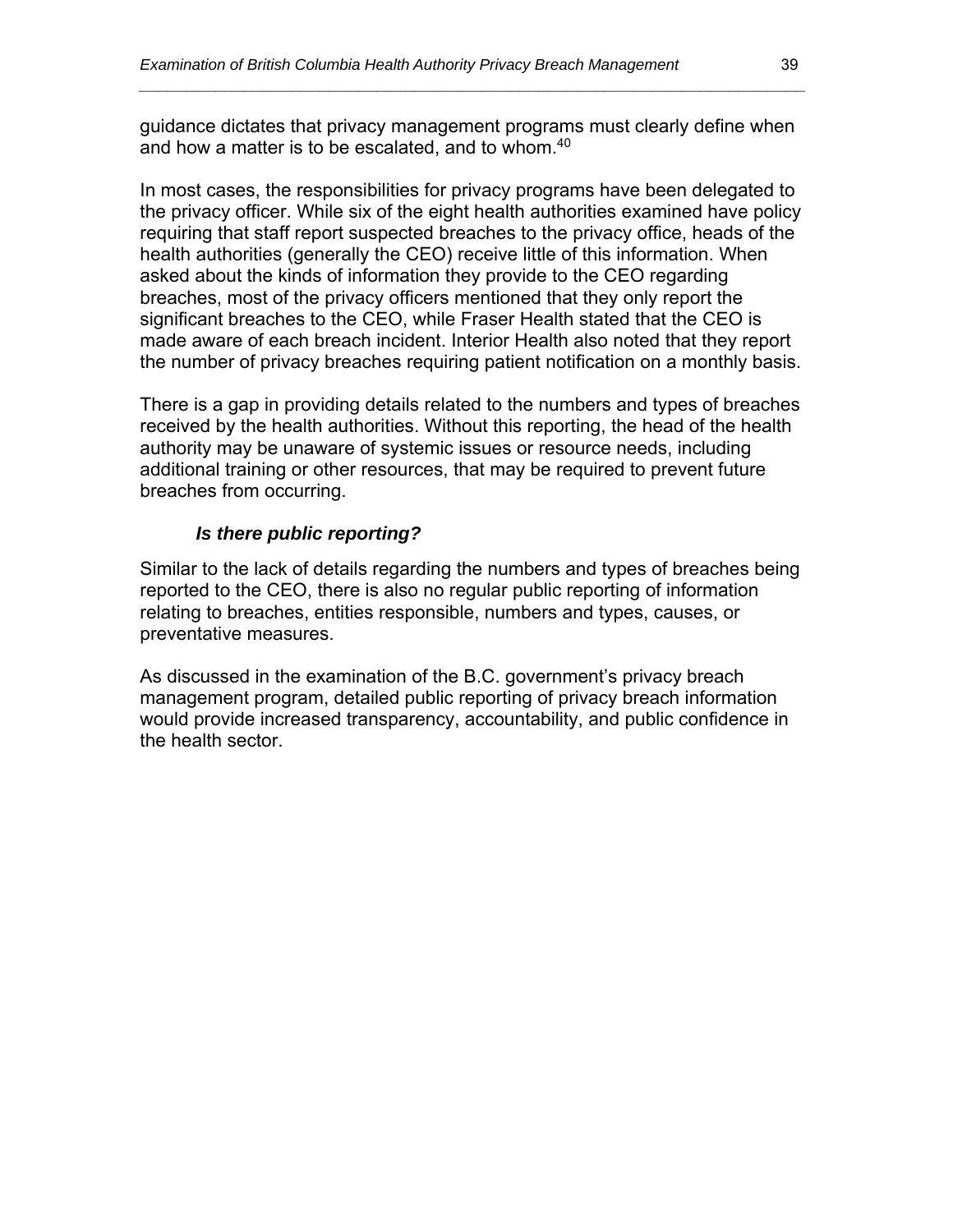guidance dictates that privacy management programs must clearly define when and how a matter is to be escalated, and to whom.<sup>40</sup>

*\_\_\_\_\_\_\_\_\_\_\_\_\_\_\_\_\_\_\_\_\_\_\_\_\_\_\_\_\_\_\_\_\_\_\_\_\_\_\_\_\_\_\_\_\_\_\_\_\_\_\_\_\_\_\_\_\_\_\_\_\_\_\_\_\_\_\_\_\_\_* 

In most cases, the responsibilities for privacy programs have been delegated to the privacy officer. While six of the eight health authorities examined have policy requiring that staff report suspected breaches to the privacy office, heads of the health authorities (generally the CEO) receive little of this information. When asked about the kinds of information they provide to the CEO regarding breaches, most of the privacy officers mentioned that they only report the significant breaches to the CEO, while Fraser Health stated that the CEO is made aware of each breach incident. Interior Health also noted that they report the number of privacy breaches requiring patient notification on a monthly basis.

There is a gap in providing details related to the numbers and types of breaches received by the health authorities. Without this reporting, the head of the health authority may be unaware of systemic issues or resource needs, including additional training or other resources, that may be required to prevent future breaches from occurring.

#### *Is there public reporting?*

Similar to the lack of details regarding the numbers and types of breaches being reported to the CEO, there is also no regular public reporting of information relating to breaches, entities responsible, numbers and types, causes, or preventative measures.

As discussed in the examination of the B.C. government's privacy breach management program, detailed public reporting of privacy breach information would provide increased transparency, accountability, and public confidence in the health sector.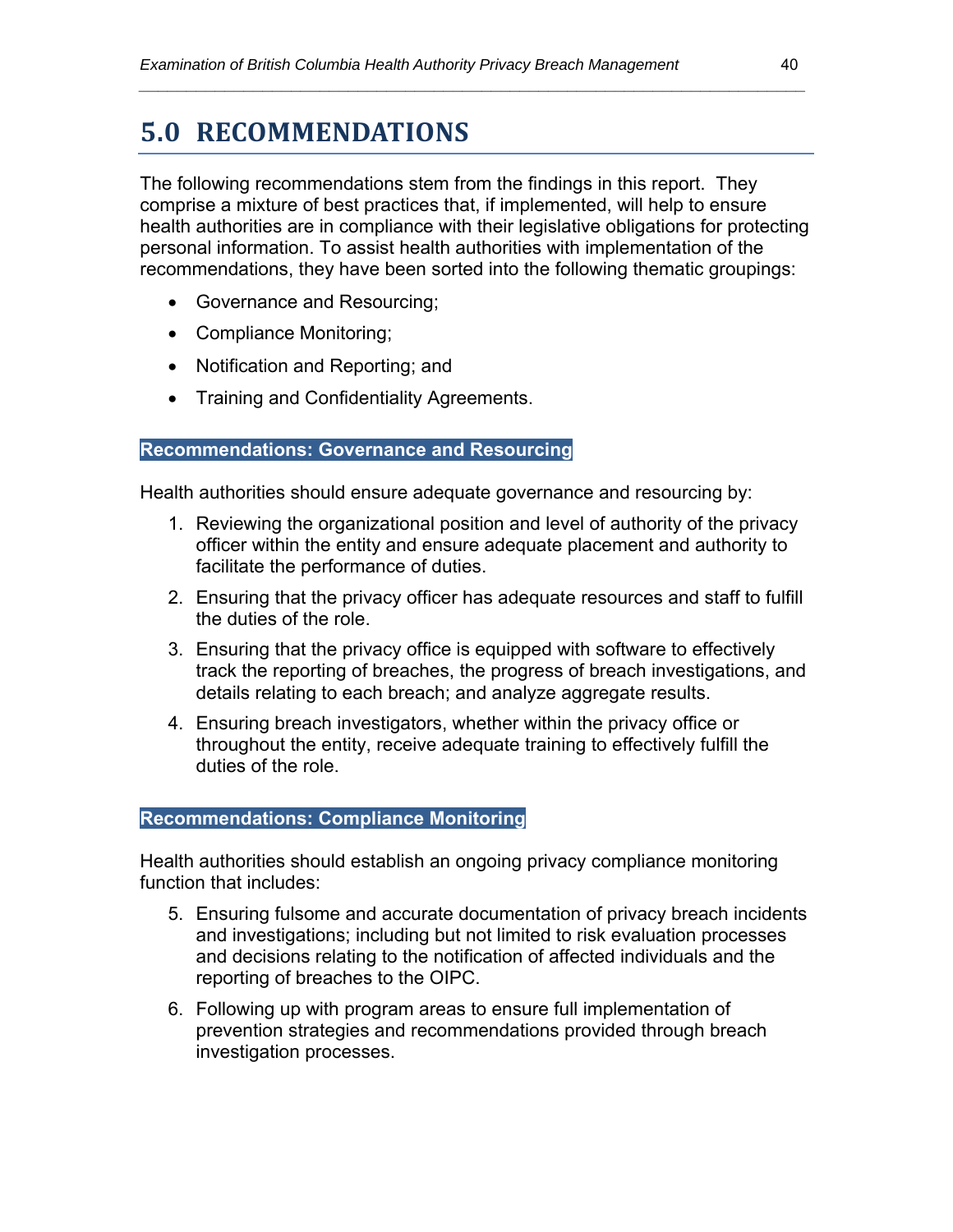### **5.0 RECOMMENDATIONS**

The following recommendations stem from the findings in this report. They comprise a mixture of best practices that, if implemented, will help to ensure health authorities are in compliance with their legislative obligations for protecting personal information. To assist health authorities with implementation of the recommendations, they have been sorted into the following thematic groupings:

*\_\_\_\_\_\_\_\_\_\_\_\_\_\_\_\_\_\_\_\_\_\_\_\_\_\_\_\_\_\_\_\_\_\_\_\_\_\_\_\_\_\_\_\_\_\_\_\_\_\_\_\_\_\_\_\_\_\_\_\_\_\_\_\_\_\_\_\_\_\_* 

- Governance and Resourcing;
- Compliance Monitoring;
- Notification and Reporting; and
- **•** Training and Confidentiality Agreements.

#### **Recommendations: Governance and Resourcing**

Health authorities should ensure adequate governance and resourcing by:

- 1. Reviewing the organizational position and level of authority of the privacy officer within the entity and ensure adequate placement and authority to facilitate the performance of duties.
- 2. Ensuring that the privacy officer has adequate resources and staff to fulfill the duties of the role.
- 3. Ensuring that the privacy office is equipped with software to effectively track the reporting of breaches, the progress of breach investigations, and details relating to each breach; and analyze aggregate results.
- 4. Ensuring breach investigators, whether within the privacy office or throughout the entity, receive adequate training to effectively fulfill the duties of the role.

#### **Recommendations: Compliance Monitoring**

Health authorities should establish an ongoing privacy compliance monitoring function that includes:

- 5. Ensuring fulsome and accurate documentation of privacy breach incidents and investigations; including but not limited to risk evaluation processes and decisions relating to the notification of affected individuals and the reporting of breaches to the OIPC.
- 6. Following up with program areas to ensure full implementation of prevention strategies and recommendations provided through breach investigation processes.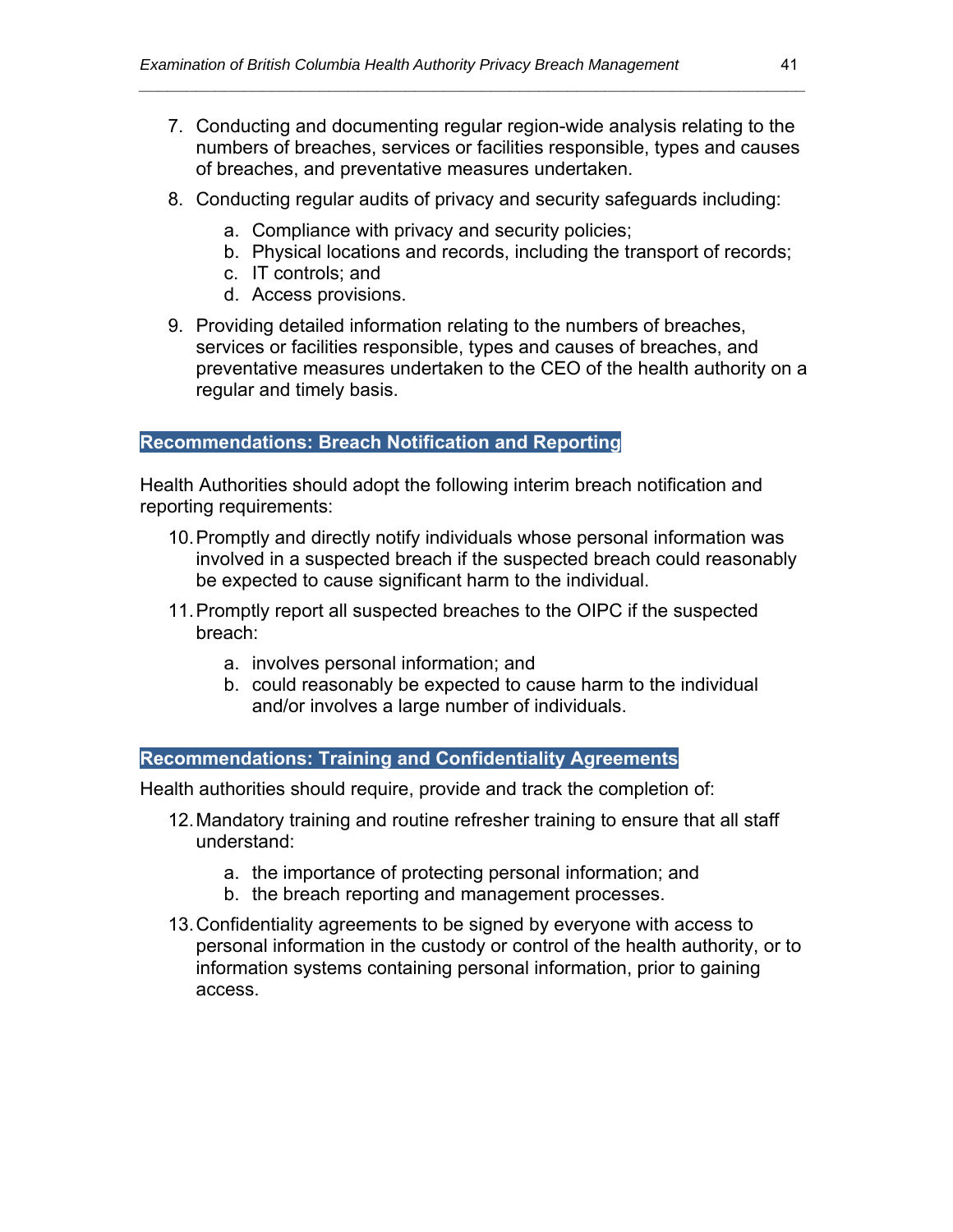7. Conducting and documenting regular region-wide analysis relating to the numbers of breaches, services or facilities responsible, types and causes of breaches, and preventative measures undertaken.

*\_\_\_\_\_\_\_\_\_\_\_\_\_\_\_\_\_\_\_\_\_\_\_\_\_\_\_\_\_\_\_\_\_\_\_\_\_\_\_\_\_\_\_\_\_\_\_\_\_\_\_\_\_\_\_\_\_\_\_\_\_\_\_\_\_\_\_\_\_\_* 

- 8. Conducting regular audits of privacy and security safeguards including:
	- a. Compliance with privacy and security policies;
	- b. Physical locations and records, including the transport of records;
	- c. IT controls; and
	- d. Access provisions.
- 9. Providing detailed information relating to the numbers of breaches, services or facilities responsible, types and causes of breaches, and preventative measures undertaken to the CEO of the health authority on a regular and timely basis.

#### **Recommendations: Breach Notification and Reporting**

Health Authorities should adopt the following interim breach notification and reporting requirements:

- 10. Promptly and directly notify individuals whose personal information was involved in a suspected breach if the suspected breach could reasonably be expected to cause significant harm to the individual.
- 11. Promptly report all suspected breaches to the OIPC if the suspected breach:
	- a. involves personal information; and
	- b. could reasonably be expected to cause harm to the individual and/or involves a large number of individuals.

#### **Recommendations: Training and Confidentiality Agreements**

Health authorities should require, provide and track the completion of:

- 12. Mandatory training and routine refresher training to ensure that all staff understand:
	- a. the importance of protecting personal information; and
	- b. the breach reporting and management processes.
- 13. Confidentiality agreements to be signed by everyone with access to personal information in the custody or control of the health authority, or to information systems containing personal information, prior to gaining access.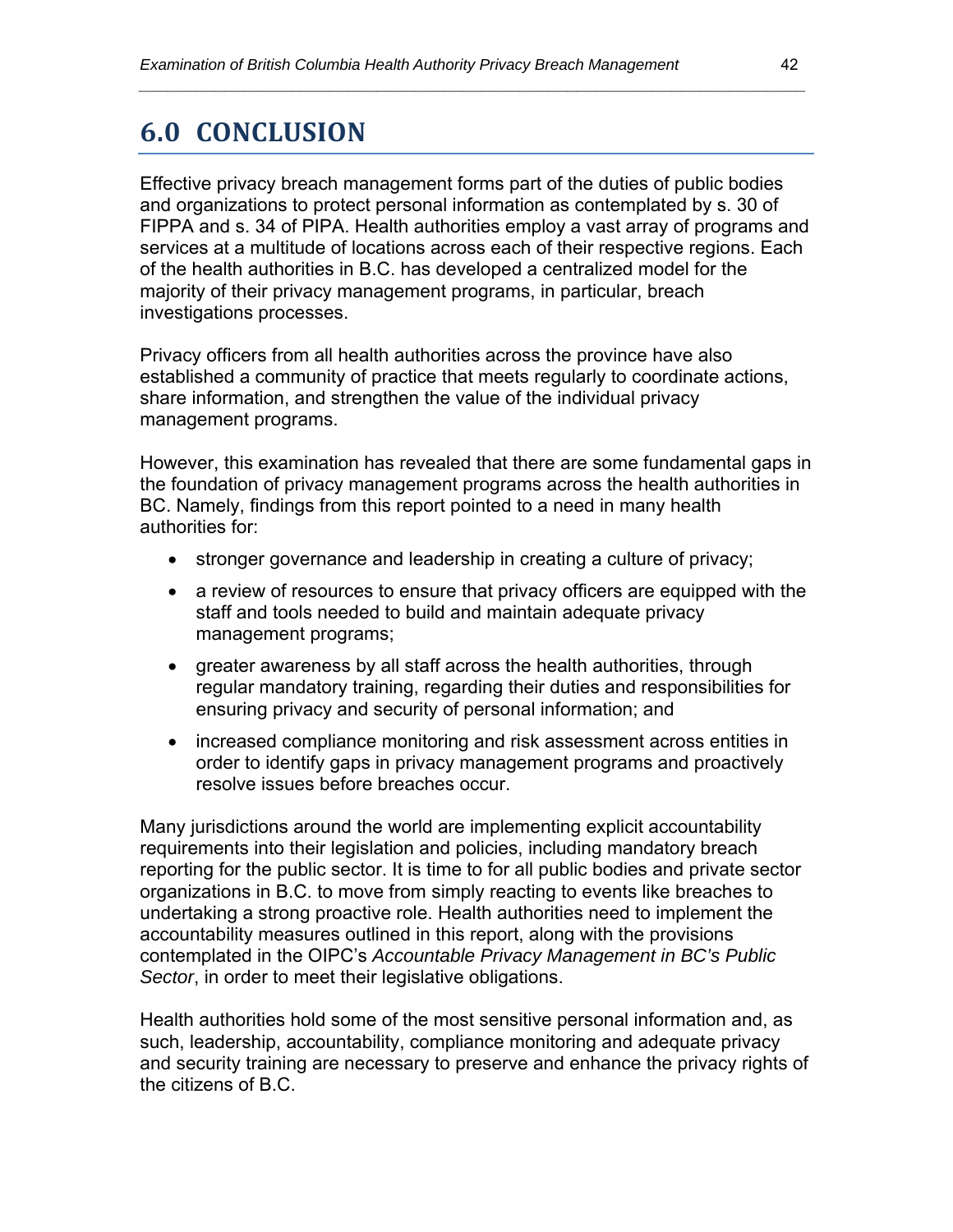### **6.0 CONCLUSION**

Effective privacy breach management forms part of the duties of public bodies and organizations to protect personal information as contemplated by s. 30 of FIPPA and s. 34 of PIPA. Health authorities employ a vast array of programs and services at a multitude of locations across each of their respective regions. Each of the health authorities in B.C. has developed a centralized model for the majority of their privacy management programs, in particular, breach investigations processes.

*\_\_\_\_\_\_\_\_\_\_\_\_\_\_\_\_\_\_\_\_\_\_\_\_\_\_\_\_\_\_\_\_\_\_\_\_\_\_\_\_\_\_\_\_\_\_\_\_\_\_\_\_\_\_\_\_\_\_\_\_\_\_\_\_\_\_\_\_\_\_* 

Privacy officers from all health authorities across the province have also established a community of practice that meets regularly to coordinate actions, share information, and strengthen the value of the individual privacy management programs.

However, this examination has revealed that there are some fundamental gaps in the foundation of privacy management programs across the health authorities in BC. Namely, findings from this report pointed to a need in many health authorities for:

- stronger governance and leadership in creating a culture of privacy;
- a review of resources to ensure that privacy officers are equipped with the staff and tools needed to build and maintain adequate privacy management programs;
- greater awareness by all staff across the health authorities, through regular mandatory training, regarding their duties and responsibilities for ensuring privacy and security of personal information; and
- increased compliance monitoring and risk assessment across entities in order to identify gaps in privacy management programs and proactively resolve issues before breaches occur.

Many jurisdictions around the world are implementing explicit accountability requirements into their legislation and policies, including mandatory breach reporting for the public sector. It is time to for all public bodies and private sector organizations in B.C. to move from simply reacting to events like breaches to undertaking a strong proactive role. Health authorities need to implement the accountability measures outlined in this report, along with the provisions contemplated in the OIPC's *Accountable Privacy Management in BC's Public Sector*, in order to meet their legislative obligations.

Health authorities hold some of the most sensitive personal information and, as such, leadership, accountability, compliance monitoring and adequate privacy and security training are necessary to preserve and enhance the privacy rights of the citizens of B.C.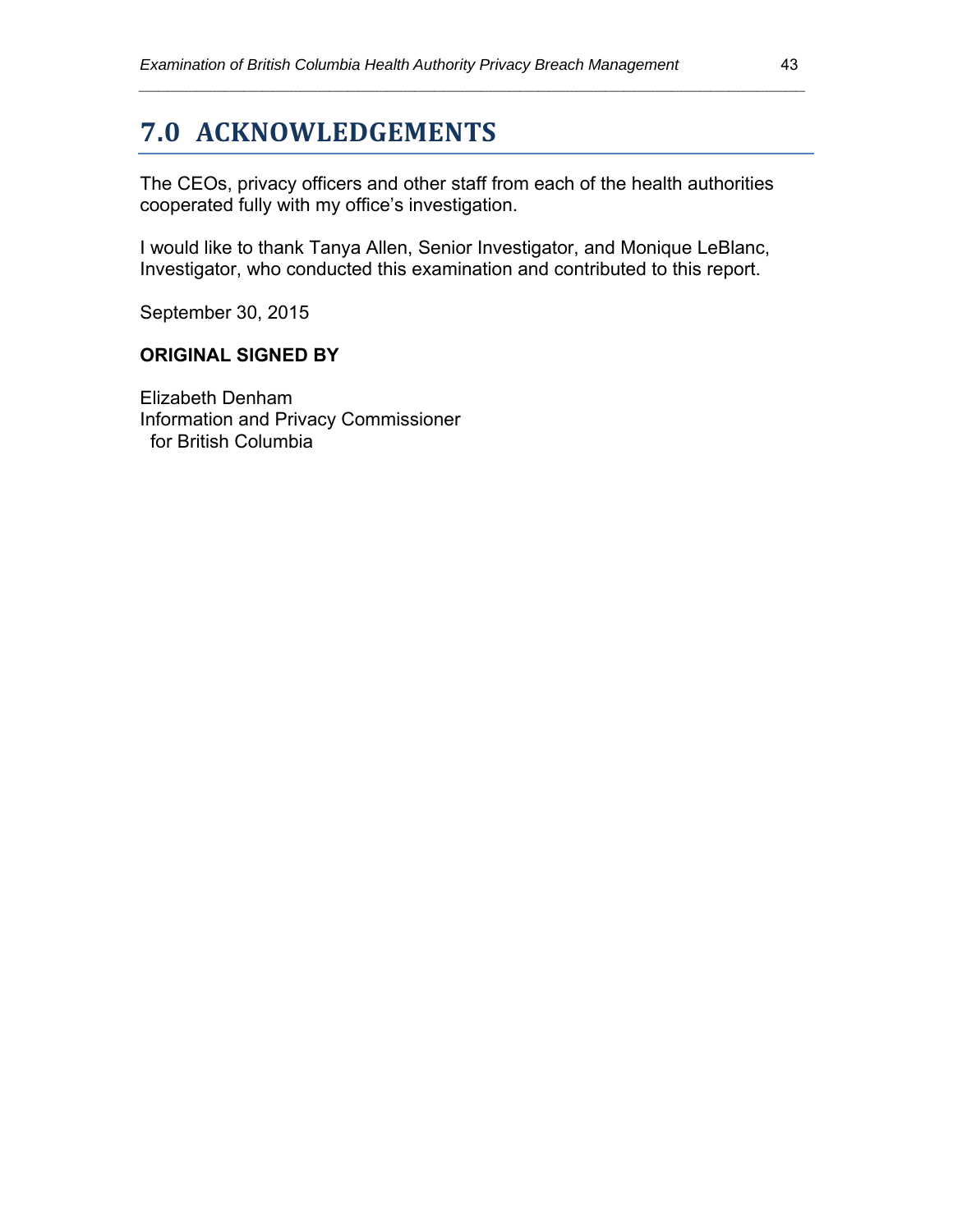### **7.0 ACKNOWLEDGEMENTS**

The CEOs, privacy officers and other staff from each of the health authorities cooperated fully with my office's investigation.

*\_\_\_\_\_\_\_\_\_\_\_\_\_\_\_\_\_\_\_\_\_\_\_\_\_\_\_\_\_\_\_\_\_\_\_\_\_\_\_\_\_\_\_\_\_\_\_\_\_\_\_\_\_\_\_\_\_\_\_\_\_\_\_\_\_\_\_\_\_\_* 

I would like to thank Tanya Allen, Senior Investigator, and Monique LeBlanc, Investigator, who conducted this examination and contributed to this report.

September 30, 2015

#### **ORIGINAL SIGNED BY**

Elizabeth Denham Information and Privacy Commissioner for British Columbia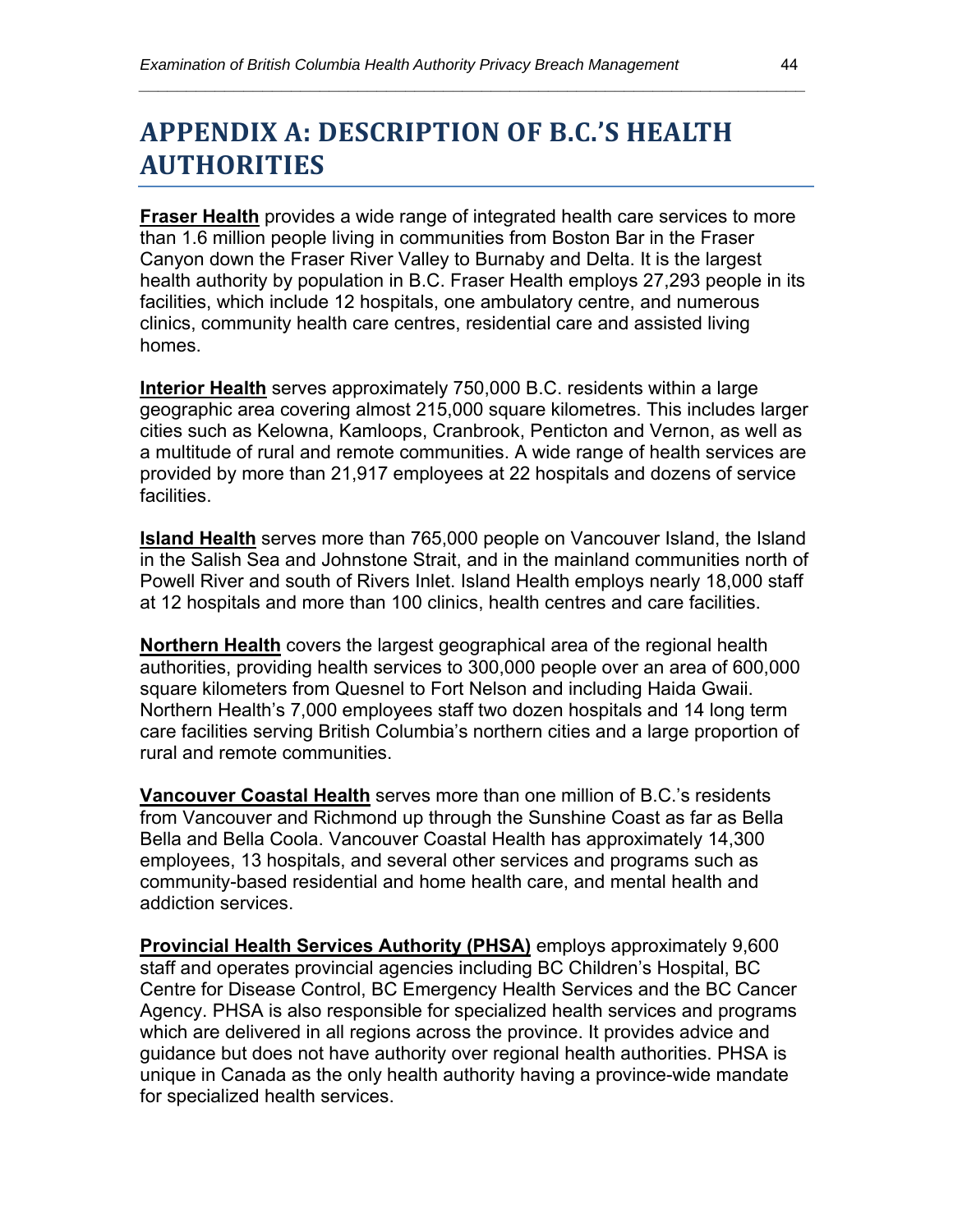## **APPENDIX A: DESCRIPTION OF B.C.'S HEALTH AUTHORITIES**

**Fraser Health** provides a wide range of integrated health care services to more than 1.6 million people living in communities from Boston Bar in the Fraser Canyon down the Fraser River Valley to Burnaby and Delta. It is the largest health authority by population in B.C. Fraser Health employs 27,293 people in its facilities, which include 12 hospitals, one ambulatory centre, and numerous clinics, community health care centres, residential care and assisted living homes.

*\_\_\_\_\_\_\_\_\_\_\_\_\_\_\_\_\_\_\_\_\_\_\_\_\_\_\_\_\_\_\_\_\_\_\_\_\_\_\_\_\_\_\_\_\_\_\_\_\_\_\_\_\_\_\_\_\_\_\_\_\_\_\_\_\_\_\_\_\_\_* 

**Interior Health** serves approximately 750,000 B.C. residents within a large geographic area covering almost 215,000 square kilometres. This includes larger cities such as Kelowna, Kamloops, Cranbrook, Penticton and Vernon, as well as a multitude of rural and remote communities. A wide range of health services are provided by more than 21,917 employees at 22 hospitals and dozens of service facilities.

**Island Health** serves more than 765,000 people on Vancouver Island, the Island in the Salish Sea and Johnstone Strait, and in the mainland communities north of Powell River and south of Rivers Inlet. Island Health employs nearly 18,000 staff at 12 hospitals and more than 100 clinics, health centres and care facilities.

**Northern Health** covers the largest geographical area of the regional health authorities, providing health services to 300,000 people over an area of 600,000 square kilometers from Quesnel to Fort Nelson and including Haida Gwaii. Northern Health's 7,000 employees staff two dozen hospitals and 14 long term care facilities serving British Columbia's northern cities and a large proportion of rural and remote communities.

**Vancouver Coastal Health** serves more than one million of B.C.'s residents from Vancouver and Richmond up through the Sunshine Coast as far as Bella Bella and Bella Coola. Vancouver Coastal Health has approximately 14,300 employees, 13 hospitals, and several other services and programs such as community-based residential and home health care, and mental health and addiction services.

**Provincial Health Services Authority (PHSA)** employs approximately 9,600 staff and operates provincial agencies including BC Children's Hospital, BC Centre for Disease Control, BC Emergency Health Services and the BC Cancer Agency. PHSA is also responsible for specialized health services and programs which are delivered in all regions across the province. It provides advice and guidance but does not have authority over regional health authorities. PHSA is unique in Canada as the only health authority having a province-wide mandate for specialized health services.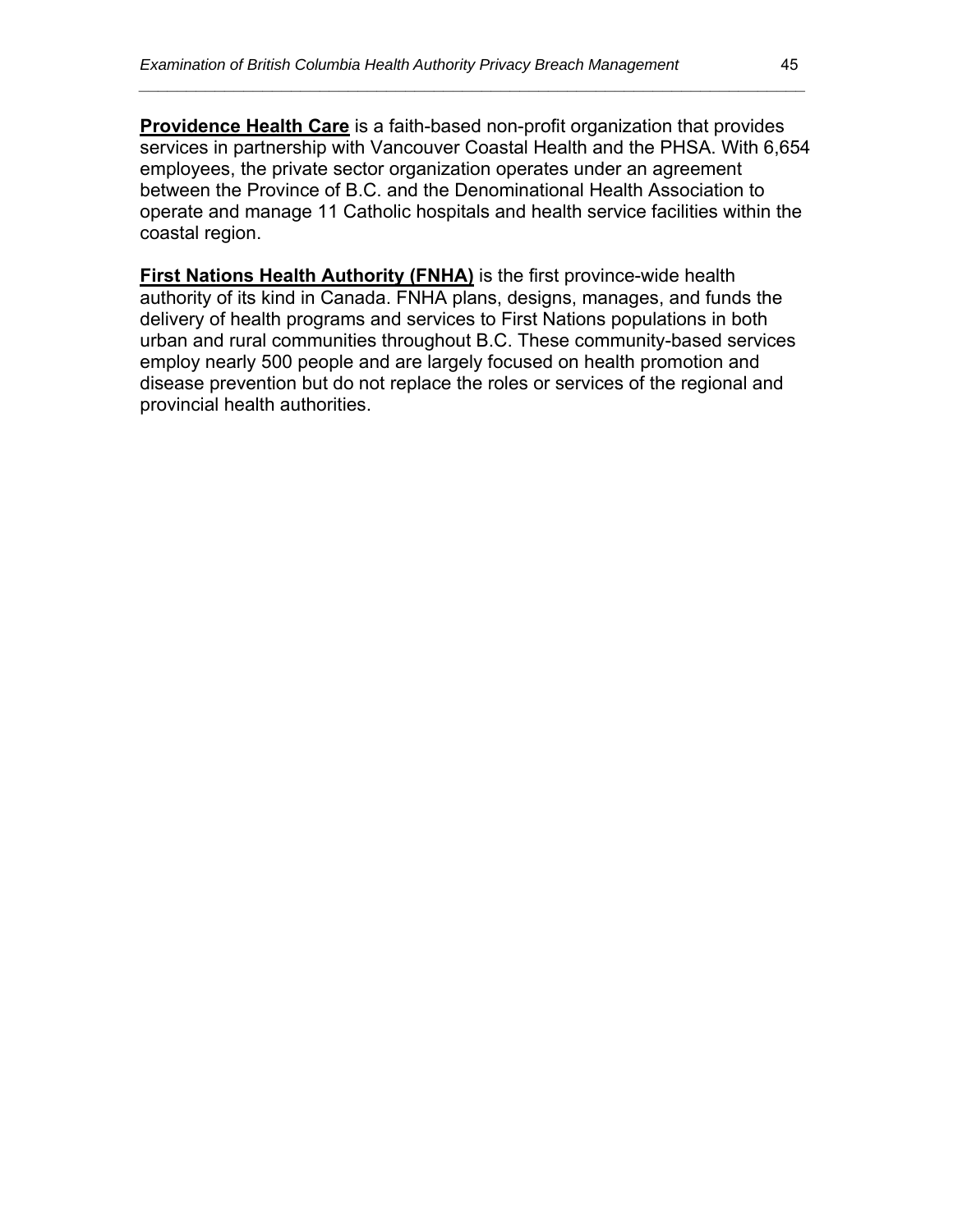**Providence Health Care** is a faith-based non-profit organization that provides services in partnership with Vancouver Coastal Health and the PHSA. With 6,654 employees, the private sector organization operates under an agreement between the Province of B.C. and the Denominational Health Association to operate and manage 11 Catholic hospitals and health service facilities within the coastal region.

*\_\_\_\_\_\_\_\_\_\_\_\_\_\_\_\_\_\_\_\_\_\_\_\_\_\_\_\_\_\_\_\_\_\_\_\_\_\_\_\_\_\_\_\_\_\_\_\_\_\_\_\_\_\_\_\_\_\_\_\_\_\_\_\_\_\_\_\_\_\_* 

**First Nations Health Authority (FNHA)** is the first province-wide health authority of its kind in Canada. FNHA plans, designs, manages, and funds the delivery of health programs and services to First Nations populations in both urban and rural communities throughout B.C. These community-based services employ nearly 500 people and are largely focused on health promotion and disease prevention but do not replace the roles or services of the regional and provincial health authorities.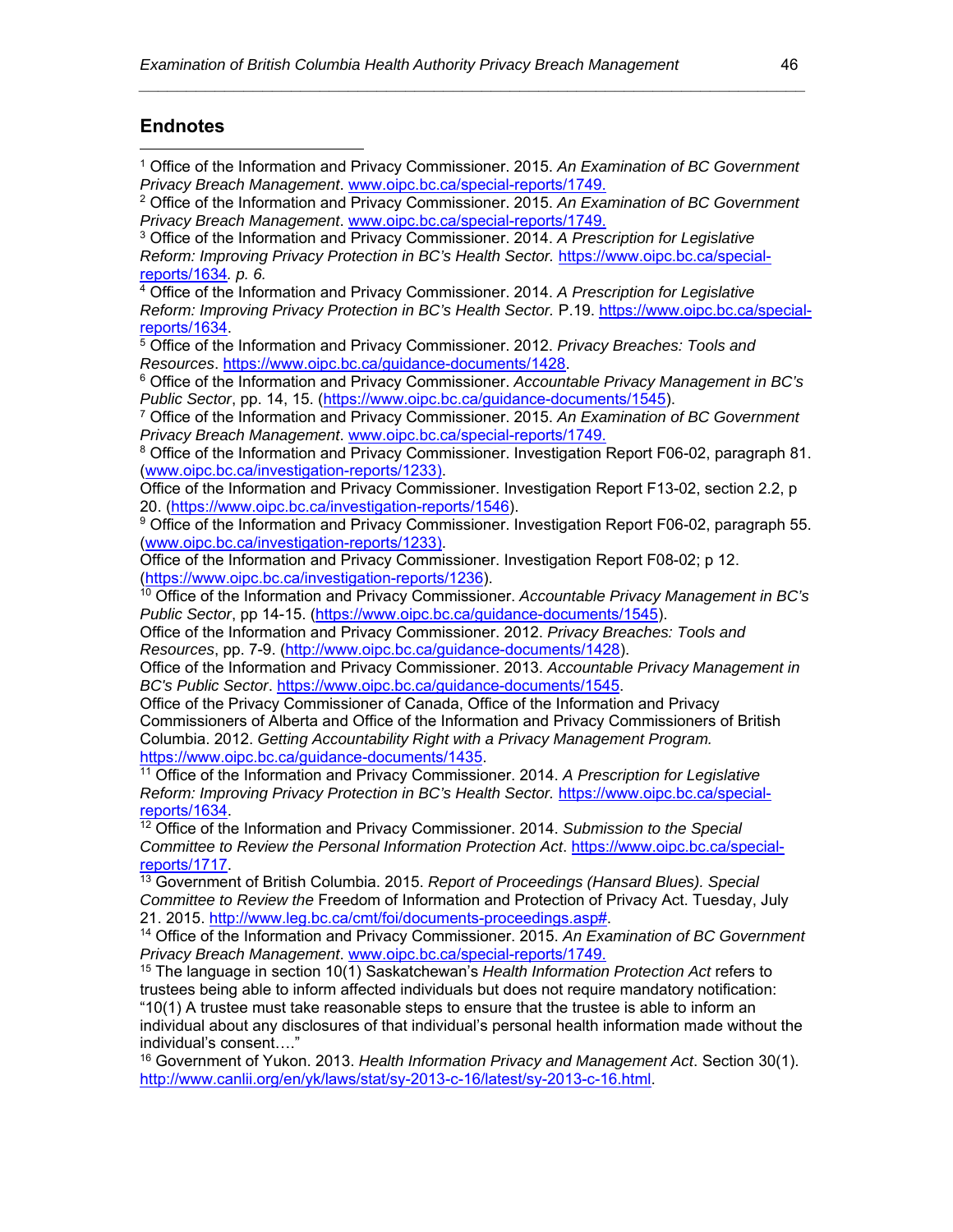#### **Endnotes**

 $\overline{a}$ 

1 Office of the Information and Privacy Commissioner. 2015. *An Examination of BC Government Privacy Breach Management*. www.oipc.bc.ca/special-reports/1749.

*\_\_\_\_\_\_\_\_\_\_\_\_\_\_\_\_\_\_\_\_\_\_\_\_\_\_\_\_\_\_\_\_\_\_\_\_\_\_\_\_\_\_\_\_\_\_\_\_\_\_\_\_\_\_\_\_\_\_\_\_\_\_\_\_\_\_\_\_\_\_* 

- 2 Office of the Information and Privacy Commissioner. 2015. *An Examination of BC Government Privacy Breach Management*. www.oipc.bc.ca/special-reports/1749.
- 3 Office of the Information and Privacy Commissioner. 2014. *A Prescription for Legislative Reform: Improving Privacy Protection in BC's Health Sector.* https://www.oipc.bc.ca/specialreports/1634*. p. 6.*

4 Office of the Information and Privacy Commissioner. 2014. *A Prescription for Legislative Reform: Improving Privacy Protection in BC's Health Sector.* P.19. https://www.oipc.bc.ca/special-

reports/1634.<br><sup>5</sup> Office of the Information and Privacy Commissioner. 2012. *Privacy Breaches: Tools and*<br>*Resources. https://www.oipc.bc.ca/guidance-documents/1428.* 

<sup>6</sup> Office of the Information and Privacy Commissioner. *Accountable Privacy Management in BC's Public Sector*, pp. 14, 15. (https://www.oipc.bc.ca/guidance-documents/1545).

7 Office of the Information and Privacy Commissioner. 2015. *An Examination of BC Government Privacy Breach Management*. www.oipc.bc.ca/special-reports/1749.

<sup>8</sup> Office of the Information and Privacy Commissioner. Investigation Report F06-02, paragraph 81. (www.oipc.bc.ca/investigation-reports/1233).

Office of the Information and Privacy Commissioner. Investigation Report F13-02, section 2.2, p 20. (https://www.oipc.bc.ca/investigation-reports/1546).

9 Office of the Information and Privacy Commissioner. Investigation Report F06-02, paragraph 55. (www.oipc.bc.ca/investigation-reports/1233).

Office of the Information and Privacy Commissioner. Investigation Report F08-02; p 12. (https://www.oipc.bc.ca/investigation-reports/1236).

10 Office of the Information and Privacy Commissioner. *Accountable Privacy Management in BC's Public Sector*, pp 14-15. (https://www.oipc.bc.ca/guidance-documents/1545).

Office of the Information and Privacy Commissioner. 2012. *Privacy Breaches: Tools and Resources*, pp. 7-9. (http://www.oipc.bc.ca/guidance-documents/1428).

Office of the Information and Privacy Commissioner. 2013. *Accountable Privacy Management in BC's Public Sector*. https://www.oipc.bc.ca/guidance-documents/1545.

Office of the Privacy Commissioner of Canada, Office of the Information and Privacy Commissioners of Alberta and Office of the Information and Privacy Commissioners of British Columbia. 2012. *Getting Accountability Right with a Privacy Management Program.* https://www.oipc.bc.ca/guidance-documents/1435.<br><sup>11</sup> Office of the Information and Privacy Commissioner. 2014. *A Prescription for Legislative* 

*Reform: Improving Privacy Protection in BC's Health Sector.* https://www.oipc.bc.ca/specialreports/1634. 12 Office of the Information and Privacy Commissioner. 2014. *Submission to the Special* 

*Committee to Review the Personal Information Protection Act.* https://www.oipc.bc.ca/special-<br>reports/1717.

<sup>13</sup> Government of British Columbia. 2015. *Report of Proceedings (Hansard Blues). Special Committee to Review the* Freedom of Information and Protection of Privacy Act. Tuesday, July 21. 2015. http://www.leg.bc.ca/cmt/foi/documents-proceedings.asp#. 14 Office of the Information and Privacy Commissioner. 2015. *An Examination of BC Government* 

*Privacy Breach Management*. www.oipc.bc.ca/special-reports/1749.

15 The language in section 10(1) Saskatchewan's *Health Information Protection Act* refers to trustees being able to inform affected individuals but does not require mandatory notification: "10(1) A trustee must take reasonable steps to ensure that the trustee is able to inform an

individual about any disclosures of that individual's personal health information made without the individual's consent…."

16 Government of Yukon. 2013. *Health Information Privacy and Management Act*. Section 30(1). http://www.canlii.org/en/yk/laws/stat/sy-2013-c-16/latest/sy-2013-c-16.html.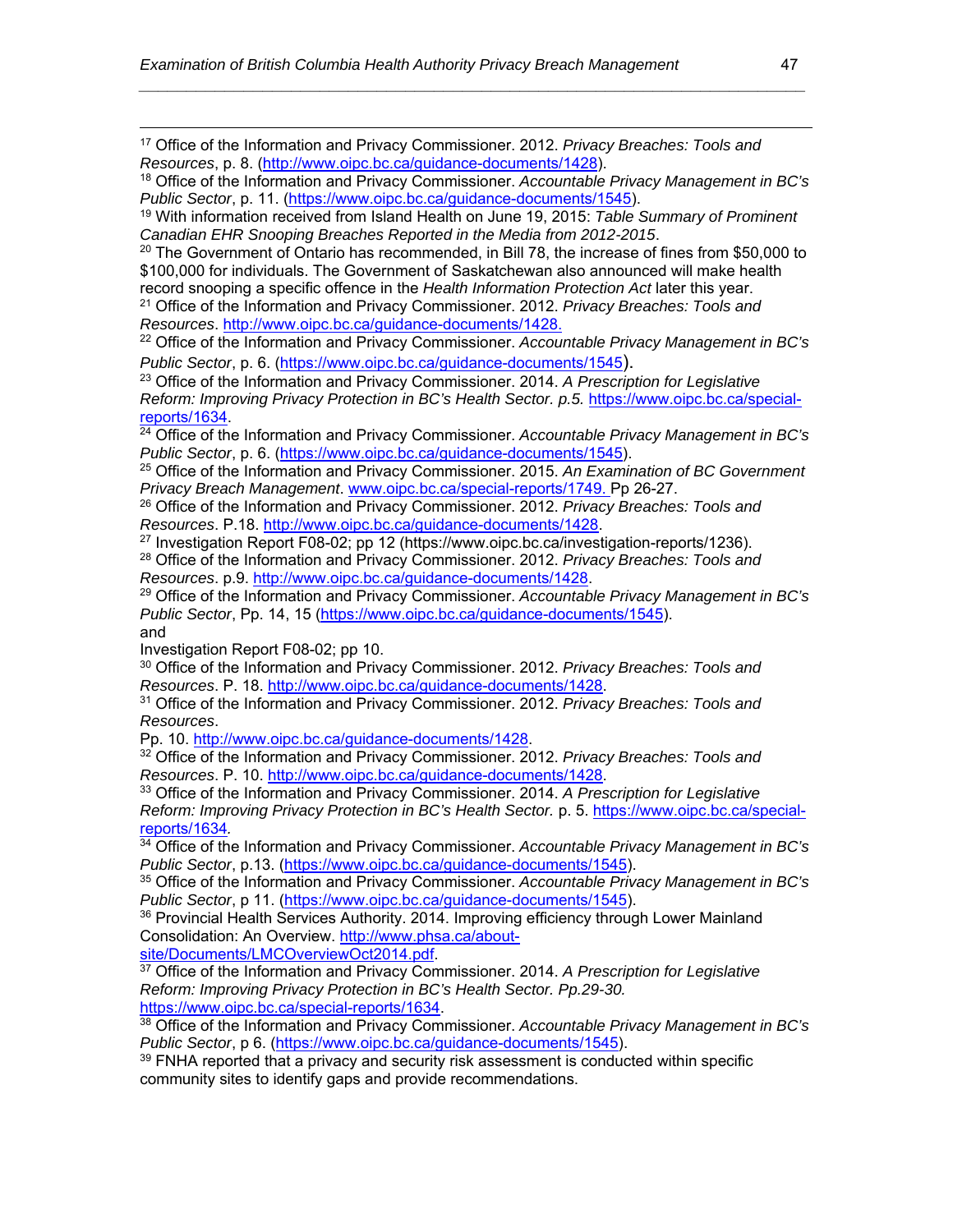17 Office of the Information and Privacy Commissioner. 2012. *Privacy Breaches: Tools and Resources*, p. 8. (http://www.oipc.bc.ca/guidance-documents/1428).

| <sup>18</sup> Office of the Information and Privacy Commissioner. Accountable Privacy Management in BC's |  |
|----------------------------------------------------------------------------------------------------------|--|
| Public Sector, p. 11. (https://www.oipc.bc.ca/guidance-documents/1545).                                  |  |

*\_\_\_\_\_\_\_\_\_\_\_\_\_\_\_\_\_\_\_\_\_\_\_\_\_\_\_\_\_\_\_\_\_\_\_\_\_\_\_\_\_\_\_\_\_\_\_\_\_\_\_\_\_\_\_\_\_\_\_\_\_\_\_\_\_\_\_\_\_\_* 

19 With information received from Island Health on June 19, 2015: *Table Summary of Prominent* 

*Canadian EHR Snooping Breaches Reported in the Media from 2012-2015*.<br><sup>20</sup> The Government of Ontario has recommended, in Bill 78, the increase of fines from \$50,000 to \$100,000 for individuals. The Government of Saskatchewan also announced will make health record snooping a specific offence in the *Health Information Protection Act* later this year. 21 Office of the Information and Privacy Commissioner. 2012. *Privacy Breaches: Tools and* 

*Resources*. http://www.oipc.bc.ca/guidance-documents/1428.

22 Office of the Information and Privacy Commissioner. *Accountable Privacy Management in BC's Public Sector*, p. 6. (https://www.oipc.bc.ca/guidance-documents/1545).

23 Office of the Information and Privacy Commissioner. 2014. *A Prescription for Legislative Reform: Improving Privacy Protection in BC's Health Sector. p.5.* https://www.oipc.bc.ca/special-reports/1634.

<sup>24</sup> Office of the Information and Privacy Commissioner. *Accountable Privacy Management in BC's Public Sector*, p. 6. (https://www.oipc.bc.ca/guidance-documents/1545).

25 Office of the Information and Privacy Commissioner. 2015. *An Examination of BC Government Privacy Breach Management*. www.oipc.bc.ca/special-reports/1749. Pp 26-27.

<sup>26</sup> Office of the Information and Privacy Commissioner. 2012. *Privacy Breaches: Tools and* Resources. P.18. http://www.oipc.bc.ca/quidance-documents/1428.

<sup>27</sup> Investigation Report F08-02; pp 12 (https://www.oipc.bc.ca/investigation-reports/1236).

28 Office of the Information and Privacy Commissioner. 2012. *Privacy Breaches: Tools and Resources.* p.9. http://www.oipc.bc.ca/guidance-documents/1428.<br><sup>29</sup> Office of the Information and Privacy Commissioner. *Accountable Privacy Management in BC's* 

*Public Sector*, Pp. 14, 15 (https://www.oipc.bc.ca/guidance-documents/1545). and

Investigation Report F08-02; pp 10.

<sup>30</sup> Office of the Information and Privacy Commissioner. 2012. *Privacy Breaches: Tools and* Resources. P. 18. http://www.oipc.bc.ca/guidance-documents/1428.

*Resources*. P. 18. http://www.oipc.bc.ca/guidance-documents/1428. 31 Office of the Information and Privacy Commissioner. 2012. *Privacy Breaches: Tools and Resources*.

<sup>32</sup> Office of the Information and Privacy Commissioner. 2012. *Privacy Breaches: Tools and Resources*. P. 10. http://www.oipc.bc.ca/guidance-documents/1428.

33 Office of the Information and Privacy Commissioner. 2014. *A Prescription for Legislative Reform: Improving Privacy Protection in BC's Health Sector.* p. 5. https://www.oipc.bc.ca/specialreports/1634*.*

34 Office of the Information and Privacy Commissioner. *Accountable Privacy Management in BC's Public Sector*, p.13. (https://www.oipc.bc.ca/guidance-documents/1545).

35 Office of the Information and Privacy Commissioner. *Accountable Privacy Management in BC's Public Sector*, p 11. (https://www.oipc.bc.ca/guidance-documents/1545).

<sup>36</sup> Provincial Health Services Authority. 2014. Improving efficiency through Lower Mainland Consolidation: An Overview. http://www.phsa.ca/about-<br>site/Documents/LMCOverviewOct2014.pdf.

<sup>37</sup> Office of the Information and Privacy Commissioner. 2014. *A Prescription for Legislative Reform: Improving Privacy Protection in BC's Health Sector. Pp.29-30.*  https://www.oipc.bc.ca/special-reports/1634. 38 Office of the Information and Privacy Commissioner. *Accountable Privacy Management in BC's* 

*Public Sector*, p 6. (https://www.oipc.bc.ca/guidance-documents/1545).

<sup>39</sup> FNHA reported that a privacy and security risk assessment is conducted within specific community sites to identify gaps and provide recommendations.